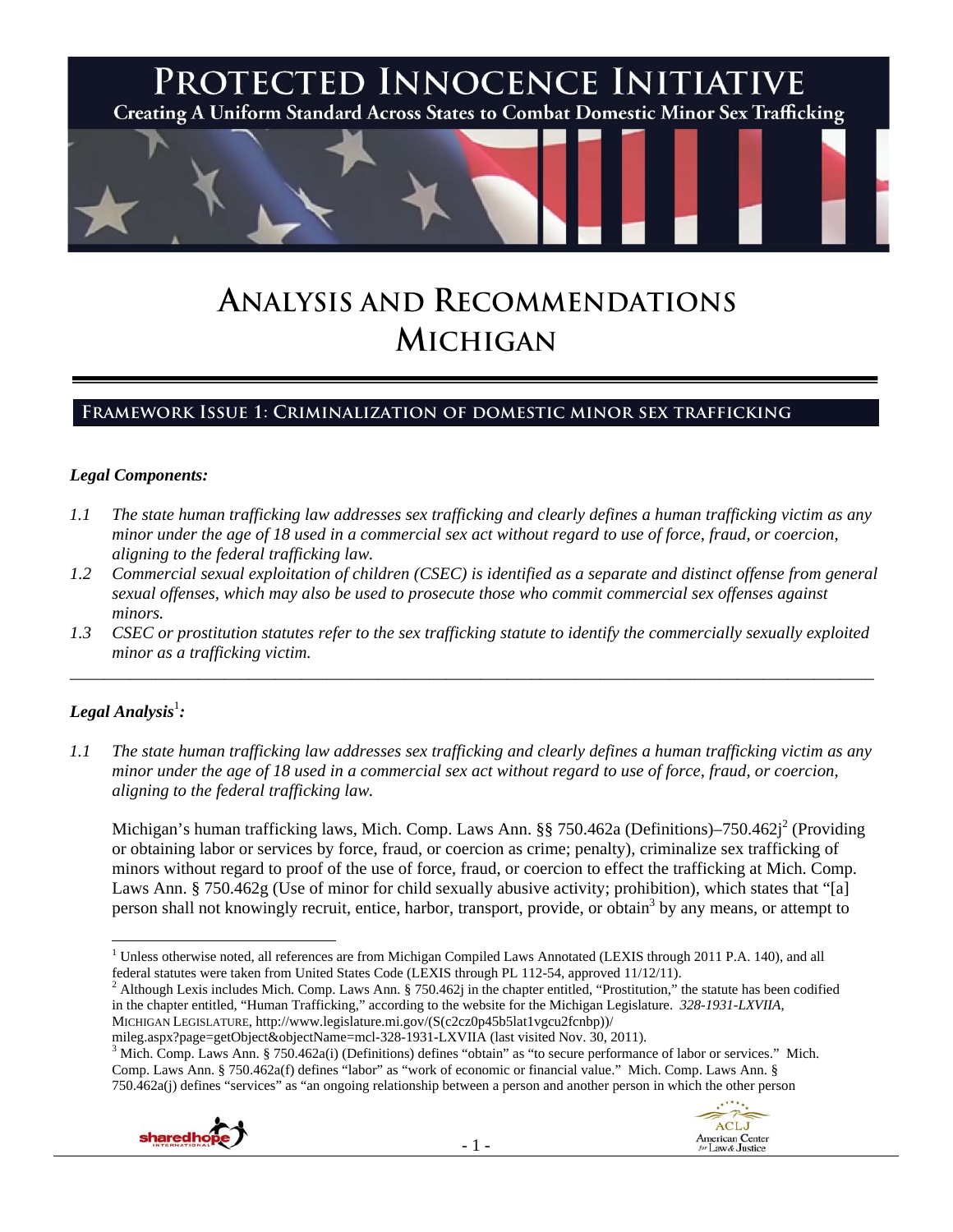

# **ANALYSIS AND RECOMMENDATIONS MICHIGAN**

## **Framework Issue 1: Criminalization of domestic minor sex trafficking**

### *Legal Components:*

- *1.1 The state human trafficking law addresses sex trafficking and clearly defines a human trafficking victim as any minor under the age of 18 used in a commercial sex act without regard to use of force, fraud, or coercion, aligning to the federal trafficking law.*
- *1.2 Commercial sexual exploitation of children (CSEC) is identified as a separate and distinct offense from general sexual offenses, which may also be used to prosecute those who commit commercial sex offenses against minors.*
- *1.3 CSEC or prostitution statutes refer to the sex trafficking statute to identify the commercially sexually exploited minor as a trafficking victim.*  \_\_\_\_\_\_\_\_\_\_\_\_\_\_\_\_\_\_\_\_\_\_\_\_\_\_\_\_\_\_\_\_\_\_\_\_\_\_\_\_\_\_\_\_\_\_\_\_\_\_\_\_\_\_\_\_\_\_\_\_\_\_\_\_\_\_\_\_\_\_\_\_\_\_\_\_\_\_\_\_\_\_\_\_\_\_\_\_\_\_\_\_\_\_

## $\bm{\mathit{Legal\, Analysis^1:}}$

*1.1 The state human trafficking law addresses sex trafficking and clearly defines a human trafficking victim as any minor under the age of 18 used in a commercial sex act without regard to use of force, fraud, or coercion, aligning to the federal trafficking law.* 

Michigan's human trafficking laws, Mich. Comp. Laws Ann. §§ 750.462a (Definitions)–750.462j<sup>2</sup> (Providing or obtaining labor or services by force, fraud, or coercion as crime; penalty), criminalize sex trafficking of minors without regard to proof of the use of force, fraud, or coercion to effect the trafficking at Mich. Comp. Laws Ann. § 750.462g (Use of minor for child sexually abusive activity; prohibition), which states that "[a] person shall not knowingly recruit, entice, harbor, transport, provide, or obtain<sup>3</sup> by any means, or attempt to

<sup>2</sup> Although Lexis includes Mich. Comp. Laws Ann. § 750.462j in the chapter entitled, "Prostitution," the statute has been codified in the chapter entitled, "Human Trafficking," according to the website for the Michigan Legislature. *328-1931-LXVIIA*, MICHIGAN LEGISLATURE, http://www.legislature.mi.gov/(S(c2cz0p45b5lat1vgcu2fcnbp))/

<sup>&</sup>lt;sup>3</sup> Mich. Comp. Laws Ann. § 750.462a(i) (Definitions) defines "obtain" as "to secure performance of labor or services." Mich. Comp. Laws Ann. § 750.462a(f) defines "labor" as "work of economic or financial value." Mich. Comp. Laws Ann. § 750.462a(j) defines "services" as "an ongoing relationship between a person and another person in which the other person



 <sup>1</sup> Unless otherwise noted, all references are from Michigan Compiled Laws Annotated (LEXIS through 2011 P.A. 140), and all federal statutes were taken from United States Code (LEXIS through PL 112-54, approved 11/12/11).

mileg.aspx?page=getObject&objectName=mcl-328-1931-LXVIIA (last visited Nov. 30, 2011).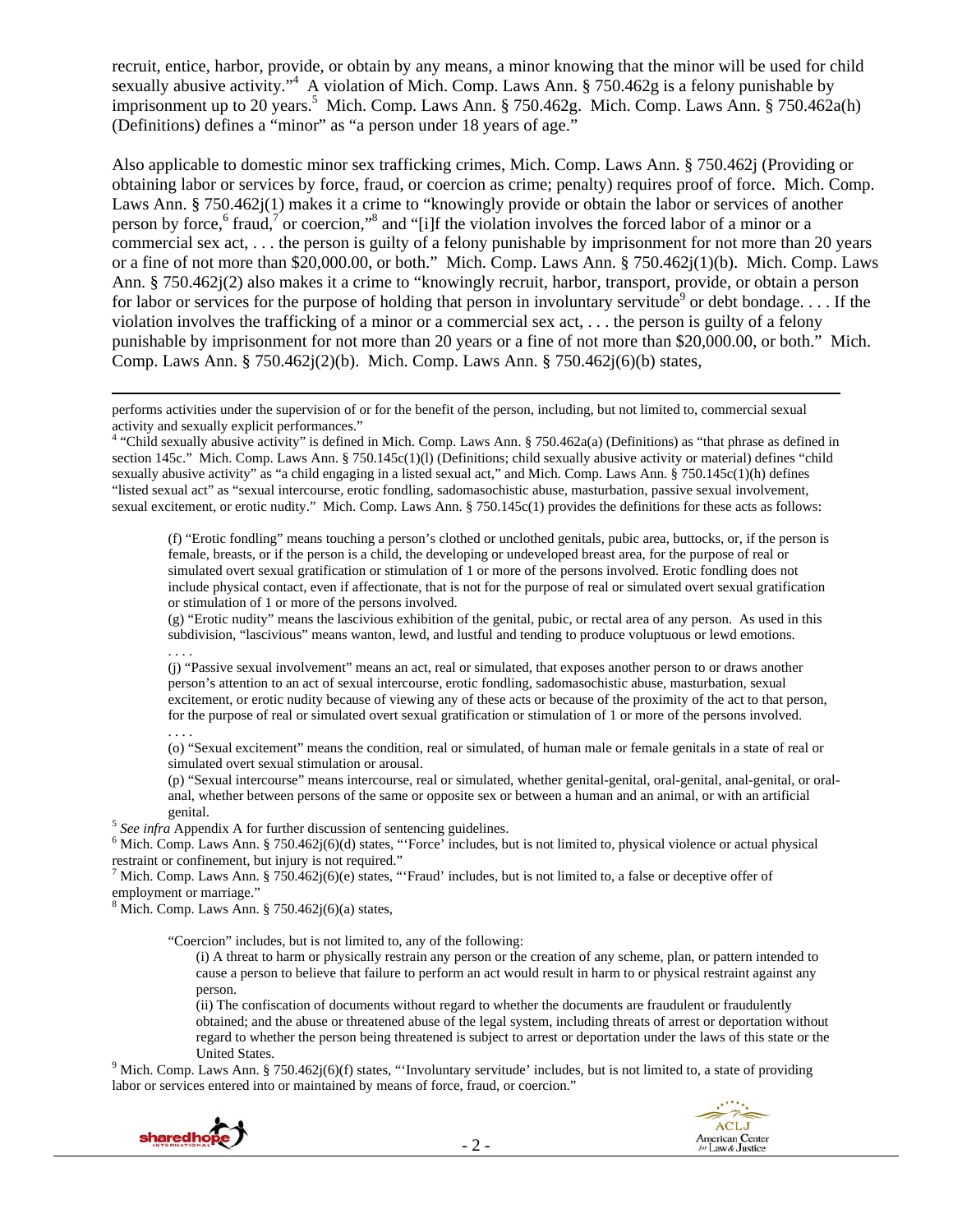recruit, entice, harbor, provide, or obtain by any means, a minor knowing that the minor will be used for child sexually abusive activity."<sup>4</sup> A violation of Mich. Comp. Laws Ann. § 750.462g is a felony punishable by imprisonment up to 20 years.<sup>5</sup> Mich. Comp. Laws Ann. § 750.462g. Mich. Comp. Laws Ann. § 750.462a(h) (Definitions) defines a "minor" as "a person under 18 years of age."

Also applicable to domestic minor sex trafficking crimes, Mich. Comp. Laws Ann. § 750.462j (Providing or obtaining labor or services by force, fraud, or coercion as crime; penalty) requires proof of force. Mich. Comp. Laws Ann. § 750.462j(1) makes it a crime to "knowingly provide or obtain the labor or services of another person by force,<sup>6</sup> fraud,<sup>7</sup> or coercion,"<sup>8</sup> and "[i]f the violation involves the forced labor of a minor or a commercial sex act, . . . the person is guilty of a felony punishable by imprisonment for not more than 20 years or a fine of not more than \$20,000.00, or both." Mich. Comp. Laws Ann. § 750.462j(1)(b). Mich. Comp. Laws Ann. § 750.462j(2) also makes it a crime to "knowingly recruit, harbor, transport, provide, or obtain a person for labor or services for the purpose of holding that person in involuntary servitude<sup>9</sup> or debt bondage.... If the violation involves the trafficking of a minor or a commercial sex act, . . . the person is guilty of a felony punishable by imprisonment for not more than 20 years or a fine of not more than \$20,000.00, or both." Mich. Comp. Laws Ann. § 750.462 $i(2)(b)$ . Mich. Comp. Laws Ann. § 750.462 $i(6)(b)$  states,

performs activities under the supervision of or for the benefit of the person, including, but not limited to, commercial sexual activity and sexually explicit performances."

4 "Child sexually abusive activity" is defined in Mich. Comp. Laws Ann. § 750.462a(a) (Definitions) as "that phrase as defined in section 145c." Mich. Comp. Laws Ann. § 750.145c(1)(l) (Definitions; child sexually abusive activity or material) defines "child sexually abusive activity" as "a child engaging in a listed sexual act," and Mich. Comp. Laws Ann. § 750.145c(1)(h) defines "listed sexual act" as "sexual intercourse, erotic fondling, sadomasochistic abuse, masturbation, passive sexual involvement, sexual excitement, or erotic nudity." Mich. Comp. Laws Ann. § 750.145c(1) provides the definitions for these acts as follows:

<u> 1989 - Johann Stoff, fransk politik (d. 1989)</u>

(f) "Erotic fondling" means touching a person's clothed or unclothed genitals, pubic area, buttocks, or, if the person is female, breasts, or if the person is a child, the developing or undeveloped breast area, for the purpose of real or simulated overt sexual gratification or stimulation of 1 or more of the persons involved. Erotic fondling does not include physical contact, even if affectionate, that is not for the purpose of real or simulated overt sexual gratification or stimulation of 1 or more of the persons involved.

(g) "Erotic nudity" means the lascivious exhibition of the genital, pubic, or rectal area of any person. As used in this subdivision, "lascivious" means wanton, lewd, and lustful and tending to produce voluptuous or lewd emotions. . . . .

(j) "Passive sexual involvement" means an act, real or simulated, that exposes another person to or draws another person's attention to an act of sexual intercourse, erotic fondling, sadomasochistic abuse, masturbation, sexual excitement, or erotic nudity because of viewing any of these acts or because of the proximity of the act to that person, for the purpose of real or simulated overt sexual gratification or stimulation of 1 or more of the persons involved. . . . .

(o) "Sexual excitement" means the condition, real or simulated, of human male or female genitals in a state of real or simulated overt sexual stimulation or arousal.

(p) "Sexual intercourse" means intercourse, real or simulated, whether genital-genital, oral-genital, anal-genital, or oralanal, whether between persons of the same or opposite sex or between a human and an animal, or with an artificial

genital.<br><sup>5</sup> *See infra* Appendix A for further discussion of sentencing guidelines.

 $6$  Mich. Comp. Laws Ann. § 750.462j(6)(d) states, "Force' includes, but is not limited to, physical violence or actual physical restraint or confinement, but injury is not required."

<sup>7</sup> Mich. Comp. Laws Ann. § 750.462j(6)(e) states, "'Fraud' includes, but is not limited to, a false or deceptive offer of employment or marriage."

 $8$  Mich. Comp. Laws Ann. § 750.462 $j(6)(a)$  states,

"Coercion" includes, but is not limited to, any of the following:

(i) A threat to harm or physically restrain any person or the creation of any scheme, plan, or pattern intended to cause a person to believe that failure to perform an act would result in harm to or physical restraint against any person.

(ii) The confiscation of documents without regard to whether the documents are fraudulent or fraudulently obtained; and the abuse or threatened abuse of the legal system, including threats of arrest or deportation without regard to whether the person being threatened is subject to arrest or deportation under the laws of this state or the

United States.<br><sup>9</sup> Mich. Comp. Laws Ann. § 750.462j(6)(f) states, "'Involuntary servitude' includes, but is not limited to, a state of providing labor or services entered into or maintained by means of force, fraud, or coercion."



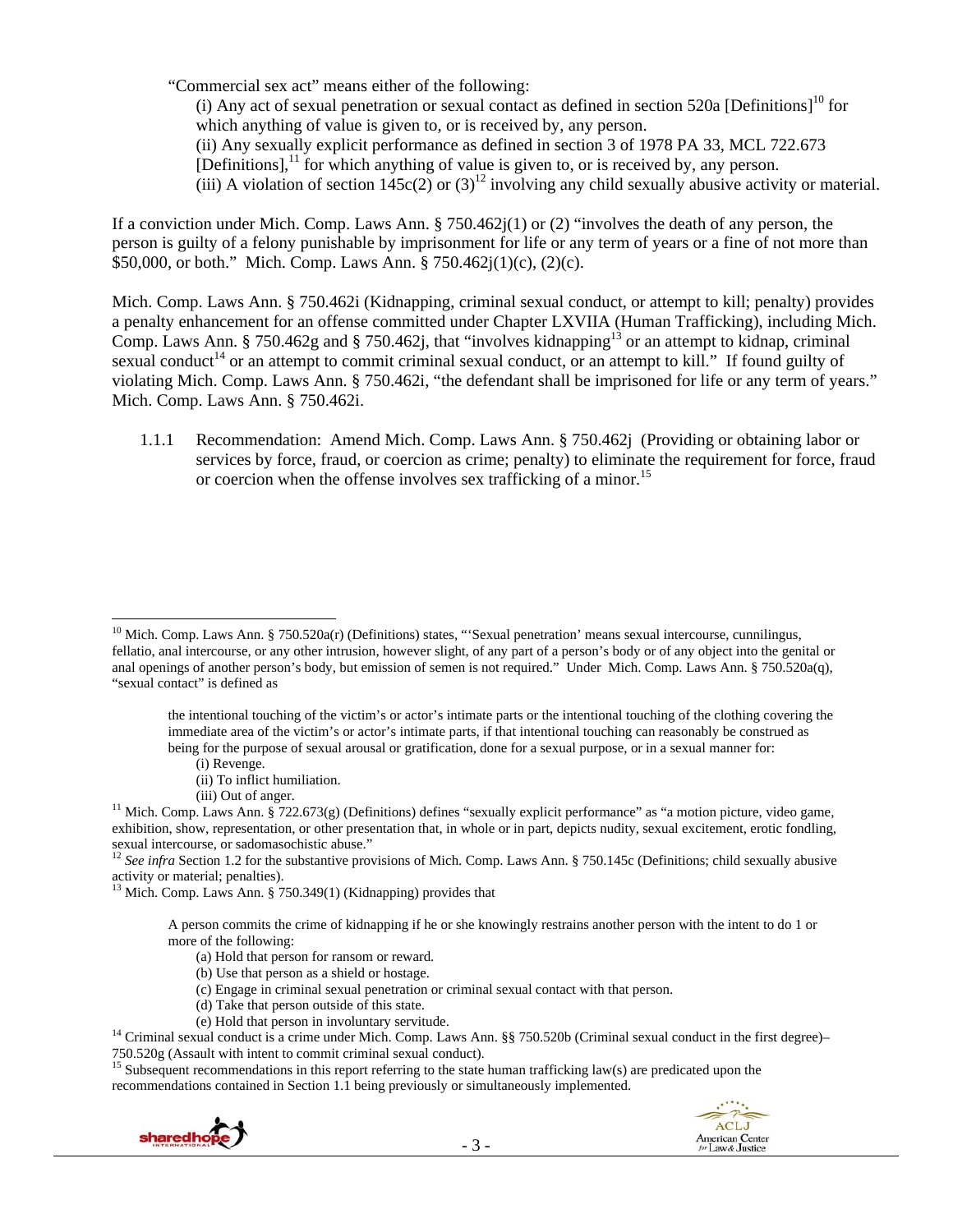"Commercial sex act" means either of the following:

(i) Any act of sexual penetration or sexual contact as defined in section 520a [Definitions]<sup>10</sup> for which anything of value is given to, or is received by, any person. (ii) Any sexually explicit performance as defined in section 3 of 1978 PA 33, MCL 722.673 [Definitions], $<sup>11</sup>$  for which anything of value is given to, or is received by, any person.</sup>

(iii) A violation of section  $145c(2)$  or  $(3)^{12}$  involving any child sexually abusive activity or material.

If a conviction under Mich. Comp. Laws Ann. § 750.462j(1) or (2) "involves the death of any person, the person is guilty of a felony punishable by imprisonment for life or any term of years or a fine of not more than \$50,000, or both." Mich. Comp. Laws Ann. § 750.462j(1)(c), (2)(c).

Mich. Comp. Laws Ann. § 750.462i (Kidnapping, criminal sexual conduct, or attempt to kill; penalty) provides a penalty enhancement for an offense committed under Chapter LXVIIA (Human Trafficking), including Mich. Comp. Laws Ann. § 750.462g and § 750.462j, that "involves kidnapping<sup>13</sup> or an attempt to kidnap, criminal sexual conduct<sup>14</sup> or an attempt to commit criminal sexual conduct, or an attempt to kill." If found guilty of violating Mich. Comp. Laws Ann. § 750.462i, "the defendant shall be imprisoned for life or any term of years." Mich. Comp. Laws Ann. § 750.462i.

1.1.1 Recommendation: Amend Mich. Comp. Laws Ann. § 750.462j (Providing or obtaining labor or services by force, fraud, or coercion as crime; penalty) to eliminate the requirement for force, fraud or coercion when the offense involves sex trafficking of a minor.<sup>15</sup>

(i) Revenge.

- (ii) To inflict humiliation.
- 

activity or material; penalties).

13 Mich. Comp. Laws Ann. § 750.349(1) (Kidnapping) provides that

A person commits the crime of kidnapping if he or she knowingly restrains another person with the intent to do 1 or more of the following:

- (a) Hold that person for ransom or reward.
- (b) Use that person as a shield or hostage.
- (c) Engage in criminal sexual penetration or criminal sexual contact with that person.
- (d) Take that person outside of this state.
- 

(e) Hold that person in involuntary servitude.<br><sup>14</sup> Criminal sexual conduct is a crime under Mich. Comp. Laws Ann. §§ 750.520b (Criminal sexual conduct in the first degree)–<br>750.520g (Assault with intent to commit criminal

<sup>15</sup> Subsequent recommendations in this report referring to the state human trafficking law(s) are predicated upon the recommendations contained in Section 1.1 being previously or simultaneously implemented.



<sup>&</sup>lt;sup>10</sup> Mich. Comp. Laws Ann. § 750.520a(r) (Definitions) states, "'Sexual penetration' means sexual intercourse, cunnilingus, fellatio, anal intercourse, or any other intrusion, however slight, of any part of a person's body or of any object into the genital or anal openings of another person's body, but emission of semen is not required." Under Mich. Comp. Laws Ann. § 750.520a(q), "sexual contact" is defined as

the intentional touching of the victim's or actor's intimate parts or the intentional touching of the clothing covering the immediate area of the victim's or actor's intimate parts, if that intentional touching can reasonably be construed as being for the purpose of sexual arousal or gratification, done for a sexual purpose, or in a sexual manner for:

<sup>(</sup>iii) Out of anger.<br><sup>11</sup> Mich. Comp. Laws Ann. § 722.673(g) (Definitions) defines "sexually explicit performance" as "a motion picture, video game, exhibition, show, representation, or other presentation that, in whole or in part, depicts nudity, sexual excitement, erotic fondling, sexual intercourse, or sadomasochistic abuse."<br><sup>12</sup> *See infra* Section 1.2 for the substantive provisions of Mich. Comp. Laws Ann. § 750.145c (Definitions; child sexually abusive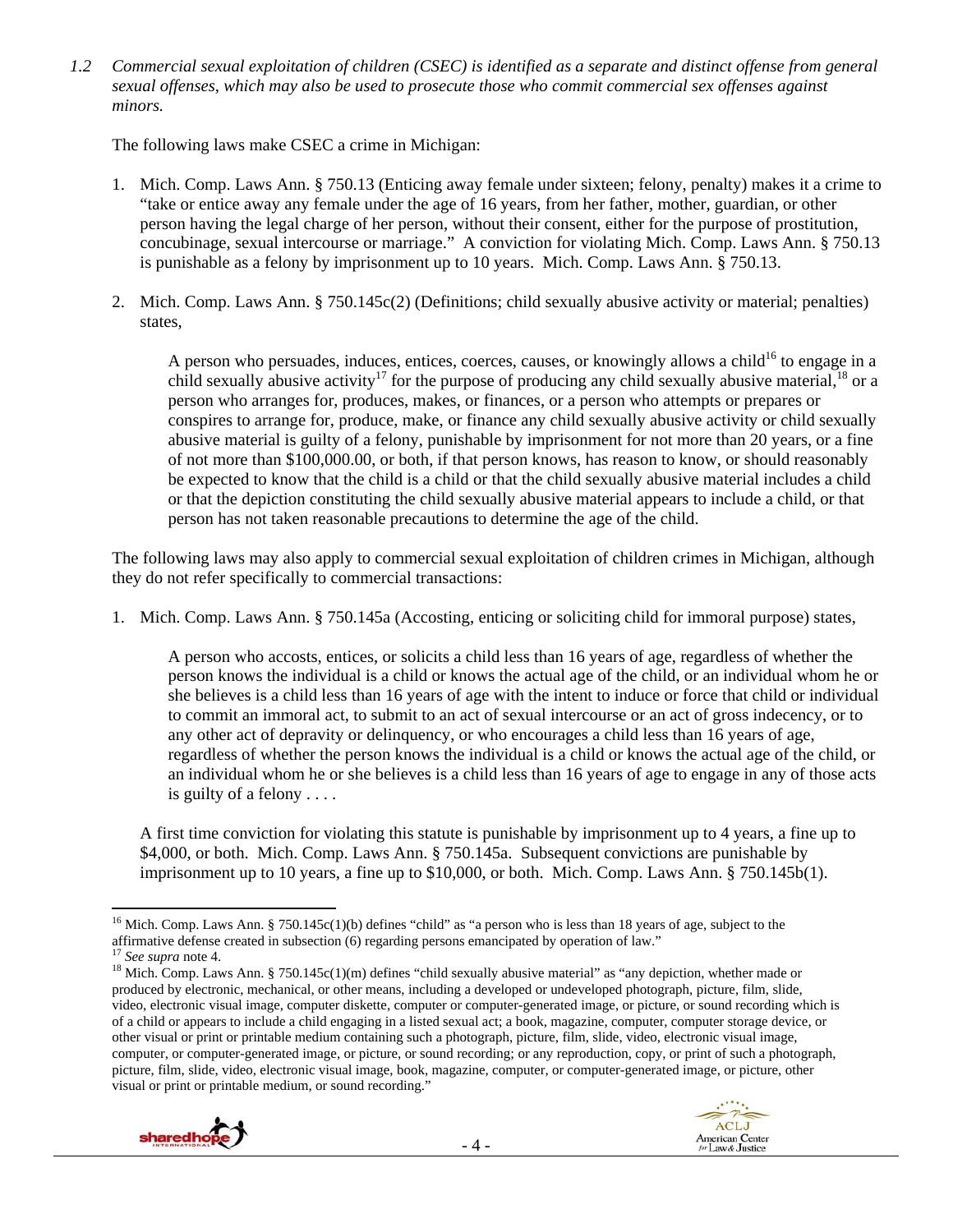*1.2 Commercial sexual exploitation of children (CSEC) is identified as a separate and distinct offense from general sexual offenses, which may also be used to prosecute those who commit commercial sex offenses against minors.* 

The following laws make CSEC a crime in Michigan:

- 1. Mich. Comp. Laws Ann. § 750.13 (Enticing away female under sixteen; felony, penalty) makes it a crime to "take or entice away any female under the age of 16 years, from her father, mother, guardian, or other person having the legal charge of her person, without their consent, either for the purpose of prostitution, concubinage, sexual intercourse or marriage." A conviction for violating Mich. Comp. Laws Ann. § 750.13 is punishable as a felony by imprisonment up to 10 years. Mich. Comp. Laws Ann. § 750.13.
- 2. Mich. Comp. Laws Ann. § 750.145c(2) (Definitions; child sexually abusive activity or material; penalties) states,

A person who persuades, induces, entices, coerces, causes, or knowingly allows a child<sup>16</sup> to engage in a child sexually abusive activity<sup>17</sup> for the purpose of producing any child sexually abusive material,<sup>18</sup> or a person who arranges for, produces, makes, or finances, or a person who attempts or prepares or conspires to arrange for, produce, make, or finance any child sexually abusive activity or child sexually abusive material is guilty of a felony, punishable by imprisonment for not more than 20 years, or a fine of not more than \$100,000.00, or both, if that person knows, has reason to know, or should reasonably be expected to know that the child is a child or that the child sexually abusive material includes a child or that the depiction constituting the child sexually abusive material appears to include a child, or that person has not taken reasonable precautions to determine the age of the child.

The following laws may also apply to commercial sexual exploitation of children crimes in Michigan, although they do not refer specifically to commercial transactions:

1. Mich. Comp. Laws Ann. § 750.145a (Accosting, enticing or soliciting child for immoral purpose) states,

A person who accosts, entices, or solicits a child less than 16 years of age, regardless of whether the person knows the individual is a child or knows the actual age of the child, or an individual whom he or she believes is a child less than 16 years of age with the intent to induce or force that child or individual to commit an immoral act, to submit to an act of sexual intercourse or an act of gross indecency, or to any other act of depravity or delinquency, or who encourages a child less than 16 years of age, regardless of whether the person knows the individual is a child or knows the actual age of the child, or an individual whom he or she believes is a child less than 16 years of age to engage in any of those acts is guilty of a felony . . . .

A first time conviction for violating this statute is punishable by imprisonment up to 4 years, a fine up to \$4,000, or both. Mich. Comp. Laws Ann. § 750.145a. Subsequent convictions are punishable by imprisonment up to 10 years, a fine up to \$10,000, or both. Mich. Comp. Laws Ann. § 750.145b(1).

produced by electronic, mechanical, or other means, including a developed or undeveloped photograph, picture, film, slide, video, electronic visual image, computer diskette, computer or computer-generated image, or picture, or sound recording which is of a child or appears to include a child engaging in a listed sexual act; a book, magazine, computer, computer storage device, or other visual or print or printable medium containing such a photograph, picture, film, slide, video, electronic visual image, computer, or computer-generated image, or picture, or sound recording; or any reproduction, copy, or print of such a photograph, picture, film, slide, video, electronic visual image, book, magazine, computer, or computer-generated image, or picture, other visual or print or printable medium, or sound recording."



 <sup>16</sup> Mich. Comp. Laws Ann. § 750.145c(1)(b) defines "child" as "a person who is less than 18 years of age, subject to the affirmative defense created in subsection (6) regarding persons emancipated by operation of law."<br><sup>17</sup> See supra note 4.<br><sup>18</sup> Mich. Comp. Laws Ann. § 750.145c(1)(m) defines "child sexually abusive material" as "any depict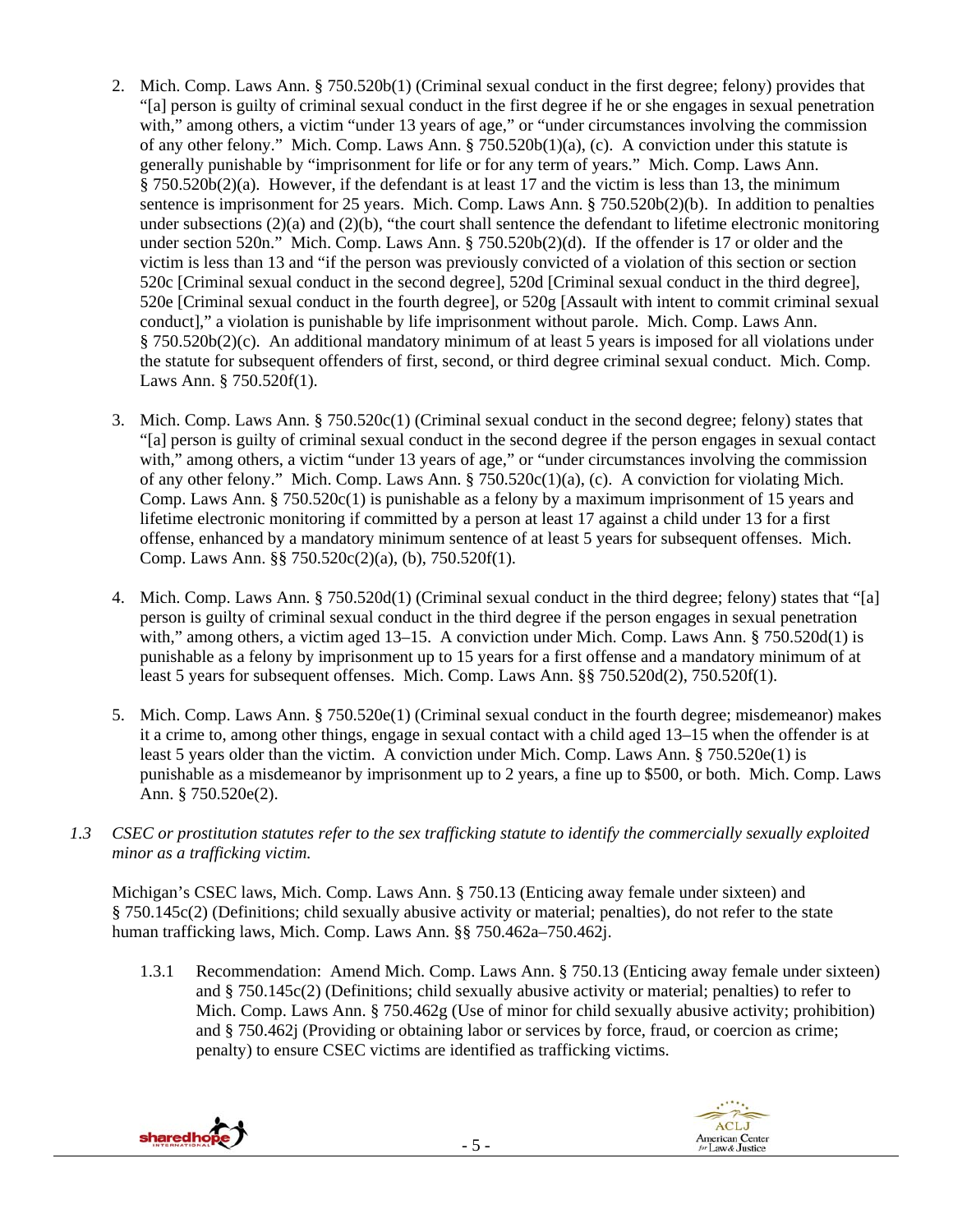- 2. Mich. Comp. Laws Ann. § 750.520b(1) (Criminal sexual conduct in the first degree; felony) provides that "[a] person is guilty of criminal sexual conduct in the first degree if he or she engages in sexual penetration with," among others, a victim "under 13 years of age," or "under circumstances involving the commission of any other felony." Mich. Comp. Laws Ann. § 750.520b(1)(a), (c). A conviction under this statute is generally punishable by "imprisonment for life or for any term of years." Mich. Comp. Laws Ann.  $§ 750.520b(2)(a)$ . However, if the defendant is at least 17 and the victim is less than 13, the minimum sentence is imprisonment for 25 years. Mich. Comp. Laws Ann. § 750.520b(2)(b). In addition to penalties under subsections (2)(a) and (2)(b), "the court shall sentence the defendant to lifetime electronic monitoring under section 520n." Mich. Comp. Laws Ann. § 750.520b(2)(d). If the offender is 17 or older and the victim is less than 13 and "if the person was previously convicted of a violation of this section or section 520c [Criminal sexual conduct in the second degree], 520d [Criminal sexual conduct in the third degree], 520e [Criminal sexual conduct in the fourth degree], or 520g [Assault with intent to commit criminal sexual conduct]," a violation is punishable by life imprisonment without parole. Mich. Comp. Laws Ann. § 750.520b(2)(c). An additional mandatory minimum of at least 5 years is imposed for all violations under the statute for subsequent offenders of first, second, or third degree criminal sexual conduct. Mich. Comp. Laws Ann. § 750.520f(1).
- 3. Mich. Comp. Laws Ann. § 750.520c(1) (Criminal sexual conduct in the second degree; felony) states that "[a] person is guilty of criminal sexual conduct in the second degree if the person engages in sexual contact with," among others, a victim "under 13 years of age," or "under circumstances involving the commission of any other felony." Mich. Comp. Laws Ann. § 750.520c(1)(a), (c). A conviction for violating Mich. Comp. Laws Ann.  $\S 750.520c(1)$  is punishable as a felony by a maximum imprisonment of 15 years and lifetime electronic monitoring if committed by a person at least 17 against a child under 13 for a first offense, enhanced by a mandatory minimum sentence of at least 5 years for subsequent offenses. Mich. Comp. Laws Ann. §§ 750.520c(2)(a), (b), 750.520f(1).
- 4. Mich. Comp. Laws Ann. § 750.520d(1) (Criminal sexual conduct in the third degree; felony) states that "[a] person is guilty of criminal sexual conduct in the third degree if the person engages in sexual penetration with," among others, a victim aged 13–15. A conviction under Mich. Comp. Laws Ann. § 750.520d(1) is punishable as a felony by imprisonment up to 15 years for a first offense and a mandatory minimum of at least 5 years for subsequent offenses. Mich. Comp. Laws Ann. §§ 750.520d(2), 750.520f(1).
- 5. Mich. Comp. Laws Ann. § 750.520e(1) (Criminal sexual conduct in the fourth degree; misdemeanor) makes it a crime to, among other things, engage in sexual contact with a child aged 13–15 when the offender is at least 5 years older than the victim. A conviction under Mich. Comp. Laws Ann. § 750.520e(1) is punishable as a misdemeanor by imprisonment up to 2 years, a fine up to \$500, or both. Mich. Comp. Laws Ann. § 750.520e(2).
- *1.3 CSEC or prostitution statutes refer to the sex trafficking statute to identify the commercially sexually exploited minor as a trafficking victim.*

Michigan's CSEC laws, Mich. Comp. Laws Ann. § 750.13 (Enticing away female under sixteen) and § 750.145c(2) (Definitions; child sexually abusive activity or material; penalties), do not refer to the state human trafficking laws, Mich. Comp. Laws Ann. §§ 750.462a–750.462j.

1.3.1 Recommendation: Amend Mich. Comp. Laws Ann. § 750.13 (Enticing away female under sixteen) and § 750.145c(2) (Definitions; child sexually abusive activity or material; penalties) to refer to Mich. Comp. Laws Ann. § 750.462g (Use of minor for child sexually abusive activity; prohibition) and § 750.462j (Providing or obtaining labor or services by force, fraud, or coercion as crime; penalty) to ensure CSEC victims are identified as trafficking victims.



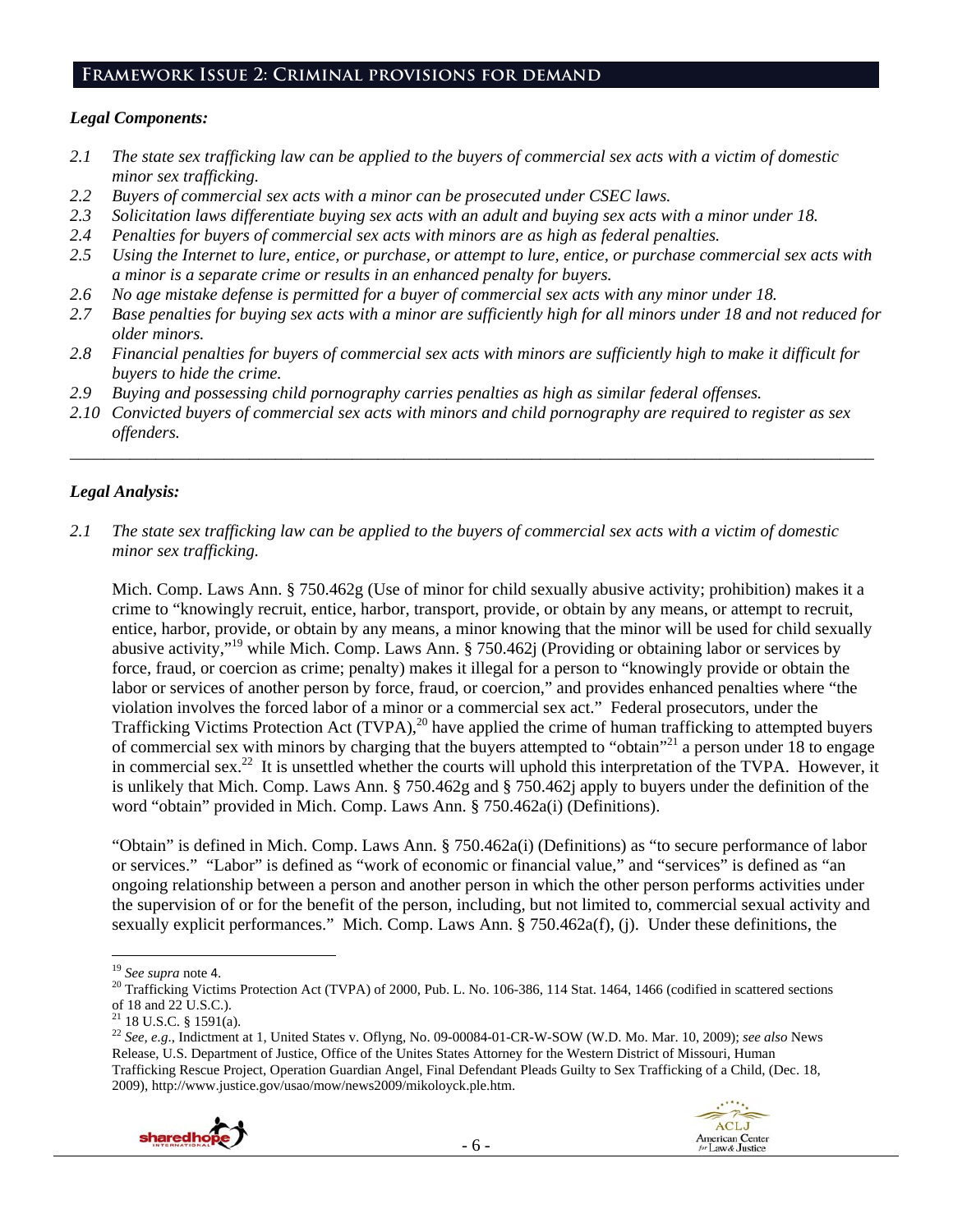### **Framework Issue 2: Criminal provisions for demand**

### *Legal Components:*

- *2.1 The state sex trafficking law can be applied to the buyers of commercial sex acts with a victim of domestic minor sex trafficking.*
- *2.2 Buyers of commercial sex acts with a minor can be prosecuted under CSEC laws.*
- *2.3 Solicitation laws differentiate buying sex acts with an adult and buying sex acts with a minor under 18.*
- *2.4 Penalties for buyers of commercial sex acts with minors are as high as federal penalties.*
- *2.5 Using the Internet to lure, entice, or purchase, or attempt to lure, entice, or purchase commercial sex acts with a minor is a separate crime or results in an enhanced penalty for buyers.*
- *2.6 No age mistake defense is permitted for a buyer of commercial sex acts with any minor under 18.*
- 2.7 Base penalties for buying sex acts with a minor are sufficiently high for all minors under 18 and not reduced for *older minors.*
- *2.8 Financial penalties for buyers of commercial sex acts with minors are sufficiently high to make it difficult for buyers to hide the crime.*
- *2.9 Buying and possessing child pornography carries penalties as high as similar federal offenses.*
- *2.10 Convicted buyers of commercial sex acts with minors and child pornography are required to register as sex offenders.*

\_\_\_\_\_\_\_\_\_\_\_\_\_\_\_\_\_\_\_\_\_\_\_\_\_\_\_\_\_\_\_\_\_\_\_\_\_\_\_\_\_\_\_\_\_\_\_\_\_\_\_\_\_\_\_\_\_\_\_\_\_\_\_\_\_\_\_\_\_\_\_\_\_\_\_\_\_\_\_\_\_\_\_\_\_\_\_\_\_\_\_\_\_\_

## *Legal Analysis:*

*2.1 The state sex trafficking law can be applied to the buyers of commercial sex acts with a victim of domestic minor sex trafficking.* 

Mich. Comp. Laws Ann. § 750.462g (Use of minor for child sexually abusive activity; prohibition) makes it a crime to "knowingly recruit, entice, harbor, transport, provide, or obtain by any means, or attempt to recruit, entice, harbor, provide, or obtain by any means, a minor knowing that the minor will be used for child sexually abusive activity,"19 while Mich. Comp. Laws Ann. § 750.462j (Providing or obtaining labor or services by force, fraud, or coercion as crime; penalty) makes it illegal for a person to "knowingly provide or obtain the labor or services of another person by force, fraud, or coercion," and provides enhanced penalties where "the violation involves the forced labor of a minor or a commercial sex act." Federal prosecutors, under the Trafficking Victims Protection Act (TVPA),<sup>20</sup> have applied the crime of human trafficking to attempted buyers of commercial sex with minors by charging that the buyers attempted to "obtain"21 a person under 18 to engage in commercial sex.<sup>22</sup> It is unsettled whether the courts will uphold this interpretation of the TVPA. However, it is unlikely that Mich. Comp. Laws Ann. § 750.462g and § 750.462j apply to buyers under the definition of the word "obtain" provided in Mich. Comp. Laws Ann. § 750.462a(i) (Definitions).

"Obtain" is defined in Mich. Comp. Laws Ann. § 750.462a(i) (Definitions) as "to secure performance of labor or services." "Labor" is defined as "work of economic or financial value," and "services" is defined as "an ongoing relationship between a person and another person in which the other person performs activities under the supervision of or for the benefit of the person, including, but not limited to, commercial sexual activity and sexually explicit performances." Mich. Comp. Laws Ann. § 750.462a(f), (j). Under these definitions, the

<sup>22</sup> *See, e.g*., Indictment at 1, United States v. Oflyng, No. 09-00084-01-CR-W-SOW (W.D. Mo. Mar. 10, 2009); *see also* News Release, U.S. Department of Justice, Office of the Unites States Attorney for the Western District of Missouri, Human Trafficking Rescue Project, Operation Guardian Angel, Final Defendant Pleads Guilty to Sex Trafficking of a Child, (Dec. 18, 2009), http://www.justice.gov/usao/mow/news2009/mikoloyck.ple.htm.



<sup>&</sup>lt;sup>19</sup> *See supra* note 4.<br><sup>20</sup> Trafficking Victims Protection Act (TVPA) of 2000, Pub. L. No. 106-386, 114 Stat. 1464, 1466 (codified in scattered sections of 18 and 22 U.S.C.).

 $^{21}$  18 U.S.C. § 1591(a).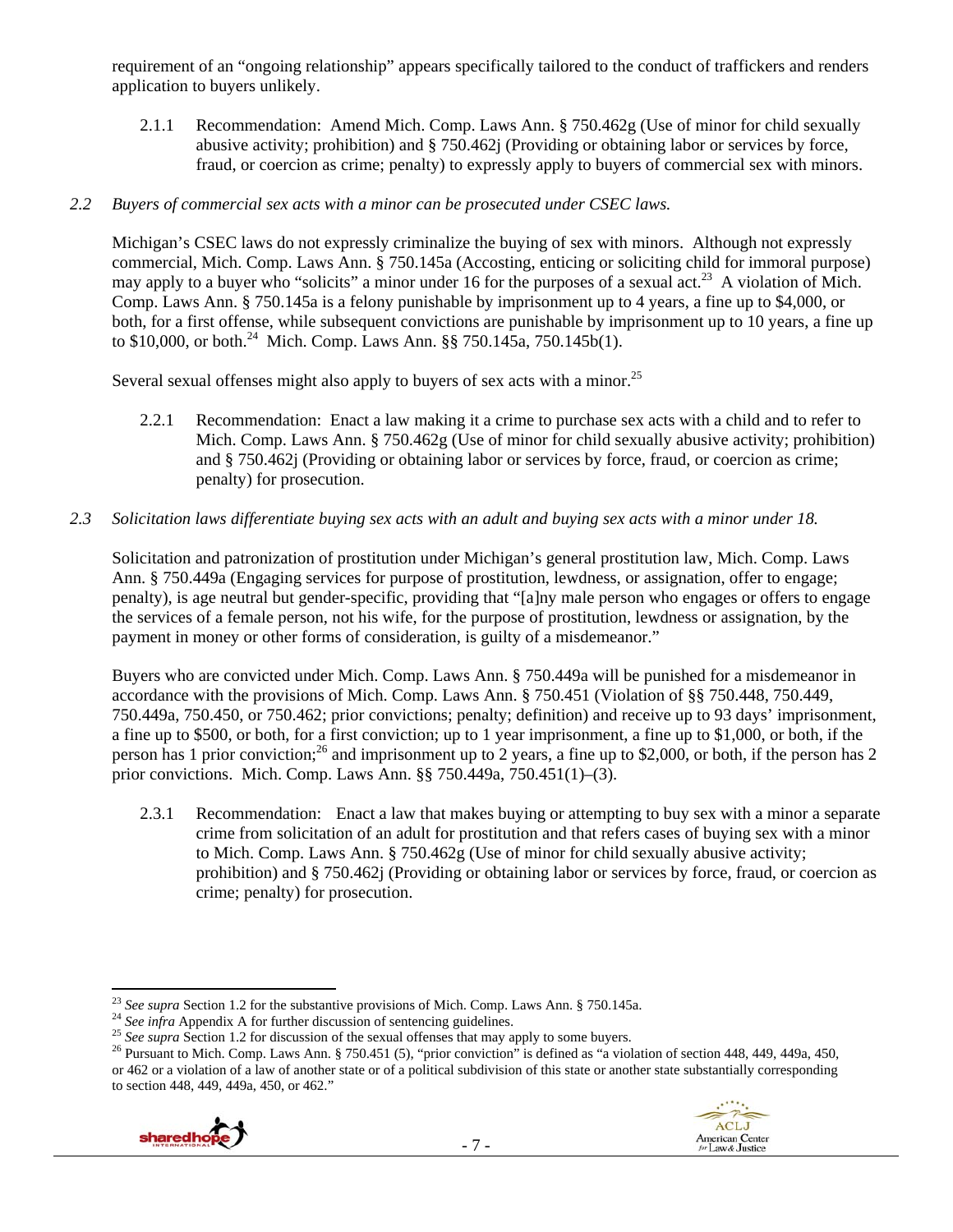requirement of an "ongoing relationship" appears specifically tailored to the conduct of traffickers and renders application to buyers unlikely.

2.1.1 Recommendation: Amend Mich. Comp. Laws Ann. § 750.462g (Use of minor for child sexually abusive activity; prohibition) and § 750.462j (Providing or obtaining labor or services by force, fraud, or coercion as crime; penalty) to expressly apply to buyers of commercial sex with minors.

### *2.2 Buyers of commercial sex acts with a minor can be prosecuted under CSEC laws.*

Michigan's CSEC laws do not expressly criminalize the buying of sex with minors. Although not expressly commercial, Mich. Comp. Laws Ann. § 750.145a (Accosting, enticing or soliciting child for immoral purpose) may apply to a buyer who "solicits" a minor under 16 for the purposes of a sexual act.<sup>23</sup> A violation of Mich. Comp. Laws Ann. § 750.145a is a felony punishable by imprisonment up to 4 years, a fine up to \$4,000, or both, for a first offense, while subsequent convictions are punishable by imprisonment up to 10 years, a fine up to \$10,000, or both.<sup>24</sup> Mich. Comp. Laws Ann. §§ 750.145a, 750.145b(1).

Several sexual offenses might also apply to buyers of sex acts with a minor.<sup>25</sup>

2.2.1 Recommendation: Enact a law making it a crime to purchase sex acts with a child and to refer to Mich. Comp. Laws Ann. § 750.462g (Use of minor for child sexually abusive activity; prohibition) and § 750.462j (Providing or obtaining labor or services by force, fraud, or coercion as crime; penalty) for prosecution.

### *2.3 Solicitation laws differentiate buying sex acts with an adult and buying sex acts with a minor under 18.*

Solicitation and patronization of prostitution under Michigan's general prostitution law, Mich. Comp. Laws Ann. § 750.449a (Engaging services for purpose of prostitution, lewdness, or assignation, offer to engage; penalty), is age neutral but gender-specific, providing that "[a]ny male person who engages or offers to engage the services of a female person, not his wife, for the purpose of prostitution, lewdness or assignation, by the payment in money or other forms of consideration, is guilty of a misdemeanor."

Buyers who are convicted under Mich. Comp. Laws Ann. § 750.449a will be punished for a misdemeanor in accordance with the provisions of Mich. Comp. Laws Ann. § 750.451 (Violation of §§ 750.448, 750.449, 750.449a, 750.450, or 750.462; prior convictions; penalty; definition) and receive up to 93 days' imprisonment, a fine up to \$500, or both, for a first conviction; up to 1 year imprisonment, a fine up to \$1,000, or both, if the person has 1 prior conviction;<sup>26</sup> and imprisonment up to 2 years, a fine up to \$2,000, or both, if the person has 2 prior convictions. Mich. Comp. Laws Ann. §§ 750.449a, 750.451(1)–(3).

2.3.1 Recommendation: Enact a law that makes buying or attempting to buy sex with a minor a separate crime from solicitation of an adult for prostitution and that refers cases of buying sex with a minor to Mich. Comp. Laws Ann. § 750.462g (Use of minor for child sexually abusive activity; prohibition) and § 750.462j (Providing or obtaining labor or services by force, fraud, or coercion as crime; penalty) for prosecution.

<sup>&</sup>lt;sup>24</sup> See infra Appendix A for further discussion of sentencing guidelines.<br><sup>25</sup> See supra Section 1.2 for discussion of the sexual offenses that may apply to some buyers.<br><sup>25</sup> See supra Section 1.2 for discussion of the s or 462 or a violation of a law of another state or of a political subdivision of this state or another state substantially corresponding to section 448, 449, 449a, 450, or 462."



<sup>&</sup>lt;sup>23</sup> See supra Section 1.2 for the substantive provisions of Mich. Comp. Laws Ann. § 750.145a.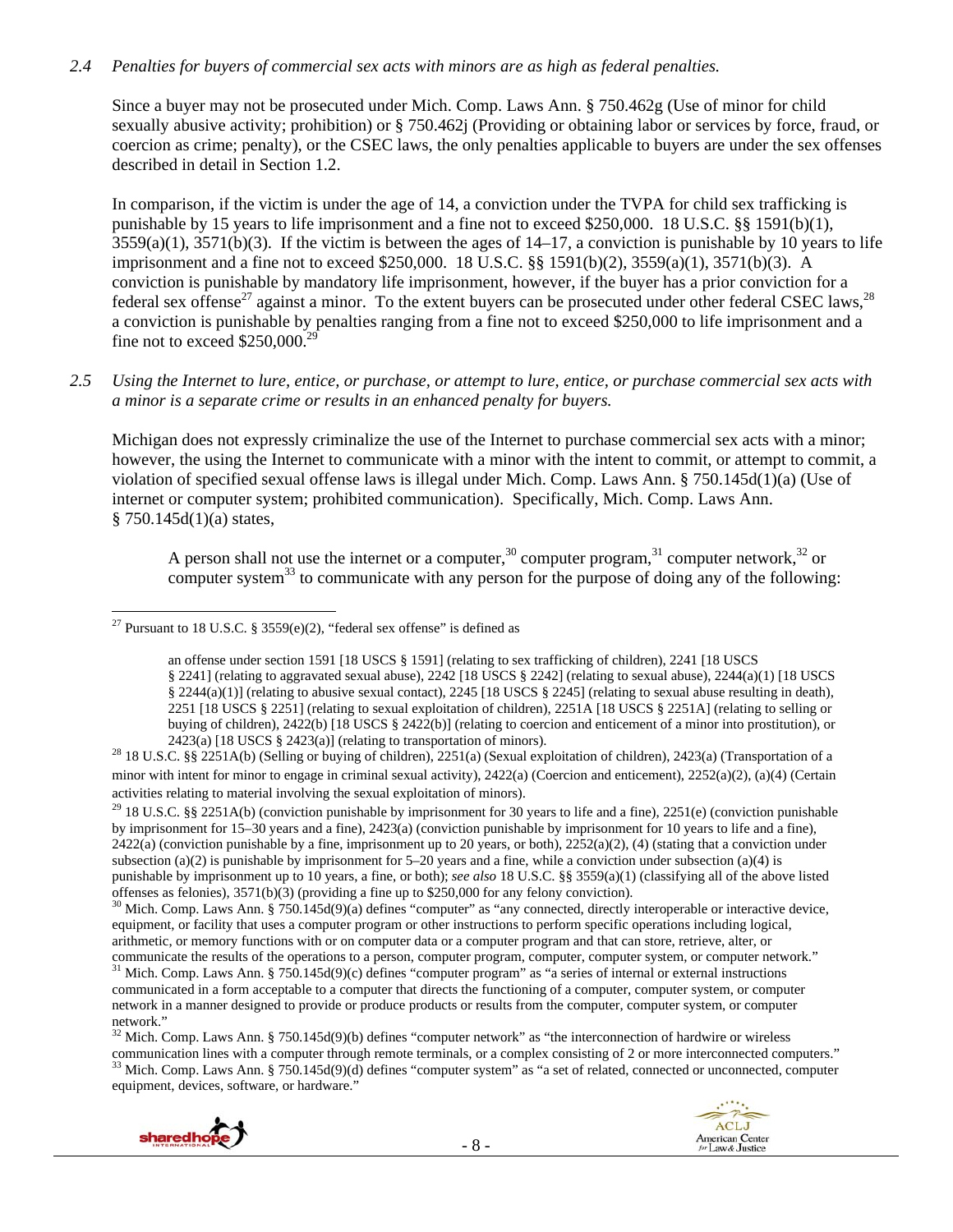### *2.4 Penalties for buyers of commercial sex acts with minors are as high as federal penalties.*

Since a buyer may not be prosecuted under Mich. Comp. Laws Ann. § 750.462g (Use of minor for child sexually abusive activity; prohibition) or § 750.462j (Providing or obtaining labor or services by force, fraud, or coercion as crime; penalty), or the CSEC laws, the only penalties applicable to buyers are under the sex offenses described in detail in Section 1.2.

In comparison, if the victim is under the age of 14, a conviction under the TVPA for child sex trafficking is punishable by 15 years to life imprisonment and a fine not to exceed \$250,000. 18 U.S.C. §§ 1591(b)(1),  $3559(a)(1)$ ,  $3571(b)(3)$ . If the victim is between the ages of  $14-17$ , a conviction is punishable by 10 years to life imprisonment and a fine not to exceed \$250,000. 18 U.S.C. §§ 1591(b)(2), 3559(a)(1), 3571(b)(3). A conviction is punishable by mandatory life imprisonment, however, if the buyer has a prior conviction for a federal sex offense<sup>27</sup> against a minor. To the extent buyers can be prosecuted under other federal CSEC laws.<sup>28</sup> a conviction is punishable by penalties ranging from a fine not to exceed \$250,000 to life imprisonment and a fine not to exceed  $$250,000.<sup>2</sup>$ 

### *2.5 Using the Internet to lure, entice, or purchase, or attempt to lure, entice, or purchase commercial sex acts with a minor is a separate crime or results in an enhanced penalty for buyers.*

Michigan does not expressly criminalize the use of the Internet to purchase commercial sex acts with a minor; however, the using the Internet to communicate with a minor with the intent to commit, or attempt to commit, a violation of specified sexual offense laws is illegal under Mich. Comp. Laws Ann. § 750.145d(1)(a) (Use of internet or computer system; prohibited communication). Specifically, Mich. Comp. Laws Ann.  $§ 750.145d(1)(a) states,$ 

A person shall not use the internet or a computer,  $30$  computer program,  $31$  computer network,  $32$  or computer system $33$  to communicate with any person for the purpose of doing any of the following:

 $32$  Mich. Comp. Laws Ann. § 750.145d(9)(b) defines "computer network" as "the interconnection of hardwire or wireless communication lines with a computer through remote terminals, or a complex consisting of 2 or more int  $33$  Mich. Comp. Laws Ann. § 750.145d(9)(d) defines "computer system" as "a set of related, connected or unconnected, computer equipment, devices, software, or hardware."



 <sup>27</sup> Pursuant to 18 U.S.C. § 3559 $(e)(2)$ , "federal sex offense" is defined as

an offense under section 1591 [18 USCS § 1591] (relating to sex trafficking of children), 2241 [18 USCS § 2241] (relating to aggravated sexual abuse), 2242 [18 USCS § 2242] (relating to sexual abuse), 2244(a)(1) [18 USCS § 2244(a)(1)] (relating to abusive sexual contact), 2245 [18 USCS § 2245] (relating to sexual abuse resulting in death), 2251 [18 USCS § 2251] (relating to sexual exploitation of children), 2251A [18 USCS § 2251A] (relating to selling or buying of children), 2422(b) [18 USCS § 2422(b)] (relating to coercion and enticement of a minor into prostitution), or

<sup>2423(</sup>a) [18 USCS § 2423(a)] (relating to transportation of minors). 28 18 U.S.C. §§ 2251A(b) (Selling or buying of children), 2251(a) (Sexual exploitation of children), 2423(a) (Transportation of a minor with intent for minor to engage in criminal sexual activity), 2422(a) (Coercion and enticement), 2252(a)(2), (a)(4) (Certain activities relating to material involving the sexual exploitation of minors).

<sup>&</sup>lt;sup>29</sup> 18 U.S.C. §§ 2251A(b) (conviction punishable by imprisonment for 30 years to life and a fine), 2251(e) (conviction punishable by imprisonment for 15–30 years and a fine), 2423(a) (conviction punishable by imprisonment for 10 years to life and a fine),  $2422(a)$  (conviction punishable by a fine, imprisonment up to 20 years, or both),  $2252(a)(2)$ , (4) (stating that a conviction under subsection (a)(2) is punishable by imprisonment for  $5-20$  years and a fine, while a conviction under subsection (a)(4) is punishable by imprisonment up to 10 years, a fine, or both); *see also* 18 U.S.C. §§ 3559(a)(1) (classifying all of the above listed

offenses as felonies),  $3571(b)(3)$  (providing a fine up to \$250,000 for any felony conviction).<br><sup>30</sup> Mich. Comp. Laws Ann. § 750.145d(9)(a) defines "computer" as "any connected, directly interoperable or interactive device equipment, or facility that uses a computer program or other instructions to perform specific operations including logical, arithmetic, or memory functions with or on computer data or a computer program and that can store, retrieve, alter, or communicate the results of the operations to a person, computer program, computer, computer system, or computer network." <sup>31</sup> Mich. Comp. Laws Ann. § 750.145d(9)(c) defines "computer program" as "a series of internal or external instructions communicated in a form acceptable to a computer that directs the functioning of a computer, computer system, or computer network in a manner designed to provide or produce products or results from the computer, computer system, or computer network."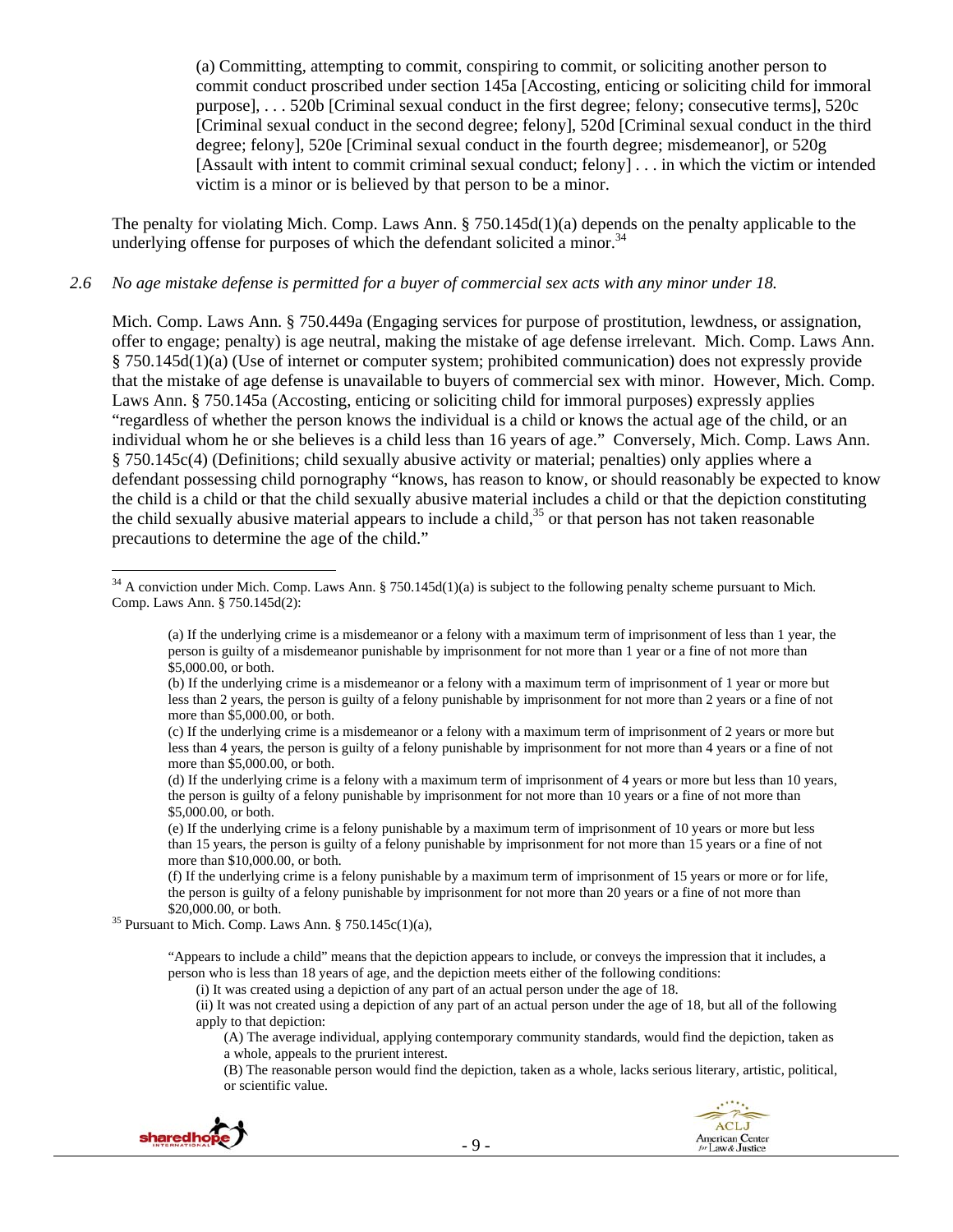(a) Committing, attempting to commit, conspiring to commit, or soliciting another person to commit conduct proscribed under section 145a [Accosting, enticing or soliciting child for immoral purpose], . . . 520b [Criminal sexual conduct in the first degree; felony; consecutive terms], 520c [Criminal sexual conduct in the second degree; felony], 520d [Criminal sexual conduct in the third degree; felony], 520e [Criminal sexual conduct in the fourth degree; misdemeanor], or 520g [Assault with intent to commit criminal sexual conduct; felony] . . . in which the victim or intended victim is a minor or is believed by that person to be a minor.

The penalty for violating Mich. Comp. Laws Ann. § 750.145d(1)(a) depends on the penalty applicable to the underlying offense for purposes of which the defendant solicited a minor.<sup>34</sup>

### *2.6 No age mistake defense is permitted for a buyer of commercial sex acts with any minor under 18.*

Mich. Comp. Laws Ann. § 750.449a (Engaging services for purpose of prostitution, lewdness, or assignation, offer to engage; penalty) is age neutral, making the mistake of age defense irrelevant. Mich. Comp. Laws Ann. § 750.145d(1)(a) (Use of internet or computer system; prohibited communication) does not expressly provide that the mistake of age defense is unavailable to buyers of commercial sex with minor. However, Mich. Comp. Laws Ann. § 750.145a (Accosting, enticing or soliciting child for immoral purposes) expressly applies "regardless of whether the person knows the individual is a child or knows the actual age of the child, or an individual whom he or she believes is a child less than 16 years of age." Conversely, Mich. Comp. Laws Ann. § 750.145c(4) (Definitions; child sexually abusive activity or material; penalties) only applies where a defendant possessing child pornography "knows, has reason to know, or should reasonably be expected to know the child is a child or that the child sexually abusive material includes a child or that the depiction constituting the child sexually abusive material appears to include a child, $35$  or that person has not taken reasonable precautions to determine the age of the child."

\$20,000.00, or both.<br><sup>35</sup> Pursuant to Mich. Comp. Laws Ann. § 750.145c(1)(a),

(i) It was created using a depiction of any part of an actual person under the age of 18.

(ii) It was not created using a depiction of any part of an actual person under the age of 18, but all of the following apply to that depiction:

(A) The average individual, applying contemporary community standards, would find the depiction, taken as a whole, appeals to the prurient interest.

(B) The reasonable person would find the depiction, taken as a whole, lacks serious literary, artistic, political, or scientific value.



 $34$  A conviction under Mich. Comp. Laws Ann. § 750.145d(1)(a) is subject to the following penalty scheme pursuant to Mich. Comp. Laws Ann. § 750.145d(2):

<sup>(</sup>a) If the underlying crime is a misdemeanor or a felony with a maximum term of imprisonment of less than 1 year, the person is guilty of a misdemeanor punishable by imprisonment for not more than 1 year or a fine of not more than \$5,000.00, or both.

<sup>(</sup>b) If the underlying crime is a misdemeanor or a felony with a maximum term of imprisonment of 1 year or more but less than 2 years, the person is guilty of a felony punishable by imprisonment for not more than 2 years or a fine of not more than \$5,000.00, or both.

<sup>(</sup>c) If the underlying crime is a misdemeanor or a felony with a maximum term of imprisonment of 2 years or more but less than 4 years, the person is guilty of a felony punishable by imprisonment for not more than 4 years or a fine of not more than \$5,000.00, or both.

<sup>(</sup>d) If the underlying crime is a felony with a maximum term of imprisonment of 4 years or more but less than 10 years, the person is guilty of a felony punishable by imprisonment for not more than 10 years or a fine of not more than \$5,000.00, or both.

<sup>(</sup>e) If the underlying crime is a felony punishable by a maximum term of imprisonment of 10 years or more but less than 15 years, the person is guilty of a felony punishable by imprisonment for not more than 15 years or a fine of not more than \$10,000.00, or both.

<sup>(</sup>f) If the underlying crime is a felony punishable by a maximum term of imprisonment of 15 years or more or for life, the person is guilty of a felony punishable by imprisonment for not more than 20 years or a fine of not more than

<sup>&</sup>quot;Appears to include a child" means that the depiction appears to include, or conveys the impression that it includes, a person who is less than 18 years of age, and the depiction meets either of the following conditions: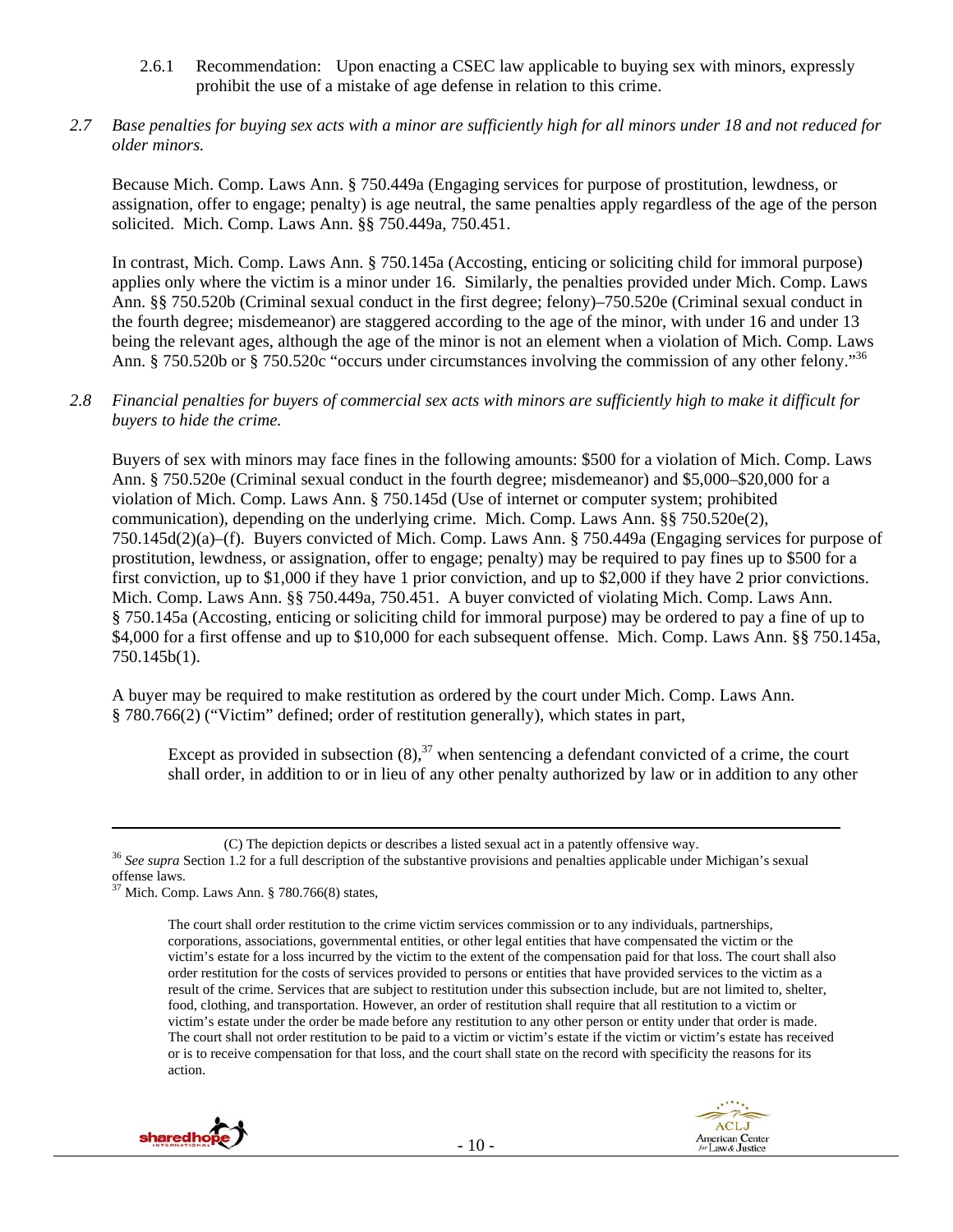- 2.6.1 Recommendation: Upon enacting a CSEC law applicable to buying sex with minors, expressly prohibit the use of a mistake of age defense in relation to this crime.
- *2.7 Base penalties for buying sex acts with a minor are sufficiently high for all minors under 18 and not reduced for older minors.*

Because Mich. Comp. Laws Ann. § 750.449a (Engaging services for purpose of prostitution, lewdness, or assignation, offer to engage; penalty) is age neutral, the same penalties apply regardless of the age of the person solicited. Mich. Comp. Laws Ann. §§ 750.449a, 750.451.

In contrast, Mich. Comp. Laws Ann. § 750.145a (Accosting, enticing or soliciting child for immoral purpose) applies only where the victim is a minor under 16. Similarly, the penalties provided under Mich. Comp. Laws Ann. §§ 750.520b (Criminal sexual conduct in the first degree; felony)–750.520e (Criminal sexual conduct in the fourth degree; misdemeanor) are staggered according to the age of the minor, with under 16 and under 13 being the relevant ages, although the age of the minor is not an element when a violation of Mich. Comp. Laws Ann. § 750.520b or § 750.520c "occurs under circumstances involving the commission of any other felony."<sup>36</sup>

*2.8 Financial penalties for buyers of commercial sex acts with minors are sufficiently high to make it difficult for buyers to hide the crime.* 

Buyers of sex with minors may face fines in the following amounts: \$500 for a violation of Mich. Comp. Laws Ann. § 750.520e (Criminal sexual conduct in the fourth degree; misdemeanor) and \$5,000–\$20,000 for a violation of Mich. Comp. Laws Ann. § 750.145d (Use of internet or computer system; prohibited communication), depending on the underlying crime. Mich. Comp. Laws Ann.  $\S$ § 750.520e(2), 750.145d(2)(a)–(f). Buyers convicted of Mich. Comp. Laws Ann. § 750.449a (Engaging services for purpose of prostitution, lewdness, or assignation, offer to engage; penalty) may be required to pay fines up to \$500 for a first conviction, up to \$1,000 if they have 1 prior conviction, and up to \$2,000 if they have 2 prior convictions. Mich. Comp. Laws Ann. §§ 750.449a, 750.451. A buyer convicted of violating Mich. Comp. Laws Ann. § 750.145a (Accosting, enticing or soliciting child for immoral purpose) may be ordered to pay a fine of up to \$4,000 for a first offense and up to \$10,000 for each subsequent offense. Mich. Comp. Laws Ann. §§ 750.145a, 750.145b(1).

A buyer may be required to make restitution as ordered by the court under Mich. Comp. Laws Ann. § 780.766(2) ("Victim" defined; order of restitution generally), which states in part,

Except as provided in subsection  $(8)$ ,  $37$  when sentencing a defendant convicted of a crime, the court shall order, in addition to or in lieu of any other penalty authorized by law or in addition to any other

The court shall order restitution to the crime victim services commission or to any individuals, partnerships, corporations, associations, governmental entities, or other legal entities that have compensated the victim or the victim's estate for a loss incurred by the victim to the extent of the compensation paid for that loss. The court shall also order restitution for the costs of services provided to persons or entities that have provided services to the victim as a result of the crime. Services that are subject to restitution under this subsection include, but are not limited to, shelter, food, clothing, and transportation. However, an order of restitution shall require that all restitution to a victim or victim's estate under the order be made before any restitution to any other person or entity under that order is made. The court shall not order restitution to be paid to a victim or victim's estate if the victim or victim's estate has received or is to receive compensation for that loss, and the court shall state on the record with specificity the reasons for its action.



<sup>(</sup>C) The depiction depicts or describes a listed sexual act in a patently offensive way. 36 *See supra* Section 1.2 for a full description of the substantive provisions and penalties applicable under Michigan's sexual offense laws.

 $37$  Mich. Comp. Laws Ann. § 780.766(8) states,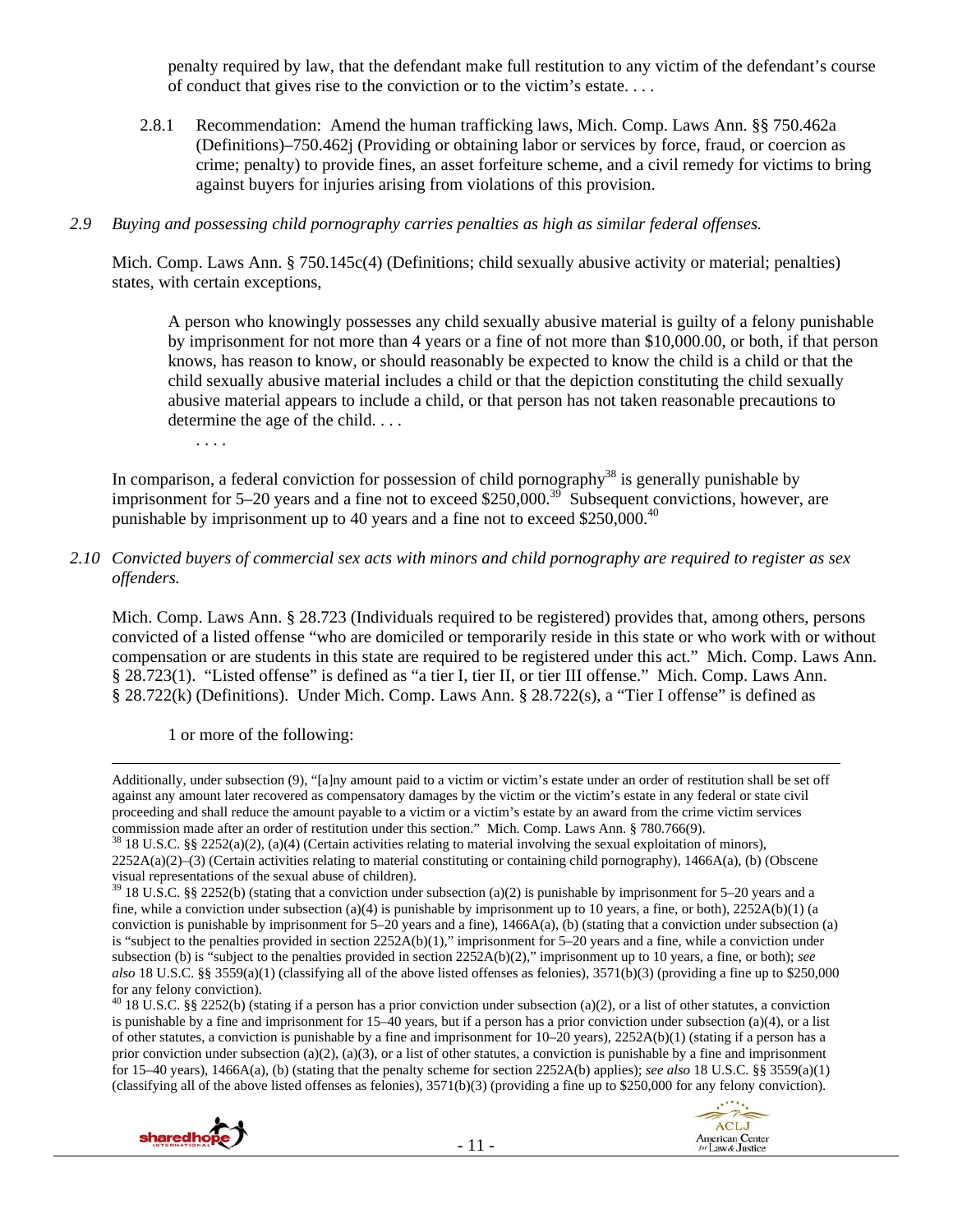penalty required by law, that the defendant make full restitution to any victim of the defendant's course of conduct that gives rise to the conviction or to the victim's estate. . . .

2.8.1 Recommendation: Amend the human trafficking laws, Mich. Comp. Laws Ann. §§ 750.462a (Definitions)–750.462j (Providing or obtaining labor or services by force, fraud, or coercion as crime; penalty) to provide fines, an asset forfeiture scheme, and a civil remedy for victims to bring against buyers for injuries arising from violations of this provision.

#### *2.9 Buying and possessing child pornography carries penalties as high as similar federal offenses.*

Mich. Comp. Laws Ann. § 750.145c(4) (Definitions; child sexually abusive activity or material; penalties) states, with certain exceptions,

A person who knowingly possesses any child sexually abusive material is guilty of a felony punishable by imprisonment for not more than 4 years or a fine of not more than \$10,000.00, or both, if that person knows, has reason to know, or should reasonably be expected to know the child is a child or that the child sexually abusive material includes a child or that the depiction constituting the child sexually abusive material appears to include a child, or that person has not taken reasonable precautions to determine the age of the child. . . .

. . . .

In comparison, a federal conviction for possession of child pornography<sup>38</sup> is generally punishable by imprisonment for 5–20 years and a fine not to exceed \$250,000.<sup>39</sup> Subsequent convictions, however, are punishable by imprisonment up to 40 years and a fine not to exceed \$250,000.<sup>40</sup>

### *2.10 Convicted buyers of commercial sex acts with minors and child pornography are required to register as sex offenders.*

Mich. Comp. Laws Ann. § 28.723 (Individuals required to be registered) provides that, among others, persons convicted of a listed offense "who are domiciled or temporarily reside in this state or who work with or without compensation or are students in this state are required to be registered under this act." Mich. Comp. Laws Ann. § 28.723(1). "Listed offense" is defined as "a tier I, tier II, or tier III offense." Mich. Comp. Laws Ann. § 28.722(k) (Definitions). Under Mich. Comp. Laws Ann. § 28.722(s), a "Tier I offense" is defined as

1 or more of the following:

<u> 1989 - Johann Stoff, fransk politik (d. 1989)</u>

 $40\,18\,$  U.S.C. §§ 2252(b) (stating if a person has a prior conviction under subsection (a)(2), or a list of other statutes, a conviction is punishable by a fine and imprisonment for 15–40 years, but if a person has a prior conviction under subsection (a)(4), or a list of other statutes, a conviction is punishable by a fine and imprisonment for  $10-20$  years),  $2252A(b)(1)$  (stating if a person has a prior conviction under subsection (a)(2), (a)(3), or a list of other statutes, a conviction is punishable by a fine and imprisonment for 15–40 years), 1466A(a), (b) (stating that the penalty scheme for section 2252A(b) applies); *see also* 18 U.S.C. §§ 3559(a)(1) (classifying all of the above listed offenses as felonies), 3571(b)(3) (providing a fine up to \$250,000 for any felony conviction).





Additionally, under subsection (9), "[a]ny amount paid to a victim or victim's estate under an order of restitution shall be set off against any amount later recovered as compensatory damages by the victim or the victim's estate in any federal or state civil proceeding and shall reduce the amount payable to a victim or a victim's estate by an award from the crime victim services commission made after an order of restitution under this section." Mich. Comp. Laws Ann. § 780.766(9).  $38 \text{ } 18 \text{ U.S.C. }$  §§ 2252(a)(2), (a)(4) (Certain activities relating to material involving the sexual exploitation o

<sup>2252</sup>A(a)(2)–(3) (Certain activities relating to material constituting or containing child pornography), 1466A(a), (b) (Obscene visual representations of the sexual abuse of children).

 $39$  18 U.S.C. §§ 2252(b) (stating that a conviction under subsection (a)(2) is punishable by imprisonment for 5–20 years and a fine, while a conviction under subsection (a)(4) is punishable by imprisonment up to 10 years, a fine, or both),  $2252A(b)(1)$  (a conviction is punishable by imprisonment for  $5-20$  years and a fine),  $1466A(a)$ , (b) (stating that a conviction under subsection (a) is "subject to the penalties provided in section 2252A(b)(1)," imprisonment for 5–20 years and a fine, while a conviction under subsection (b) is "subject to the penalties provided in section 2252A(b)(2)," imprisonment up to 10 years, a fine, or both); *see also* 18 U.S.C. §§ 3559(a)(1) (classifying all of the above listed offenses as felonies), 3571(b)(3) (providing a fine up to \$250,000 for any felony conviction).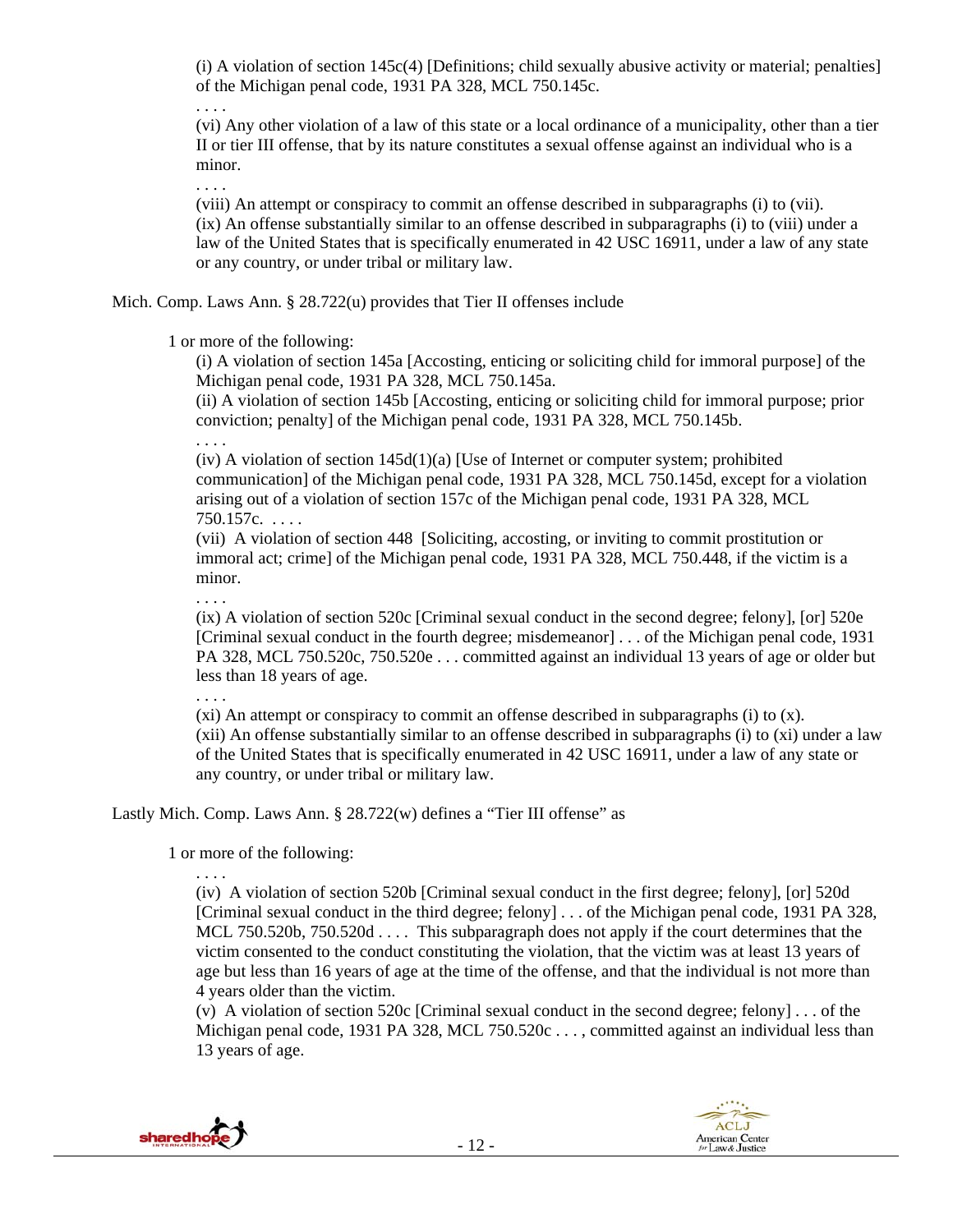(i) A violation of section 145c(4) [Definitions; child sexually abusive activity or material; penalties] of the Michigan penal code, 1931 PA 328, MCL 750.145c.

. . . .

(vi) Any other violation of a law of this state or a local ordinance of a municipality, other than a tier II or tier III offense, that by its nature constitutes a sexual offense against an individual who is a minor.

. . . .

(viii) An attempt or conspiracy to commit an offense described in subparagraphs (i) to (vii). (ix) An offense substantially similar to an offense described in subparagraphs (i) to (viii) under a law of the United States that is specifically enumerated in 42 USC 16911, under a law of any state or any country, or under tribal or military law.

Mich. Comp. Laws Ann. § 28.722(u) provides that Tier II offenses include

1 or more of the following:

(i) A violation of section 145a [Accosting, enticing or soliciting child for immoral purpose] of the Michigan penal code, 1931 PA 328, MCL 750.145a.

(ii) A violation of section 145b [Accosting, enticing or soliciting child for immoral purpose; prior conviction; penalty] of the Michigan penal code, 1931 PA 328, MCL 750.145b.

. . . .

 $(iv)$  A violation of section  $145d(1)(a)$  [Use of Internet or computer system; prohibited communication] of the Michigan penal code, 1931 PA 328, MCL 750.145d, except for a violation arising out of a violation of section 157c of the Michigan penal code, 1931 PA 328, MCL 750.157c. . . . .

(vii) A violation of section 448 [Soliciting, accosting, or inviting to commit prostitution or immoral act; crime] of the Michigan penal code, 1931 PA 328, MCL 750.448, if the victim is a minor.

(ix) A violation of section 520c [Criminal sexual conduct in the second degree; felony], [or] 520e [Criminal sexual conduct in the fourth degree; misdemeanor] . . . of the Michigan penal code, 1931 PA 328, MCL 750.520c, 750.520e . . . committed against an individual 13 years of age or older but less than 18 years of age.

. . . .

. . . .

(xi) An attempt or conspiracy to commit an offense described in subparagraphs (i) to  $(x)$ . (xii) An offense substantially similar to an offense described in subparagraphs (i) to (xi) under a law of the United States that is specifically enumerated in 42 USC 16911, under a law of any state or any country, or under tribal or military law.

Lastly Mich. Comp. Laws Ann. § 28.722(w) defines a "Tier III offense" as

1 or more of the following:

. . . .

(iv) A violation of section 520b [Criminal sexual conduct in the first degree; felony], [or] 520d [Criminal sexual conduct in the third degree; felony] . . . of the Michigan penal code, 1931 PA 328, MCL 750.520b, 750.520d . . . . This subparagraph does not apply if the court determines that the victim consented to the conduct constituting the violation, that the victim was at least 13 years of age but less than 16 years of age at the time of the offense, and that the individual is not more than 4 years older than the victim.

(v) A violation of section 520c [Criminal sexual conduct in the second degree; felony] . . . of the Michigan penal code, 1931 PA 328, MCL 750.520c . . . , committed against an individual less than 13 years of age.

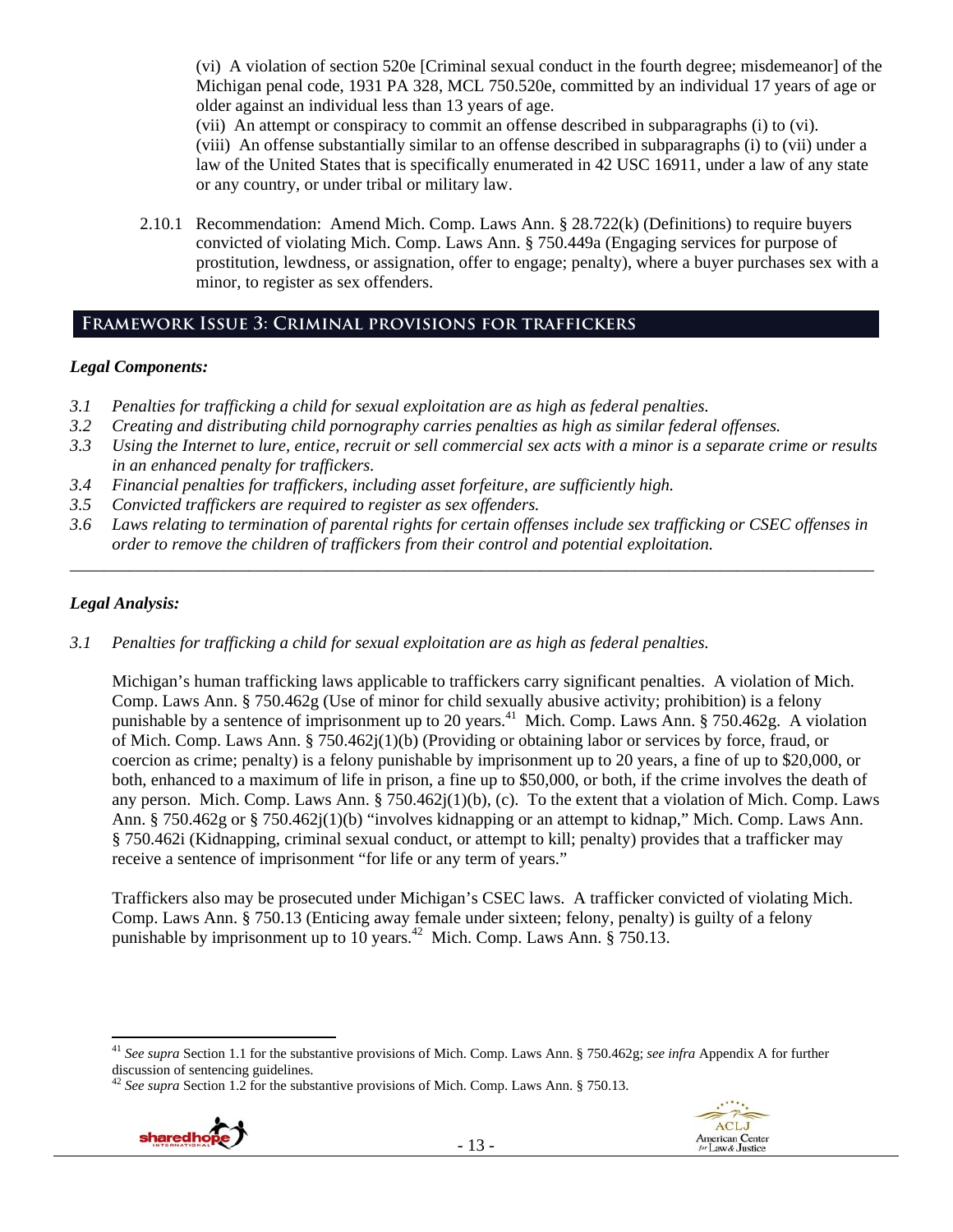(vi) A violation of section 520e [Criminal sexual conduct in the fourth degree; misdemeanor] of the Michigan penal code, 1931 PA 328, MCL 750.520e, committed by an individual 17 years of age or older against an individual less than 13 years of age.

(vii) An attempt or conspiracy to commit an offense described in subparagraphs (i) to (vi).

(viii) An offense substantially similar to an offense described in subparagraphs (i) to (vii) under a law of the United States that is specifically enumerated in 42 USC 16911, under a law of any state or any country, or under tribal or military law.

2.10.1 Recommendation: Amend Mich. Comp. Laws Ann. § 28.722(k) (Definitions) to require buyers convicted of violating Mich. Comp. Laws Ann. § 750.449a (Engaging services for purpose of prostitution, lewdness, or assignation, offer to engage; penalty), where a buyer purchases sex with a minor, to register as sex offenders.

# **Framework Issue 3: Criminal provisions for traffickers**

# *Legal Components:*

- *3.1 Penalties for trafficking a child for sexual exploitation are as high as federal penalties.*
- *3.2 Creating and distributing child pornography carries penalties as high as similar federal offenses.*
- *3.3 Using the Internet to lure, entice, recruit or sell commercial sex acts with a minor is a separate crime or results in an enhanced penalty for traffickers.*
- *3.4 Financial penalties for traffickers, including asset forfeiture, are sufficiently high.*
- *3.5 Convicted traffickers are required to register as sex offenders.*
- *3.6 Laws relating to termination of parental rights for certain offenses include sex trafficking or CSEC offenses in order to remove the children of traffickers from their control and potential exploitation. \_\_\_\_\_\_\_\_\_\_\_\_\_\_\_\_\_\_\_\_\_\_\_\_\_\_\_\_\_\_\_\_\_\_\_\_\_\_\_\_\_\_\_\_\_\_\_\_\_\_\_\_\_\_\_\_\_\_\_\_\_\_\_\_\_\_\_\_\_\_\_\_\_\_\_\_\_\_\_\_\_\_\_\_\_\_\_\_\_\_\_\_\_\_*

# *Legal Analysis:*

*3.1 Penalties for trafficking a child for sexual exploitation are as high as federal penalties.* 

Michigan's human trafficking laws applicable to traffickers carry significant penalties. A violation of Mich. Comp. Laws Ann. § 750.462g (Use of minor for child sexually abusive activity; prohibition) is a felony punishable by a sentence of imprisonment up to 20 years.<sup>41</sup> Mich. Comp. Laws Ann. § 750.462g. A violation of Mich. Comp. Laws Ann. § 750.462j(1)(b) (Providing or obtaining labor or services by force, fraud, or coercion as crime; penalty) is a felony punishable by imprisonment up to 20 years, a fine of up to \$20,000, or both, enhanced to a maximum of life in prison, a fine up to \$50,000, or both, if the crime involves the death of any person. Mich. Comp. Laws Ann. § 750.462j(1)(b), (c). To the extent that a violation of Mich. Comp. Laws Ann. § 750.462g or § 750.462j(1)(b) "involves kidnapping or an attempt to kidnap," Mich. Comp. Laws Ann. § 750.462i (Kidnapping, criminal sexual conduct, or attempt to kill; penalty) provides that a trafficker may receive a sentence of imprisonment "for life or any term of years."

Traffickers also may be prosecuted under Michigan's CSEC laws. A trafficker convicted of violating Mich. Comp. Laws Ann. § 750.13 (Enticing away female under sixteen; felony, penalty) is guilty of a felony punishable by imprisonment up to 10 years.42 Mich. Comp. Laws Ann. § 750.13.

<sup>42</sup> *See supra* Section 1.2 for the substantive provisions of Mich. Comp. Laws Ann. § 750.13.



 <sup>41</sup> *See supra* Section 1.1 for the substantive provisions of Mich. Comp. Laws Ann. § 750.462g; *see infra* Appendix A for further discussion of sentencing guidelines.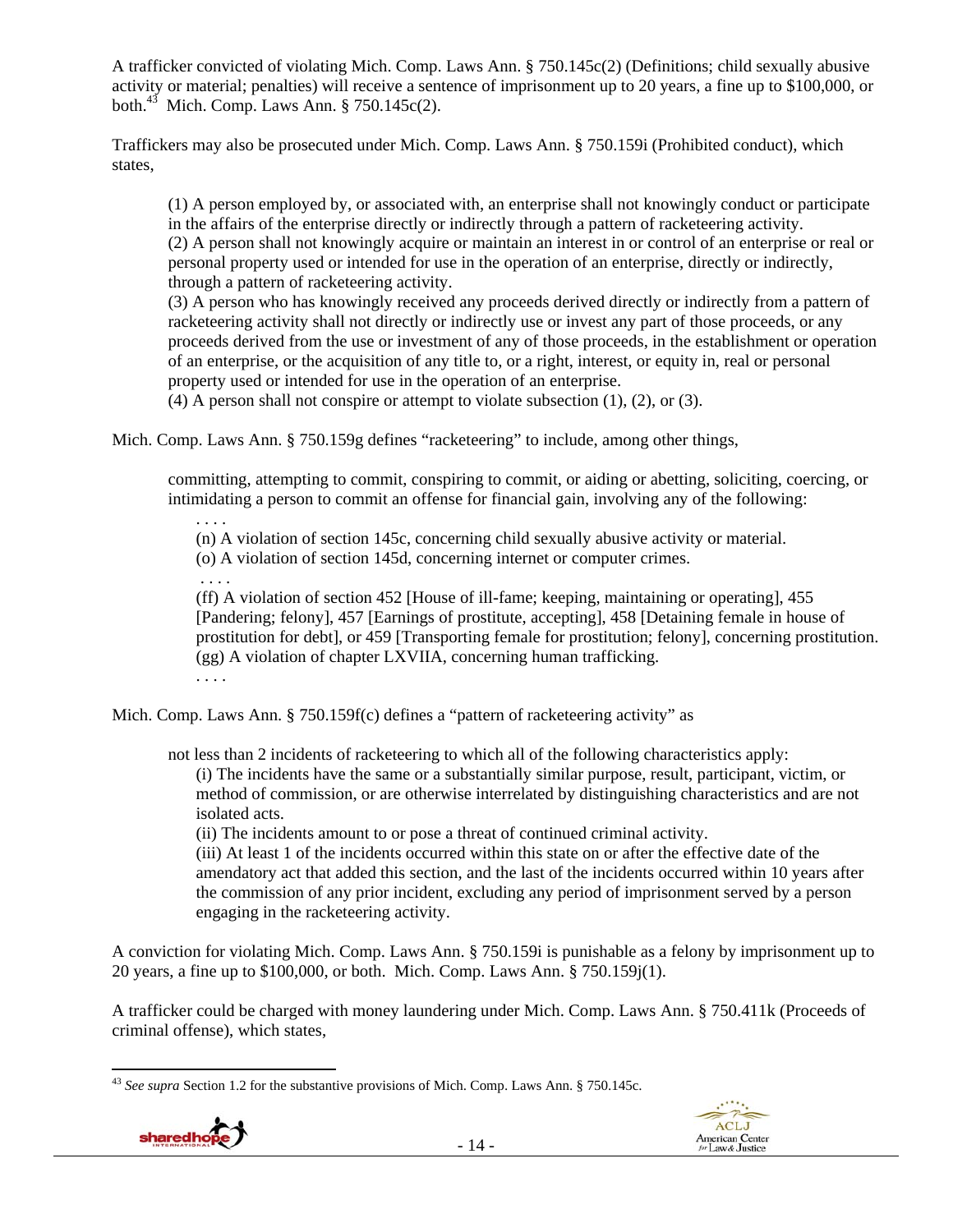A trafficker convicted of violating Mich. Comp. Laws Ann. § 750.145c(2) (Definitions; child sexually abusive activity or material; penalties) will receive a sentence of imprisonment up to 20 years, a fine up to \$100,000, or both.<sup>43</sup> Mich. Comp. Laws Ann.  $8750.145c(2)$ .

Traffickers may also be prosecuted under Mich. Comp. Laws Ann. § 750.159i (Prohibited conduct), which states,

(1) A person employed by, or associated with, an enterprise shall not knowingly conduct or participate in the affairs of the enterprise directly or indirectly through a pattern of racketeering activity. (2) A person shall not knowingly acquire or maintain an interest in or control of an enterprise or real or personal property used or intended for use in the operation of an enterprise, directly or indirectly, through a pattern of racketeering activity.

(3) A person who has knowingly received any proceeds derived directly or indirectly from a pattern of racketeering activity shall not directly or indirectly use or invest any part of those proceeds, or any proceeds derived from the use or investment of any of those proceeds, in the establishment or operation of an enterprise, or the acquisition of any title to, or a right, interest, or equity in, real or personal property used or intended for use in the operation of an enterprise.

(4) A person shall not conspire or attempt to violate subsection (1), (2), or (3).

Mich. Comp. Laws Ann. § 750.159g defines "racketeering" to include, among other things,

committing, attempting to commit, conspiring to commit, or aiding or abetting, soliciting, coercing, or intimidating a person to commit an offense for financial gain, involving any of the following:

. . . . (n) A violation of section 145c, concerning child sexually abusive activity or material.

(o) A violation of section 145d, concerning internet or computer crimes.

. . . .

(ff) A violation of section 452 [House of ill-fame; keeping, maintaining or operating], 455 [Pandering; felony], 457 [Earnings of prostitute, accepting], 458 [Detaining female in house of prostitution for debt], or 459 [Transporting female for prostitution; felony], concerning prostitution. (gg) A violation of chapter LXVIIA, concerning human trafficking. . . . .

Mich. Comp. Laws Ann. § 750.159f(c) defines a "pattern of racketeering activity" as

not less than 2 incidents of racketeering to which all of the following characteristics apply: (i) The incidents have the same or a substantially similar purpose, result, participant, victim, or method of commission, or are otherwise interrelated by distinguishing characteristics and are not isolated acts.

(ii) The incidents amount to or pose a threat of continued criminal activity.

(iii) At least 1 of the incidents occurred within this state on or after the effective date of the amendatory act that added this section, and the last of the incidents occurred within 10 years after the commission of any prior incident, excluding any period of imprisonment served by a person engaging in the racketeering activity.

A conviction for violating Mich. Comp. Laws Ann. § 750.159i is punishable as a felony by imprisonment up to 20 years, a fine up to \$100,000, or both. Mich. Comp. Laws Ann. § 750.159j(1).

A trafficker could be charged with money laundering under Mich. Comp. Laws Ann. § 750.411k (Proceeds of criminal offense), which states,

 <sup>43</sup> *See supra* Section 1.2 for the substantive provisions of Mich. Comp. Laws Ann. § 750.145c.



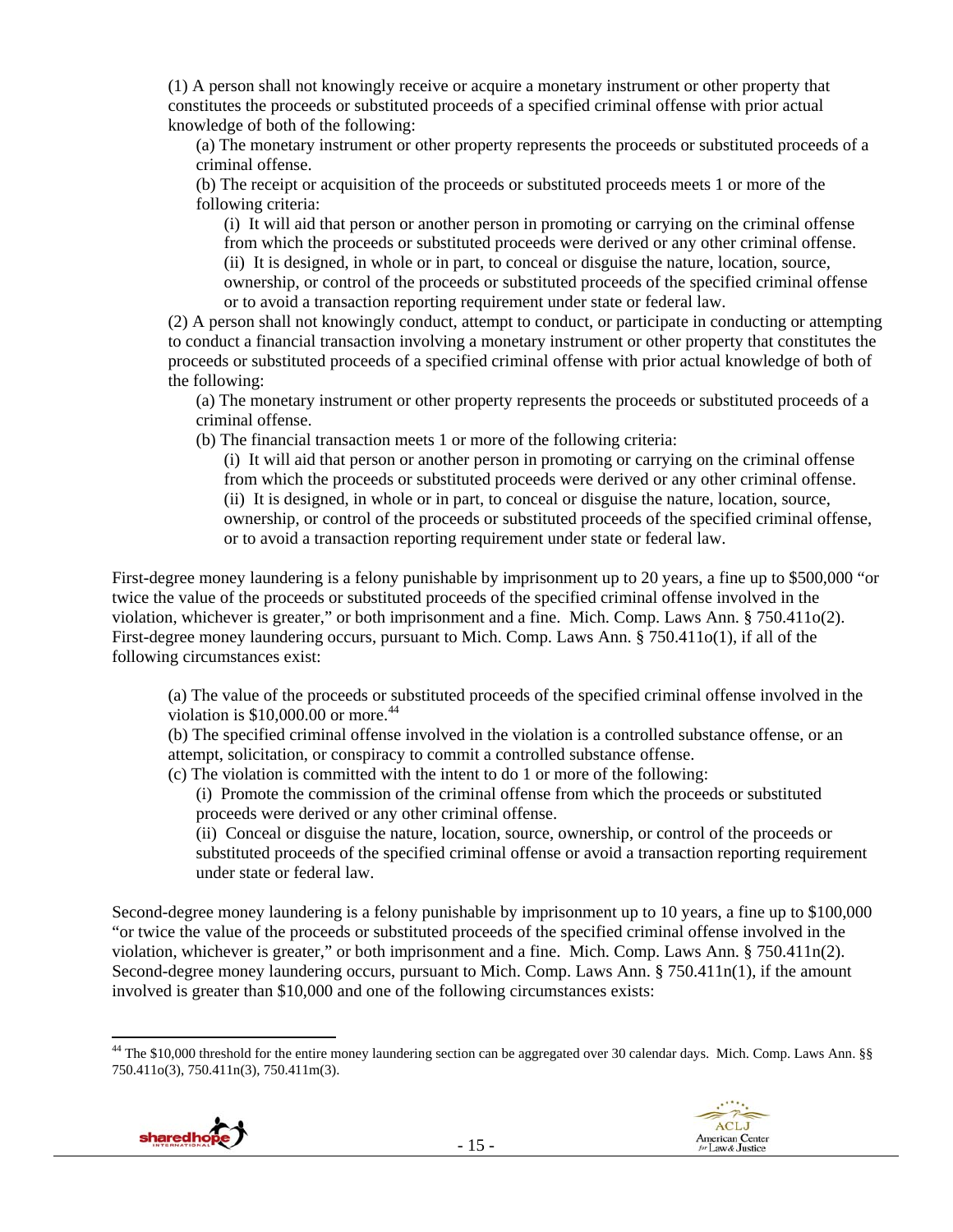(1) A person shall not knowingly receive or acquire a monetary instrument or other property that constitutes the proceeds or substituted proceeds of a specified criminal offense with prior actual knowledge of both of the following:

(a) The monetary instrument or other property represents the proceeds or substituted proceeds of a criminal offense.

(b) The receipt or acquisition of the proceeds or substituted proceeds meets 1 or more of the following criteria:

(i) It will aid that person or another person in promoting or carrying on the criminal offense from which the proceeds or substituted proceeds were derived or any other criminal offense. (ii) It is designed, in whole or in part, to conceal or disguise the nature, location, source, ownership, or control of the proceeds or substituted proceeds of the specified criminal offense or to avoid a transaction reporting requirement under state or federal law.

(2) A person shall not knowingly conduct, attempt to conduct, or participate in conducting or attempting to conduct a financial transaction involving a monetary instrument or other property that constitutes the proceeds or substituted proceeds of a specified criminal offense with prior actual knowledge of both of the following:

(a) The monetary instrument or other property represents the proceeds or substituted proceeds of a criminal offense.

(b) The financial transaction meets 1 or more of the following criteria:

(i) It will aid that person or another person in promoting or carrying on the criminal offense from which the proceeds or substituted proceeds were derived or any other criminal offense. (ii) It is designed, in whole or in part, to conceal or disguise the nature, location, source, ownership, or control of the proceeds or substituted proceeds of the specified criminal offense, or to avoid a transaction reporting requirement under state or federal law.

First-degree money laundering is a felony punishable by imprisonment up to 20 years, a fine up to \$500,000 "or twice the value of the proceeds or substituted proceeds of the specified criminal offense involved in the violation, whichever is greater," or both imprisonment and a fine. Mich. Comp. Laws Ann. § 750.411o(2). First-degree money laundering occurs, pursuant to Mich. Comp. Laws Ann. § 750.411o(1), if all of the following circumstances exist:

(a) The value of the proceeds or substituted proceeds of the specified criminal offense involved in the violation is  $$10,000.00$  or more.<sup>44</sup>

(b) The specified criminal offense involved in the violation is a controlled substance offense, or an attempt, solicitation, or conspiracy to commit a controlled substance offense.

(c) The violation is committed with the intent to do 1 or more of the following:

(i) Promote the commission of the criminal offense from which the proceeds or substituted proceeds were derived or any other criminal offense.

(ii) Conceal or disguise the nature, location, source, ownership, or control of the proceeds or substituted proceeds of the specified criminal offense or avoid a transaction reporting requirement under state or federal law.

Second-degree money laundering is a felony punishable by imprisonment up to 10 years, a fine up to \$100,000 "or twice the value of the proceeds or substituted proceeds of the specified criminal offense involved in the violation, whichever is greater," or both imprisonment and a fine. Mich. Comp. Laws Ann.  $\S 750.411n(2)$ . Second-degree money laundering occurs, pursuant to Mich. Comp. Laws Ann. § 750.411n(1), if the amount involved is greater than \$10,000 and one of the following circumstances exists:

 <sup>44</sup> The \$10,000 threshold for the entire money laundering section can be aggregated over 30 calendar days. Mich. Comp. Laws Ann. §§ 750.411o(3), 750.411n(3), 750.411m(3).

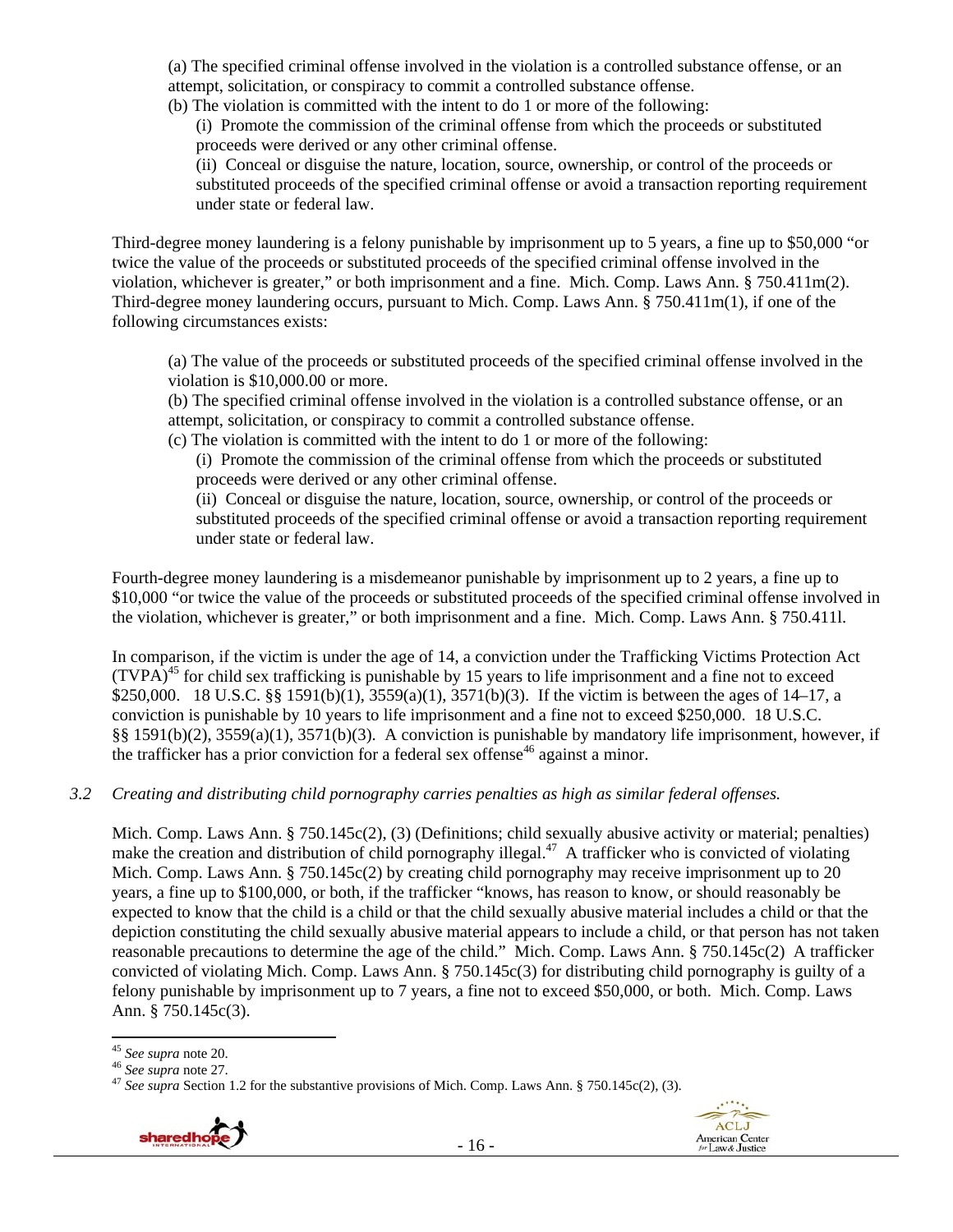(a) The specified criminal offense involved in the violation is a controlled substance offense, or an attempt, solicitation, or conspiracy to commit a controlled substance offense.

(b) The violation is committed with the intent to do 1 or more of the following:

(i) Promote the commission of the criminal offense from which the proceeds or substituted proceeds were derived or any other criminal offense.

(ii) Conceal or disguise the nature, location, source, ownership, or control of the proceeds or substituted proceeds of the specified criminal offense or avoid a transaction reporting requirement under state or federal law.

Third-degree money laundering is a felony punishable by imprisonment up to 5 years, a fine up to \$50,000 "or twice the value of the proceeds or substituted proceeds of the specified criminal offense involved in the violation, whichever is greater," or both imprisonment and a fine. Mich. Comp. Laws Ann. § 750.411m(2). Third-degree money laundering occurs, pursuant to Mich. Comp. Laws Ann. § 750.411m(1), if one of the following circumstances exists:

(a) The value of the proceeds or substituted proceeds of the specified criminal offense involved in the violation is \$10,000.00 or more.

(b) The specified criminal offense involved in the violation is a controlled substance offense, or an attempt, solicitation, or conspiracy to commit a controlled substance offense.

(c) The violation is committed with the intent to do 1 or more of the following:

(i) Promote the commission of the criminal offense from which the proceeds or substituted proceeds were derived or any other criminal offense.

(ii) Conceal or disguise the nature, location, source, ownership, or control of the proceeds or substituted proceeds of the specified criminal offense or avoid a transaction reporting requirement under state or federal law.

Fourth-degree money laundering is a misdemeanor punishable by imprisonment up to 2 years, a fine up to \$10,000 "or twice the value of the proceeds or substituted proceeds of the specified criminal offense involved in the violation, whichever is greater," or both imprisonment and a fine. Mich. Comp. Laws Ann. § 750.411l.

In comparison, if the victim is under the age of 14, a conviction under the Trafficking Victims Protection Act  $(TVPA)<sup>45</sup>$  for child sex trafficking is punishable by 15 years to life imprisonment and a fine not to exceed \$250,000. 18 U.S.C. §§ 1591(b)(1), 3559(a)(1), 3571(b)(3). If the victim is between the ages of 14–17, a conviction is punishable by 10 years to life imprisonment and a fine not to exceed \$250,000. 18 U.S.C. §§ 1591(b)(2), 3559(a)(1), 3571(b)(3). A conviction is punishable by mandatory life imprisonment, however, if the trafficker has a prior conviction for a federal sex offense<sup>46</sup> against a minor.

*3.2 Creating and distributing child pornography carries penalties as high as similar federal offenses.* 

Mich. Comp. Laws Ann. § 750.145c(2), (3) (Definitions; child sexually abusive activity or material; penalties) make the creation and distribution of child pornography illegal.<sup>47</sup> A trafficker who is convicted of violating Mich. Comp. Laws Ann. § 750.145c(2) by creating child pornography may receive imprisonment up to 20 years, a fine up to \$100,000, or both, if the trafficker "knows, has reason to know, or should reasonably be expected to know that the child is a child or that the child sexually abusive material includes a child or that the depiction constituting the child sexually abusive material appears to include a child, or that person has not taken reasonable precautions to determine the age of the child." Mich. Comp. Laws Ann. § 750.145c(2) A trafficker convicted of violating Mich. Comp. Laws Ann. § 750.145c(3) for distributing child pornography is guilty of a felony punishable by imprisonment up to 7 years, a fine not to exceed \$50,000, or both. Mich. Comp. Laws Ann. § 750.145c(3).

<sup>&</sup>lt;sup>46</sup> See supra note 27. <sup>47</sup> See supra **note 27.** 47 See supra Section 1.2 for the substantive provisions of Mich. Comp. Laws Ann. § 750.145c(2), (3).



<sup>&</sup>lt;sup>45</sup> See supra note 20.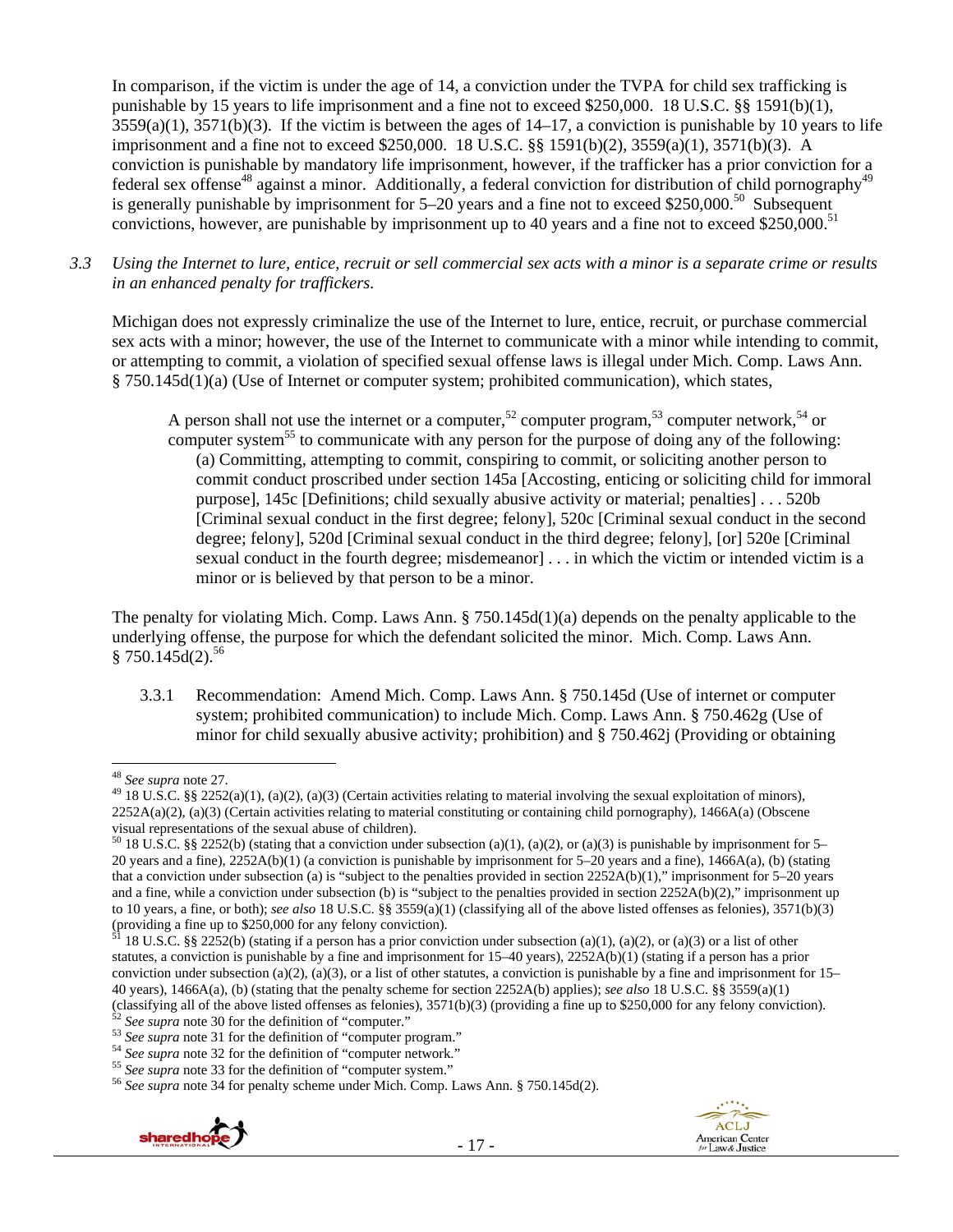In comparison, if the victim is under the age of 14, a conviction under the TVPA for child sex trafficking is punishable by 15 years to life imprisonment and a fine not to exceed \$250,000. 18 U.S.C. §§ 1591(b)(1),  $3559(a)(1)$ ,  $3571(b)(3)$ . If the victim is between the ages of  $14-17$ , a conviction is punishable by 10 years to life imprisonment and a fine not to exceed \$250,000. 18 U.S.C. §§ 1591(b)(2), 3559(a)(1), 3571(b)(3). A conviction is punishable by mandatory life imprisonment, however, if the trafficker has a prior conviction for a federal sex offense<sup>48</sup> against a minor. Additionally, a federal conviction for distribution of child pornography<sup>49</sup> is generally punishable by imprisonment for  $5-20$  years and a fine not to exceed \$250,000.<sup>50</sup> Subsequent convictions, however, are punishable by imprisonment up to 40 years and a fine not to exceed \$250,000.<sup>51</sup>

*3.3 Using the Internet to lure, entice, recruit or sell commercial sex acts with a minor is a separate crime or results in an enhanced penalty for traffickers.* 

Michigan does not expressly criminalize the use of the Internet to lure, entice, recruit, or purchase commercial sex acts with a minor; however, the use of the Internet to communicate with a minor while intending to commit, or attempting to commit, a violation of specified sexual offense laws is illegal under Mich. Comp. Laws Ann. § 750.145d(1)(a) (Use of Internet or computer system; prohibited communication), which states,

A person shall not use the internet or a computer,<sup>52</sup> computer program,<sup>53</sup> computer network,<sup>54</sup> or computer system<sup>55</sup> to communicate with any person for the purpose of doing any of the following: (a) Committing, attempting to commit, conspiring to commit, or soliciting another person to commit conduct proscribed under section 145a [Accosting, enticing or soliciting child for immoral purpose], 145c [Definitions; child sexually abusive activity or material; penalties] . . . 520b [Criminal sexual conduct in the first degree; felony], 520c [Criminal sexual conduct in the second degree; felony], 520d [Criminal sexual conduct in the third degree; felony], [or] 520e [Criminal sexual conduct in the fourth degree; misdemeanor] . . . in which the victim or intended victim is a minor or is believed by that person to be a minor.

The penalty for violating Mich. Comp. Laws Ann. § 750.145d(1)(a) depends on the penalty applicable to the underlying offense, the purpose for which the defendant solicited the minor. Mich. Comp. Laws Ann.  $§ 750.145d(2).^{56}$ 

3.3.1 Recommendation: Amend Mich. Comp. Laws Ann. § 750.145d (Use of internet or computer system; prohibited communication) to include Mich. Comp. Laws Ann. § 750.462g (Use of minor for child sexually abusive activity; prohibition) and § 750.462j (Providing or obtaining





<sup>&</sup>lt;sup>48</sup> *See supra* note 27.<br><sup>49</sup> 18 U.S.C. §§ 2252(a)(1), (a)(2), (a)(3) (Certain activities relating to material involving the sexual exploitation of minors),  $2252A(a)(2)$ , (a)(3) (Certain activities relating to material constituting or containing child pornography), 1466A(a) (Obscene visual representations of the sexual abuse of children).

<sup>&</sup>lt;sup>50</sup> 18 U.S.C. §§ 2252(b) (stating that a conviction under subsection (a)(1), (a)(2), or (a)(3) is punishable by imprisonment for 5– 20 years and a fine), 2252A(b)(1) (a conviction is punishable by imprisonment for 5–20 years and a fine), 1466A(a), (b) (stating that a conviction under subsection (a) is "subject to the penalties provided in section 2252A(b)(1)," imprisonment for 5–20 years and a fine, while a conviction under subsection (b) is "subject to the penalties provided in section  $2252A(b)(2)$ ," imprisonment up to 10 years, a fine, or both); *see also* 18 U.S.C. §§ 3559(a)(1) (classifying all of the above listed offenses as felonies), 3571(b)(3) (providing a fine up to \$250,000 for any felony conviction).

<sup>18</sup> U.S.C. §§ 2252(b) (stating if a person has a prior conviction under subsection (a)(1), (a)(2), or (a)(3) or a list of other statutes, a conviction is punishable by a fine and imprisonment for  $15-40$  years),  $2252A(b)(1)$  (stating if a person has a prior conviction under subsection (a)(2), (a)(3), or a list of other statutes, a conviction is punishable by a fine and imprisonment for  $15-$ 40 years), 1466A(a), (b) (stating that the penalty scheme for section 2252A(b) applies); *see also* 18 U.S.C. §§ 3559(a)(1) (classifying all of the above listed offenses as felonies), 3571(b)(3) (providing a fine up to \$250,000 for any felony conviction).<br>
<sup>52</sup> See supra note 30 for the definition of "computer program."<br>
<sup>54</sup> See supra note 32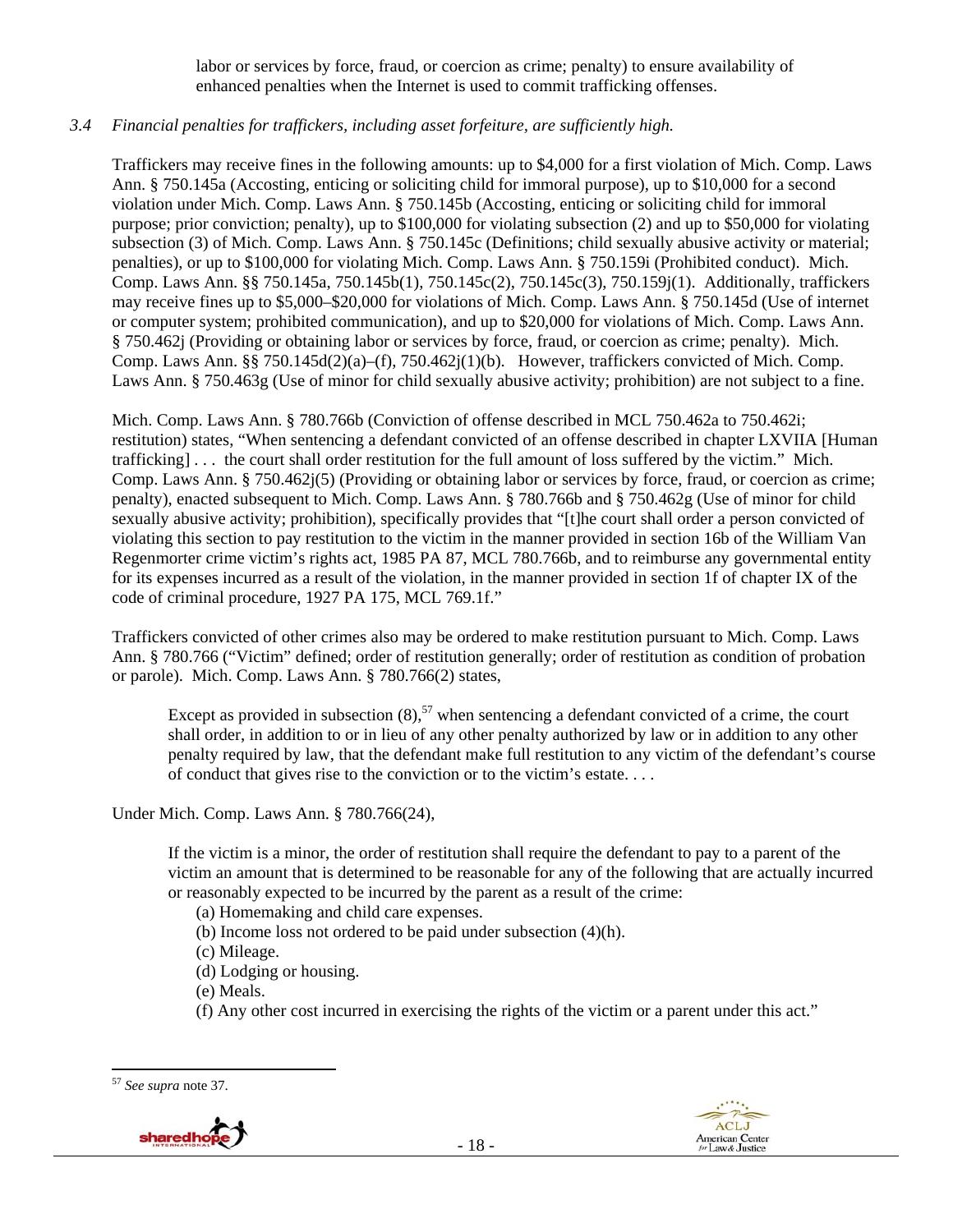labor or services by force, fraud, or coercion as crime; penalty) to ensure availability of enhanced penalties when the Internet is used to commit trafficking offenses.

## *3.4 Financial penalties for traffickers, including asset forfeiture, are sufficiently high.*

Traffickers may receive fines in the following amounts: up to \$4,000 for a first violation of Mich. Comp. Laws Ann. § 750.145a (Accosting, enticing or soliciting child for immoral purpose), up to \$10,000 for a second violation under Mich. Comp. Laws Ann. § 750.145b (Accosting, enticing or soliciting child for immoral purpose; prior conviction; penalty), up to \$100,000 for violating subsection (2) and up to \$50,000 for violating subsection (3) of Mich. Comp. Laws Ann. § 750.145c (Definitions; child sexually abusive activity or material; penalties), or up to \$100,000 for violating Mich. Comp. Laws Ann. § 750.159i (Prohibited conduct). Mich. Comp. Laws Ann. §§ 750.145a, 750.145b(1), 750.145c(2), 750.145c(3), 750.159j(1). Additionally, traffickers may receive fines up to \$5,000–\$20,000 for violations of Mich. Comp. Laws Ann. § 750.145d (Use of internet or computer system; prohibited communication), and up to \$20,000 for violations of Mich. Comp. Laws Ann. § 750.462j (Providing or obtaining labor or services by force, fraud, or coercion as crime; penalty). Mich. Comp. Laws Ann. §§ 750.145d(2)(a)–(f), 750.462j(1)(b). However, traffickers convicted of Mich. Comp. Laws Ann. § 750.463g (Use of minor for child sexually abusive activity; prohibition) are not subject to a fine.

Mich. Comp. Laws Ann. § 780.766b (Conviction of offense described in MCL 750.462a to 750.462i; restitution) states, "When sentencing a defendant convicted of an offense described in chapter LXVIIA [Human trafficking] . . . the court shall order restitution for the full amount of loss suffered by the victim." Mich. Comp. Laws Ann. § 750.462j(5) (Providing or obtaining labor or services by force, fraud, or coercion as crime; penalty), enacted subsequent to Mich. Comp. Laws Ann. § 780.766b and § 750.462g (Use of minor for child sexually abusive activity; prohibition), specifically provides that "[t]he court shall order a person convicted of violating this section to pay restitution to the victim in the manner provided in section 16b of the William Van Regenmorter crime victim's rights act, 1985 PA 87, MCL 780.766b, and to reimburse any governmental entity for its expenses incurred as a result of the violation, in the manner provided in section 1f of chapter IX of the code of criminal procedure, 1927 PA 175, MCL 769.1f."

Traffickers convicted of other crimes also may be ordered to make restitution pursuant to Mich. Comp. Laws Ann. § 780.766 ("Victim" defined; order of restitution generally; order of restitution as condition of probation or parole). Mich. Comp. Laws Ann. § 780.766(2) states,

Except as provided in subsection  $(8)$ ,<sup>57</sup> when sentencing a defendant convicted of a crime, the court shall order, in addition to or in lieu of any other penalty authorized by law or in addition to any other penalty required by law, that the defendant make full restitution to any victim of the defendant's course of conduct that gives rise to the conviction or to the victim's estate. . . .

Under Mich. Comp. Laws Ann. § 780.766(24),

If the victim is a minor, the order of restitution shall require the defendant to pay to a parent of the victim an amount that is determined to be reasonable for any of the following that are actually incurred or reasonably expected to be incurred by the parent as a result of the crime:

- (a) Homemaking and child care expenses.
- (b) Income loss not ordered to be paid under subsection (4)(h).
- (c) Mileage.
- (d) Lodging or housing.
- (e) Meals.
- (f) Any other cost incurred in exercising the rights of the victim or a parent under this act."

 <sup>57</sup> *See supra* note 37.



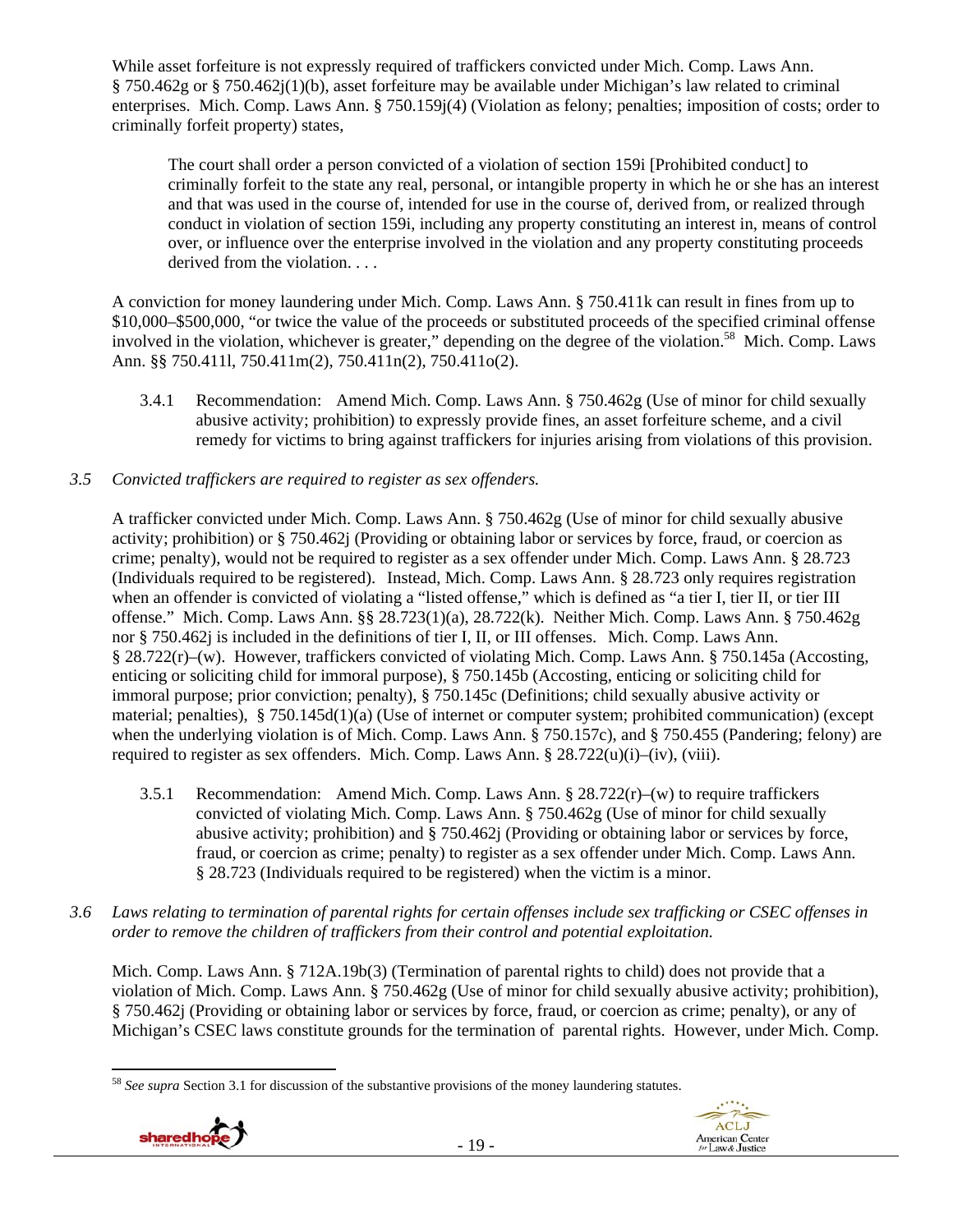While asset forfeiture is not expressly required of traffickers convicted under Mich. Comp. Laws Ann. § 750.462g or § 750.462j(1)(b), asset forfeiture may be available under Michigan's law related to criminal enterprises. Mich. Comp. Laws Ann. § 750.159j(4) (Violation as felony; penalties; imposition of costs; order to criminally forfeit property) states,

The court shall order a person convicted of a violation of section 159i [Prohibited conduct] to criminally forfeit to the state any real, personal, or intangible property in which he or she has an interest and that was used in the course of, intended for use in the course of, derived from, or realized through conduct in violation of section 159i, including any property constituting an interest in, means of control over, or influence over the enterprise involved in the violation and any property constituting proceeds derived from the violation. . . .

A conviction for money laundering under Mich. Comp. Laws Ann. § 750.411k can result in fines from up to \$10,000–\$500,000, "or twice the value of the proceeds or substituted proceeds of the specified criminal offense involved in the violation, whichever is greater," depending on the degree of the violation.<sup>58</sup> Mich. Comp. Laws Ann. §§ 750.411l, 750.411m(2), 750.411n(2), 750.411o(2).

3.4.1 Recommendation: Amend Mich. Comp. Laws Ann. § 750.462g (Use of minor for child sexually abusive activity; prohibition) to expressly provide fines, an asset forfeiture scheme, and a civil remedy for victims to bring against traffickers for injuries arising from violations of this provision.

## *3.5 Convicted traffickers are required to register as sex offenders.*

A trafficker convicted under Mich. Comp. Laws Ann. § 750.462g (Use of minor for child sexually abusive activity; prohibition) or § 750.462j (Providing or obtaining labor or services by force, fraud, or coercion as crime; penalty), would not be required to register as a sex offender under Mich. Comp. Laws Ann. § 28.723 (Individuals required to be registered). Instead, Mich. Comp. Laws Ann. § 28.723 only requires registration when an offender is convicted of violating a "listed offense," which is defined as "a tier I, tier II, or tier III offense." Mich. Comp. Laws Ann. §§ 28.723(1)(a), 28.722(k). Neither Mich. Comp. Laws Ann. § 750.462g nor § 750.462j is included in the definitions of tier I, II, or III offenses. Mich. Comp. Laws Ann. § 28.722(r)–(w). However, traffickers convicted of violating Mich. Comp. Laws Ann. § 750.145a (Accosting, enticing or soliciting child for immoral purpose), § 750.145b (Accosting, enticing or soliciting child for immoral purpose; prior conviction; penalty), § 750.145c (Definitions; child sexually abusive activity or material; penalties), § 750.145d(1)(a) (Use of internet or computer system; prohibited communication) (except when the underlying violation is of Mich. Comp. Laws Ann. § 750.157c), and § 750.455 (Pandering; felony) are required to register as sex offenders. Mich. Comp. Laws Ann.  $8\,28.722(u)(i)$ –(iv), (viii).

- 3.5.1 Recommendation: Amend Mich. Comp. Laws Ann.  $\S 28.722(r)$ –(w) to require traffickers convicted of violating Mich. Comp. Laws Ann. § 750.462g (Use of minor for child sexually abusive activity; prohibition) and § 750.462j (Providing or obtaining labor or services by force, fraud, or coercion as crime; penalty) to register as a sex offender under Mich. Comp. Laws Ann. § 28.723 (Individuals required to be registered) when the victim is a minor.
- *3.6 Laws relating to termination of parental rights for certain offenses include sex trafficking or CSEC offenses in order to remove the children of traffickers from their control and potential exploitation.*

Mich. Comp. Laws Ann. § 712A.19b(3) (Termination of parental rights to child) does not provide that a violation of Mich. Comp. Laws Ann. § 750.462g (Use of minor for child sexually abusive activity; prohibition), § 750.462j (Providing or obtaining labor or services by force, fraud, or coercion as crime; penalty), or any of Michigan's CSEC laws constitute grounds for the termination of parental rights. However, under Mich. Comp.

 <sup>58</sup> *See supra* Section 3.1 for discussion of the substantive provisions of the money laundering statutes.



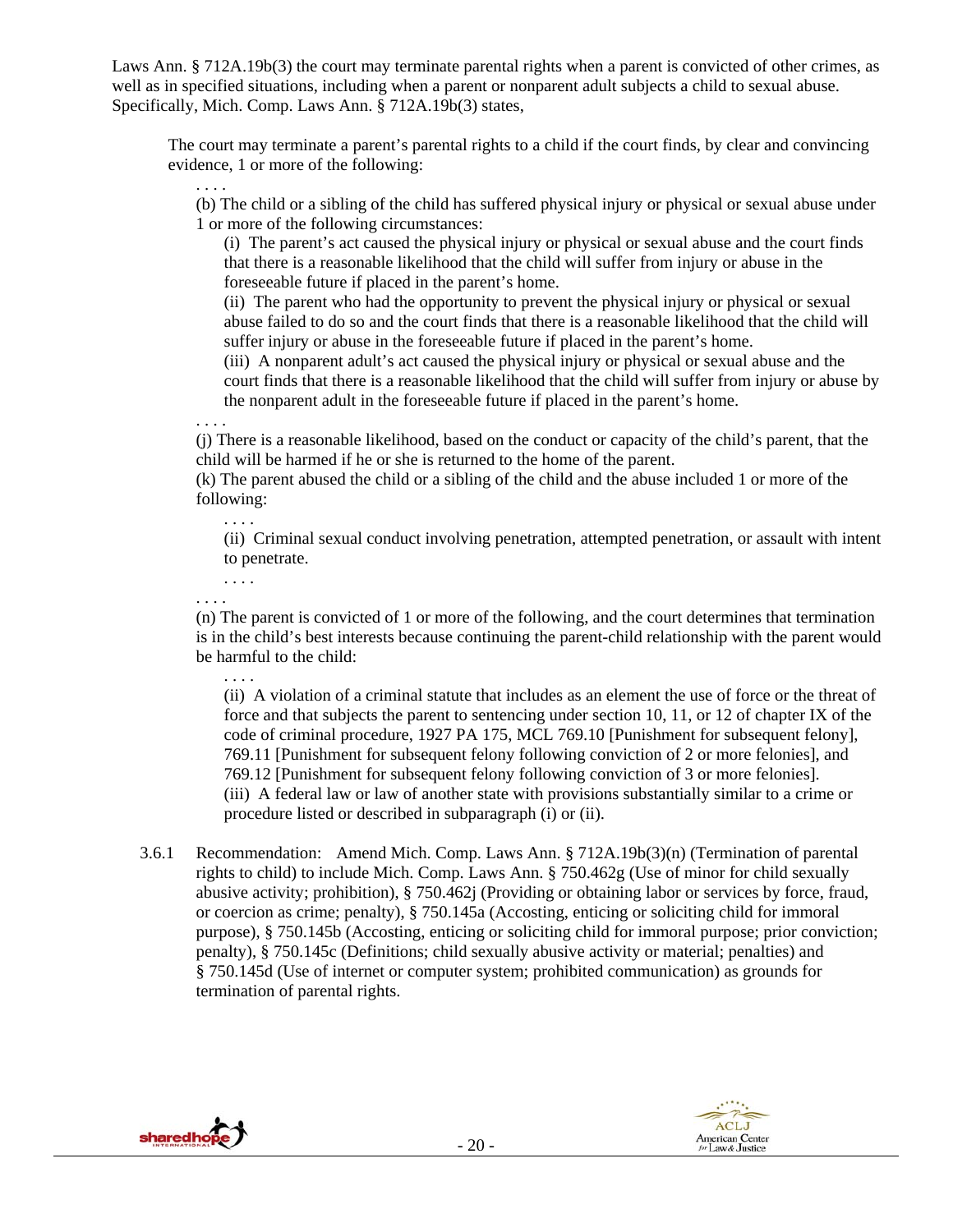Laws Ann. § 712A.19b(3) the court may terminate parental rights when a parent is convicted of other crimes, as well as in specified situations, including when a parent or nonparent adult subjects a child to sexual abuse. Specifically, Mich. Comp. Laws Ann. § 712A.19b(3) states,

The court may terminate a parent's parental rights to a child if the court finds, by clear and convincing evidence, 1 or more of the following:

(b) The child or a sibling of the child has suffered physical injury or physical or sexual abuse under 1 or more of the following circumstances:

(i) The parent's act caused the physical injury or physical or sexual abuse and the court finds that there is a reasonable likelihood that the child will suffer from injury or abuse in the foreseeable future if placed in the parent's home.

(ii) The parent who had the opportunity to prevent the physical injury or physical or sexual abuse failed to do so and the court finds that there is a reasonable likelihood that the child will suffer injury or abuse in the foreseeable future if placed in the parent's home.

(iii) A nonparent adult's act caused the physical injury or physical or sexual abuse and the court finds that there is a reasonable likelihood that the child will suffer from injury or abuse by the nonparent adult in the foreseeable future if placed in the parent's home.

. . . . (j) There is a reasonable likelihood, based on the conduct or capacity of the child's parent, that the child will be harmed if he or she is returned to the home of the parent.

(k) The parent abused the child or a sibling of the child and the abuse included 1 or more of the following:

(ii) Criminal sexual conduct involving penetration, attempted penetration, or assault with intent to penetrate.

. . . .

. . . .

. . . .

. . . .

(n) The parent is convicted of 1 or more of the following, and the court determines that termination is in the child's best interests because continuing the parent-child relationship with the parent would be harmful to the child:

. . . .

(ii) A violation of a criminal statute that includes as an element the use of force or the threat of force and that subjects the parent to sentencing under section 10, 11, or 12 of chapter IX of the code of criminal procedure, 1927 PA 175, MCL 769.10 [Punishment for subsequent felony], 769.11 [Punishment for subsequent felony following conviction of 2 or more felonies], and 769.12 [Punishment for subsequent felony following conviction of 3 or more felonies]. (iii) A federal law or law of another state with provisions substantially similar to a crime or procedure listed or described in subparagraph (i) or (ii).

3.6.1 Recommendation: Amend Mich. Comp. Laws Ann. § 712A.19b(3)(n) (Termination of parental rights to child) to include Mich. Comp. Laws Ann. § 750.462g (Use of minor for child sexually abusive activity; prohibition), § 750.462j (Providing or obtaining labor or services by force, fraud, or coercion as crime; penalty), § 750.145a (Accosting, enticing or soliciting child for immoral purpose), § 750.145b (Accosting, enticing or soliciting child for immoral purpose; prior conviction; penalty), § 750.145c (Definitions; child sexually abusive activity or material; penalties) and § 750.145d (Use of internet or computer system; prohibited communication) as grounds for termination of parental rights.



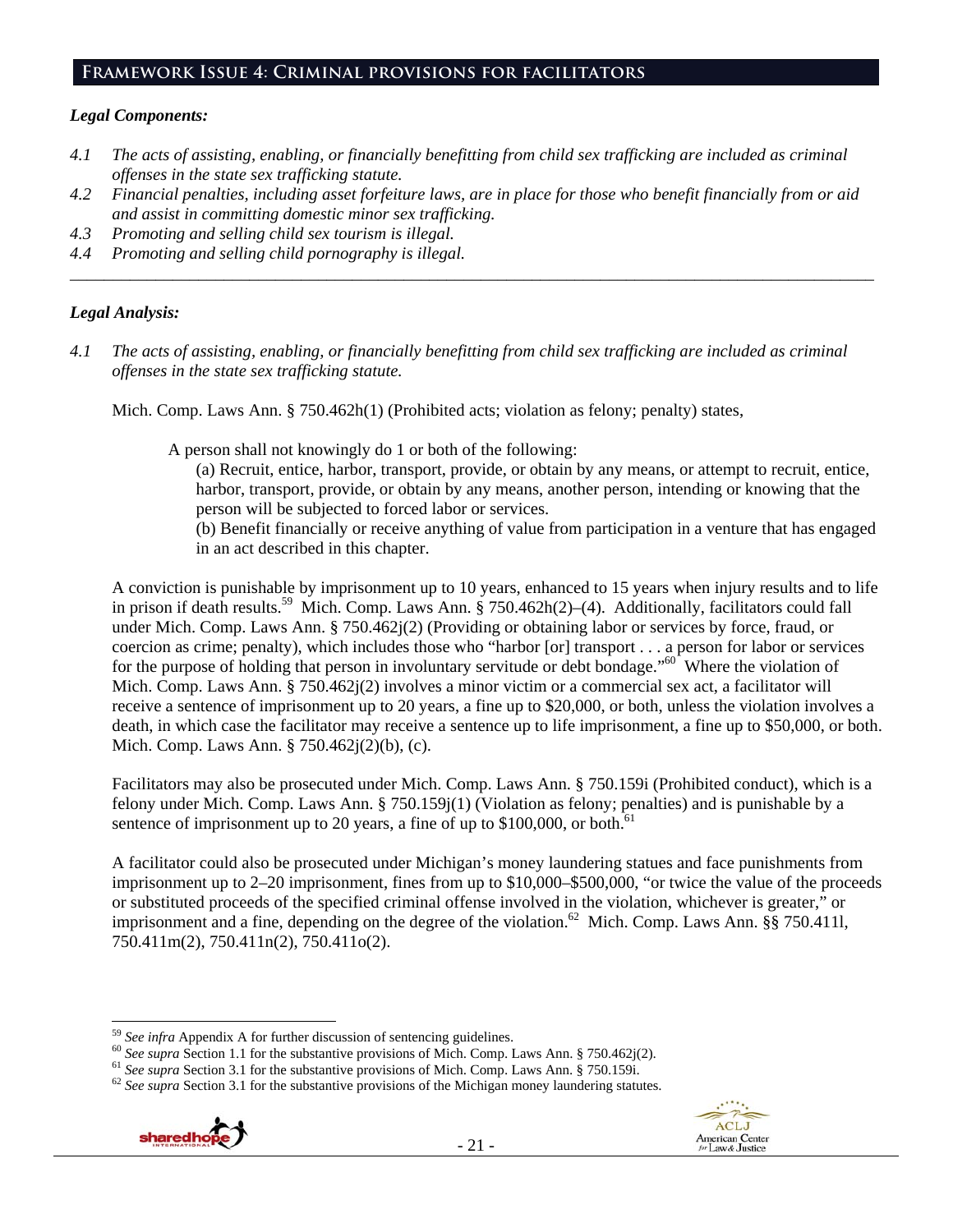### **Framework Issue 4: Criminal provisions for facilitators**

### *Legal Components:*

- *4.1 The acts of assisting, enabling, or financially benefitting from child sex trafficking are included as criminal offenses in the state sex trafficking statute.*
- *4.2 Financial penalties, including asset forfeiture laws, are in place for those who benefit financially from or aid and assist in committing domestic minor sex trafficking.*

*\_\_\_\_\_\_\_\_\_\_\_\_\_\_\_\_\_\_\_\_\_\_\_\_\_\_\_\_\_\_\_\_\_\_\_\_\_\_\_\_\_\_\_\_\_\_\_\_\_\_\_\_\_\_\_\_\_\_\_\_\_\_\_\_\_\_\_\_\_\_\_\_\_\_\_\_\_\_\_\_\_\_\_\_\_\_\_\_\_\_\_\_\_\_* 

- *4.3 Promoting and selling child sex tourism is illegal.*
- *4.4 Promoting and selling child pornography is illegal.*

### *Legal Analysis:*

*4.1 The acts of assisting, enabling, or financially benefitting from child sex trafficking are included as criminal offenses in the state sex trafficking statute.* 

Mich. Comp. Laws Ann. § 750.462h(1) (Prohibited acts; violation as felony; penalty) states,

A person shall not knowingly do 1 or both of the following:

- (a) Recruit, entice, harbor, transport, provide, or obtain by any means, or attempt to recruit, entice, harbor, transport, provide, or obtain by any means, another person, intending or knowing that the person will be subjected to forced labor or services.
- (b) Benefit financially or receive anything of value from participation in a venture that has engaged in an act described in this chapter.

A conviction is punishable by imprisonment up to 10 years, enhanced to 15 years when injury results and to life in prison if death results.<sup>59</sup> Mich. Comp. Laws Ann. § 750.462h(2)–(4). Additionally, facilitators could fall under Mich. Comp. Laws Ann. § 750.462j(2) (Providing or obtaining labor or services by force, fraud, or coercion as crime; penalty), which includes those who "harbor [or] transport . . . a person for labor or services for the purpose of holding that person in involuntary servitude or debt bondage."<sup>60</sup> Where the violation of Mich. Comp. Laws Ann. § 750.462j(2) involves a minor victim or a commercial sex act, a facilitator will receive a sentence of imprisonment up to 20 years, a fine up to \$20,000, or both, unless the violation involves a death, in which case the facilitator may receive a sentence up to life imprisonment, a fine up to \$50,000, or both. Mich. Comp. Laws Ann. § 750.462j(2)(b), (c).

Facilitators may also be prosecuted under Mich. Comp. Laws Ann. § 750.159i (Prohibited conduct), which is a felony under Mich. Comp. Laws Ann. § 750.159j(1) (Violation as felony; penalties) and is punishable by a sentence of imprisonment up to 20 years, a fine of up to  $$100,000$ , or both.<sup>61</sup>

A facilitator could also be prosecuted under Michigan's money laundering statues and face punishments from imprisonment up to 2–20 imprisonment, fines from up to \$10,000–\$500,000, "or twice the value of the proceeds or substituted proceeds of the specified criminal offense involved in the violation, whichever is greater," or imprisonment and a fine, depending on the degree of the violation.<sup>62</sup> Mich. Comp. Laws Ann. §§ 750.411l, 750.411m(2), 750.411n(2), 750.411o(2).





 $59$  See infra Appendix A for further discussion of sentencing guidelines.

<sup>&</sup>lt;sup>60</sup> See supra Section 1.1 for the substantive provisions of Mich. Comp. Laws Ann. § 750.462j(2).<br><sup>61</sup> See supra Section 3.1 for the substantive provisions of Mich. Comp. Laws Ann. § 750.159i.<br><sup>62</sup> See supra Section 3.1 f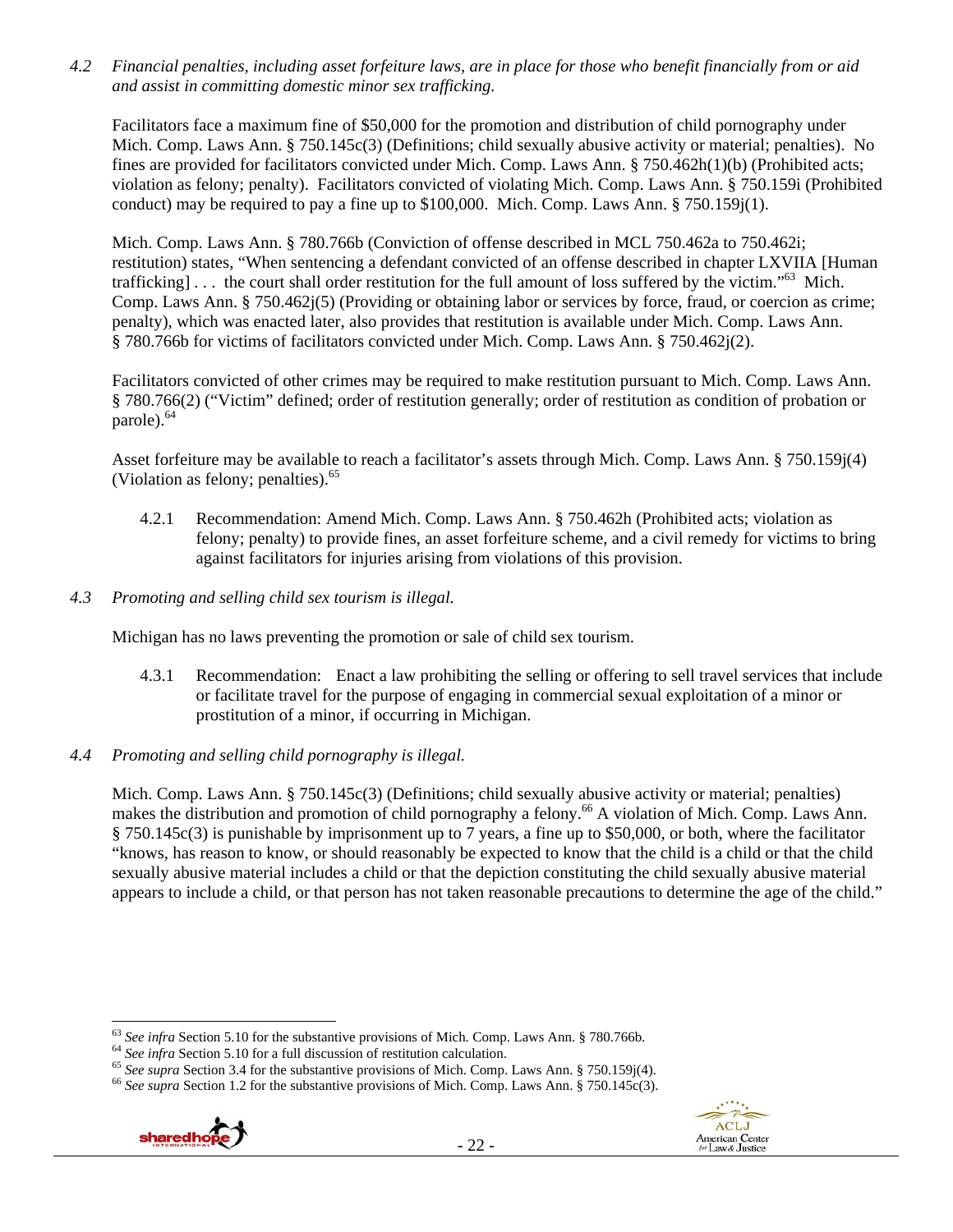*4.2 Financial penalties, including asset forfeiture laws, are in place for those who benefit financially from or aid and assist in committing domestic minor sex trafficking.* 

Facilitators face a maximum fine of \$50,000 for the promotion and distribution of child pornography under Mich. Comp. Laws Ann. § 750.145c(3) (Definitions; child sexually abusive activity or material; penalties). No fines are provided for facilitators convicted under Mich. Comp. Laws Ann. § 750.462h(1)(b) (Prohibited acts; violation as felony; penalty). Facilitators convicted of violating Mich. Comp. Laws Ann. § 750.159i (Prohibited conduct) may be required to pay a fine up to \$100,000. Mich. Comp. Laws Ann. § 750.159j(1).

Mich. Comp. Laws Ann. § 780.766b (Conviction of offense described in MCL 750.462a to 750.462i; restitution) states, "When sentencing a defendant convicted of an offense described in chapter LXVIIA [Human trafficking] . . . the court shall order restitution for the full amount of loss suffered by the victim."63 Mich. Comp. Laws Ann. § 750.462 $j(5)$  (Providing or obtaining labor or services by force, fraud, or coercion as crime; penalty), which was enacted later, also provides that restitution is available under Mich. Comp. Laws Ann. § 780.766b for victims of facilitators convicted under Mich. Comp. Laws Ann. § 750.462j(2).

Facilitators convicted of other crimes may be required to make restitution pursuant to Mich. Comp. Laws Ann. § 780.766(2) ("Victim" defined; order of restitution generally; order of restitution as condition of probation or parole).<sup>64</sup>

Asset forfeiture may be available to reach a facilitator's assets through Mich. Comp. Laws Ann. § 750.159j(4) (Violation as felony; penalties).<sup>65</sup>

- 4.2.1 Recommendation: Amend Mich. Comp. Laws Ann. § 750.462h (Prohibited acts; violation as felony; penalty) to provide fines, an asset forfeiture scheme, and a civil remedy for victims to bring against facilitators for injuries arising from violations of this provision.
- *4.3 Promoting and selling child sex tourism is illegal.*

Michigan has no laws preventing the promotion or sale of child sex tourism.

- 4.3.1 Recommendation: Enact a law prohibiting the selling or offering to sell travel services that include or facilitate travel for the purpose of engaging in commercial sexual exploitation of a minor or prostitution of a minor, if occurring in Michigan.
- *4.4 Promoting and selling child pornography is illegal.*

Mich. Comp. Laws Ann. § 750.145c(3) (Definitions; child sexually abusive activity or material; penalties) makes the distribution and promotion of child pornography a felony.<sup>66</sup> A violation of Mich. Comp. Laws Ann. § 750.145c(3) is punishable by imprisonment up to 7 years, a fine up to \$50,000, or both, where the facilitator "knows, has reason to know, or should reasonably be expected to know that the child is a child or that the child sexually abusive material includes a child or that the depiction constituting the child sexually abusive material appears to include a child, or that person has not taken reasonable precautions to determine the age of the child."

<sup>&</sup>lt;sup>64</sup> See infra Section 5.10 for a full discussion of restitution calculation.<br><sup>65</sup> See supra Section 3.4 for the substantive provisions of Mich. Comp. Laws Ann. § 750.159j(4).<br><sup>66</sup> See supra Section 1.2 for the substantiv



 $63$  See infra Section 5.10 for the substantive provisions of Mich. Comp. Laws Ann. § 780.766b.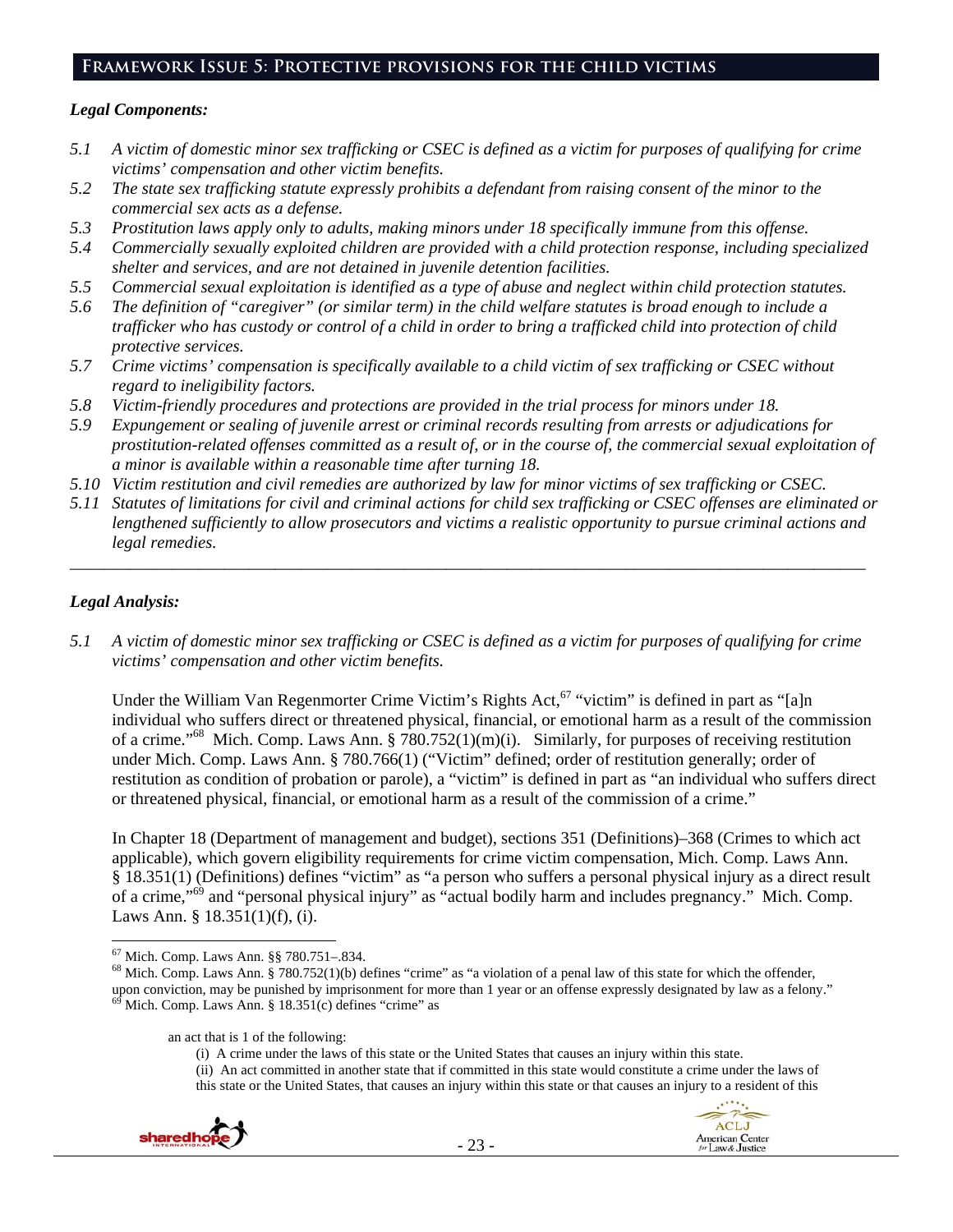## **Framework Issue 5: Protective provisions for the child victims**

### *Legal Components:*

- *5.1 A victim of domestic minor sex trafficking or CSEC is defined as a victim for purposes of qualifying for crime victims' compensation and other victim benefits.*
- *5.2 The state sex trafficking statute expressly prohibits a defendant from raising consent of the minor to the commercial sex acts as a defense.*
- *5.3 Prostitution laws apply only to adults, making minors under 18 specifically immune from this offense.*
- *5.4 Commercially sexually exploited children are provided with a child protection response, including specialized shelter and services, and are not detained in juvenile detention facilities.*
- *5.5 Commercial sexual exploitation is identified as a type of abuse and neglect within child protection statutes.*
- *5.6 The definition of "caregiver" (or similar term) in the child welfare statutes is broad enough to include a trafficker who has custody or control of a child in order to bring a trafficked child into protection of child protective services.*
- *5.7 Crime victims' compensation is specifically available to a child victim of sex trafficking or CSEC without regard to ineligibility factors.*
- *5.8 Victim-friendly procedures and protections are provided in the trial process for minors under 18.*
- *5.9 Expungement or sealing of juvenile arrest or criminal records resulting from arrests or adjudications for prostitution-related offenses committed as a result of, or in the course of, the commercial sexual exploitation of a minor is available within a reasonable time after turning 18.*
- *5.10 Victim restitution and civil remedies are authorized by law for minor victims of sex trafficking or CSEC.*
- *5.11 Statutes of limitations for civil and criminal actions for child sex trafficking or CSEC offenses are eliminated or lengthened sufficiently to allow prosecutors and victims a realistic opportunity to pursue criminal actions and legal remedies.*

*\_\_\_\_\_\_\_\_\_\_\_\_\_\_\_\_\_\_\_\_\_\_\_\_\_\_\_\_\_\_\_\_\_\_\_\_\_\_\_\_\_\_\_\_\_\_\_\_\_\_\_\_\_\_\_\_\_\_\_\_\_\_\_\_\_\_\_\_\_\_\_\_\_\_\_\_\_\_\_\_\_\_\_\_\_\_\_\_\_\_\_\_\_* 

## *Legal Analysis:*

*5.1 A victim of domestic minor sex trafficking or CSEC is defined as a victim for purposes of qualifying for crime victims' compensation and other victim benefits.* 

Under the William Van Regenmorter Crime Victim's Rights Act,<sup>67</sup> "victim" is defined in part as "[a]n individual who suffers direct or threatened physical, financial, or emotional harm as a result of the commission of a crime."68 Mich. Comp. Laws Ann. § 780.752(1)(m)(i). Similarly, for purposes of receiving restitution under Mich. Comp. Laws Ann. § 780.766(1) ("Victim" defined; order of restitution generally; order of restitution as condition of probation or parole), a "victim" is defined in part as "an individual who suffers direct or threatened physical, financial, or emotional harm as a result of the commission of a crime."

In Chapter 18 (Department of management and budget), sections 351 (Definitions)–368 (Crimes to which act applicable), which govern eligibility requirements for crime victim compensation, Mich. Comp. Laws Ann. § 18.351(1) (Definitions) defines "victim" as "a person who suffers a personal physical injury as a direct result of a crime,"69 and "personal physical injury" as "actual bodily harm and includes pregnancy." Mich. Comp. Laws Ann. § 18.351(1)(f), (i).

(i) A crime under the laws of this state or the United States that causes an injury within this state. (ii) An act committed in another state that if committed in this state would constitute a crime under the laws of this state or the United States, that causes an injury within this state or that causes an injury to a resident of this





<sup>67</sup> Mich. Comp. Laws Ann. §§ 780.751–.834.

 $68$  Mich. Comp. Laws Ann. § 780.752(1)(b) defines "crime" as "a violation of a penal law of this state for which the offender, upon conviction, may be punished by imprisonment for more than 1 year or an offense expressly designated by law as a felony."  $69$  Mich. Comp. Laws Ann. § 18.351(c) defines "crime" as

an act that is 1 of the following: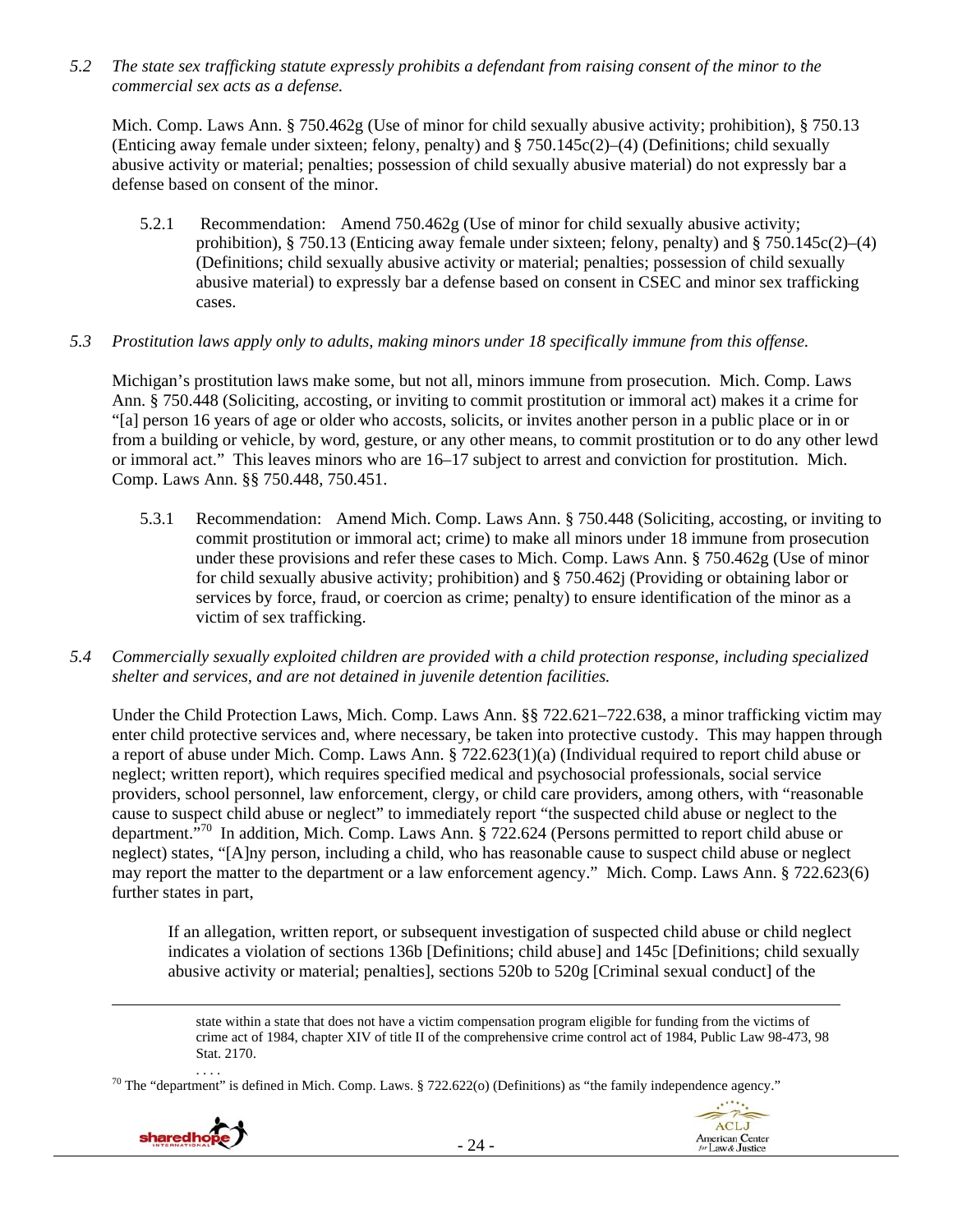*5.2 The state sex trafficking statute expressly prohibits a defendant from raising consent of the minor to the commercial sex acts as a defense.* 

Mich. Comp. Laws Ann. § 750.462g (Use of minor for child sexually abusive activity; prohibition), § 750.13 (Enticing away female under sixteen; felony, penalty) and § 750.145c(2)–(4) (Definitions; child sexually abusive activity or material; penalties; possession of child sexually abusive material) do not expressly bar a defense based on consent of the minor.

5.2.1 Recommendation: Amend 750.462g (Use of minor for child sexually abusive activity; prohibition),  $\S 750.13$  (Enticing away female under sixteen; felony, penalty) and  $\S 750.145c(2)$ –(4) (Definitions; child sexually abusive activity or material; penalties; possession of child sexually abusive material) to expressly bar a defense based on consent in CSEC and minor sex trafficking cases.

### *5.3 Prostitution laws apply only to adults, making minors under 18 specifically immune from this offense.*

Michigan's prostitution laws make some, but not all, minors immune from prosecution. Mich. Comp. Laws Ann. § 750.448 (Soliciting, accosting, or inviting to commit prostitution or immoral act) makes it a crime for "[a] person 16 years of age or older who accosts, solicits, or invites another person in a public place or in or from a building or vehicle, by word, gesture, or any other means, to commit prostitution or to do any other lewd or immoral act." This leaves minors who are 16–17 subject to arrest and conviction for prostitution. Mich. Comp. Laws Ann. §§ 750.448, 750.451.

- 5.3.1 Recommendation: Amend Mich. Comp. Laws Ann. § 750.448 (Soliciting, accosting, or inviting to commit prostitution or immoral act; crime) to make all minors under 18 immune from prosecution under these provisions and refer these cases to Mich. Comp. Laws Ann. § 750.462g (Use of minor for child sexually abusive activity; prohibition) and § 750.462j (Providing or obtaining labor or services by force, fraud, or coercion as crime; penalty) to ensure identification of the minor as a victim of sex trafficking.
- *5.4 Commercially sexually exploited children are provided with a child protection response, including specialized shelter and services, and are not detained in juvenile detention facilities.*

Under the Child Protection Laws, Mich. Comp. Laws Ann. §§ 722.621–722.638, a minor trafficking victim may enter child protective services and, where necessary, be taken into protective custody. This may happen through a report of abuse under Mich. Comp. Laws Ann. § 722.623(1)(a) (Individual required to report child abuse or neglect; written report), which requires specified medical and psychosocial professionals, social service providers, school personnel, law enforcement, clergy, or child care providers, among others, with "reasonable cause to suspect child abuse or neglect" to immediately report "the suspected child abuse or neglect to the department."70 In addition, Mich. Comp. Laws Ann. § 722.624 (Persons permitted to report child abuse or neglect) states, "[A]ny person, including a child, who has reasonable cause to suspect child abuse or neglect may report the matter to the department or a law enforcement agency." Mich. Comp. Laws Ann. § 722.623(6) further states in part,

If an allegation, written report, or subsequent investigation of suspected child abuse or child neglect indicates a violation of sections 136b [Definitions; child abuse] and 145c [Definitions; child sexually abusive activity or material; penalties], sections 520b to 520g [Criminal sexual conduct] of the

state within a state that does not have a victim compensation program eligible for funding from the victims of crime act of 1984, chapter XIV of title II of the comprehensive crime control act of 1984, Public Law 98-473, 98 Stat. 2170.

<sup>70</sup> The "department" is defined in Mich. Comp. Laws. § 722.622(o) (Definitions) as "the family independence agency."



<u> Andrewski politika (za obrazu pod predsjednika u predsjednika u predsjednika u predsjednika (za obrazu pod p</u>

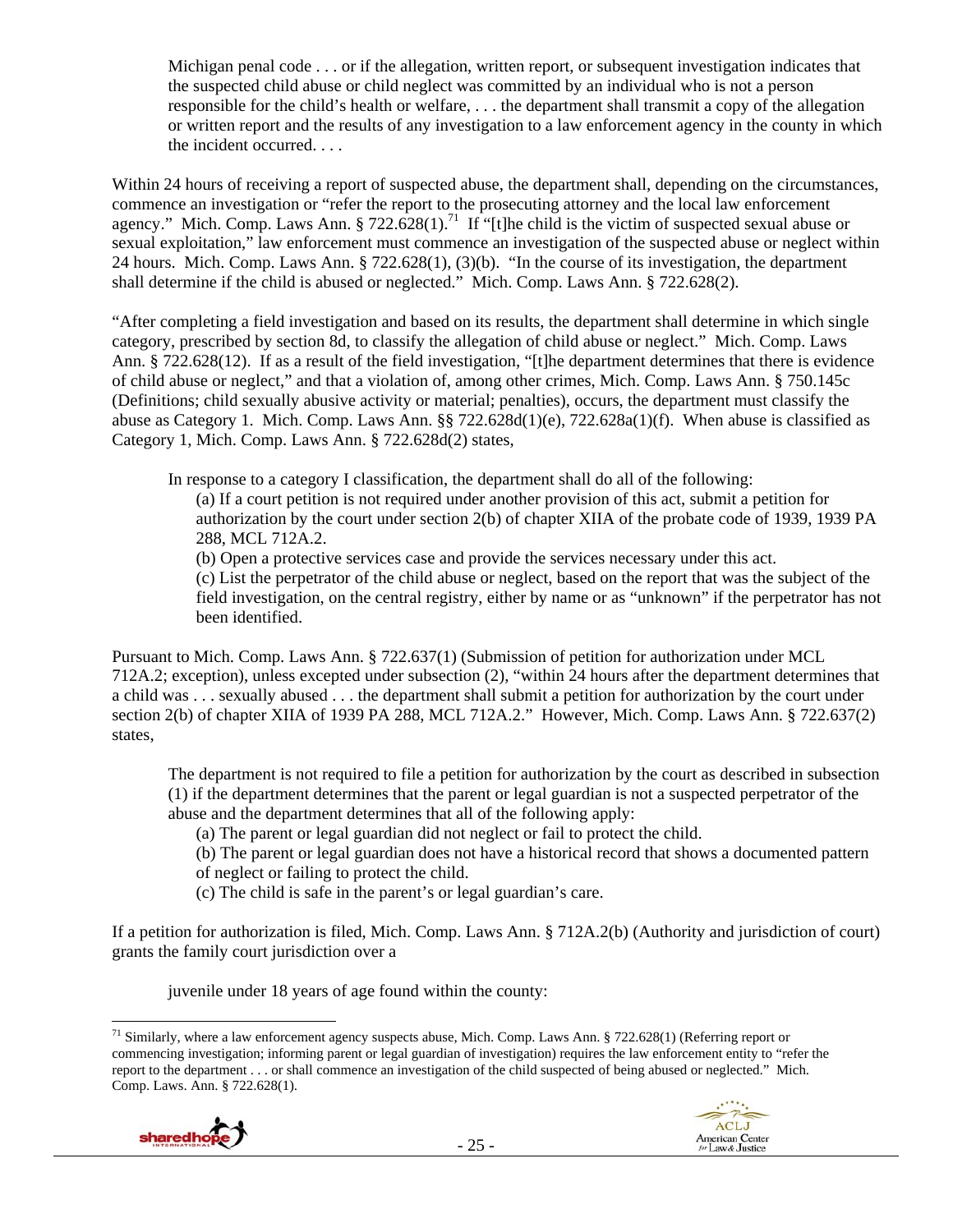Michigan penal code . . . or if the allegation, written report, or subsequent investigation indicates that the suspected child abuse or child neglect was committed by an individual who is not a person responsible for the child's health or welfare, . . . the department shall transmit a copy of the allegation or written report and the results of any investigation to a law enforcement agency in the county in which the incident occurred. . . .

Within 24 hours of receiving a report of suspected abuse, the department shall, depending on the circumstances, commence an investigation or "refer the report to the prosecuting attorney and the local law enforcement agency." Mich. Comp. Laws Ann. § 722.628(1).<sup>71</sup> If "[t]he child is the victim of suspected sexual abuse or sexual exploitation," law enforcement must commence an investigation of the suspected abuse or neglect within 24 hours. Mich. Comp. Laws Ann. § 722.628(1), (3)(b). "In the course of its investigation, the department shall determine if the child is abused or neglected." Mich. Comp. Laws Ann. § 722.628(2).

"After completing a field investigation and based on its results, the department shall determine in which single category, prescribed by section 8d, to classify the allegation of child abuse or neglect." Mich. Comp. Laws Ann. § 722.628(12). If as a result of the field investigation, "[t]he department determines that there is evidence of child abuse or neglect," and that a violation of, among other crimes, Mich. Comp. Laws Ann. § 750.145c (Definitions; child sexually abusive activity or material; penalties), occurs, the department must classify the abuse as Category 1. Mich. Comp. Laws Ann. §§ 722.628d(1)(e), 722.628a(1)(f). When abuse is classified as Category 1, Mich. Comp. Laws Ann. § 722.628d(2) states,

In response to a category I classification, the department shall do all of the following:

(a) If a court petition is not required under another provision of this act, submit a petition for authorization by the court under section 2(b) of chapter XIIA of the probate code of 1939, 1939 PA 288, MCL 712A.2.

(b) Open a protective services case and provide the services necessary under this act.

(c) List the perpetrator of the child abuse or neglect, based on the report that was the subject of the field investigation, on the central registry, either by name or as "unknown" if the perpetrator has not been identified.

Pursuant to Mich. Comp. Laws Ann. § 722.637(1) (Submission of petition for authorization under MCL 712A.2; exception), unless excepted under subsection (2), "within 24 hours after the department determines that a child was . . . sexually abused . . . the department shall submit a petition for authorization by the court under section 2(b) of chapter XIIA of 1939 PA 288, MCL 712A.2." However, Mich. Comp. Laws Ann. § 722.637(2) states,

The department is not required to file a petition for authorization by the court as described in subsection (1) if the department determines that the parent or legal guardian is not a suspected perpetrator of the abuse and the department determines that all of the following apply:

(a) The parent or legal guardian did not neglect or fail to protect the child.

- (b) The parent or legal guardian does not have a historical record that shows a documented pattern
- of neglect or failing to protect the child.
- (c) The child is safe in the parent's or legal guardian's care.

If a petition for authorization is filed, Mich. Comp. Laws Ann. § 712A.2(b) (Authority and jurisdiction of court) grants the family court jurisdiction over a

juvenile under 18 years of age found within the county:

 <sup>71</sup> Similarly, where a law enforcement agency suspects abuse, Mich. Comp. Laws Ann. § 722.628(1) (Referring report or commencing investigation; informing parent or legal guardian of investigation) requires the law enforcement entity to "refer the report to the department . . . or shall commence an investigation of the child suspected of being abused or neglected." Mich. Comp. Laws. Ann. § 722.628(1).



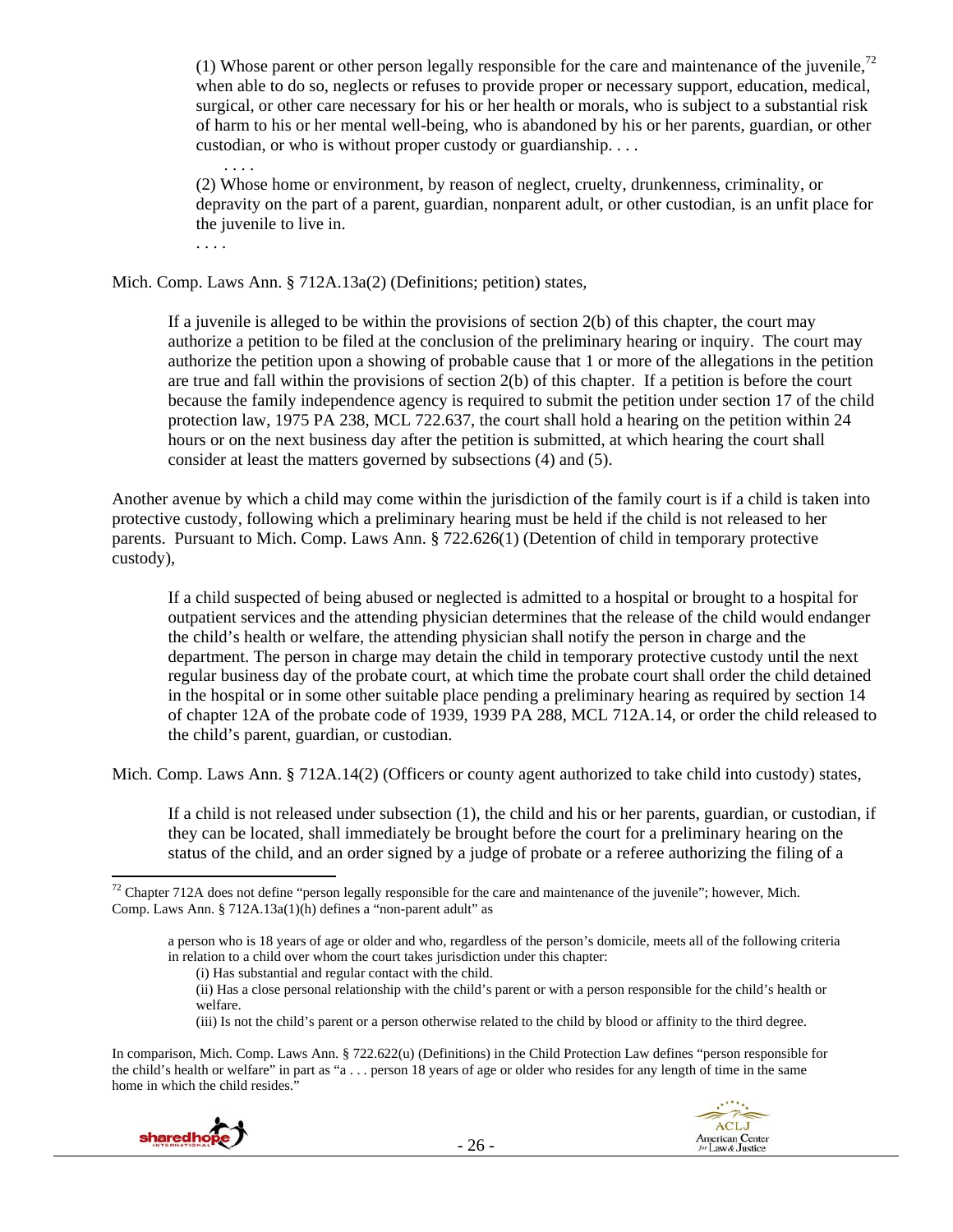(1) Whose parent or other person legally responsible for the care and maintenance of the juvenile,<sup>72</sup> when able to do so, neglects or refuses to provide proper or necessary support, education, medical, surgical, or other care necessary for his or her health or morals, who is subject to a substantial risk of harm to his or her mental well-being, who is abandoned by his or her parents, guardian, or other custodian, or who is without proper custody or guardianship. . . .

(2) Whose home or environment, by reason of neglect, cruelty, drunkenness, criminality, or depravity on the part of a parent, guardian, nonparent adult, or other custodian, is an unfit place for the juvenile to live in.

Mich. Comp. Laws Ann. § 712A.13a(2) (Definitions; petition) states,

. . . .

. . . .

If a juvenile is alleged to be within the provisions of section 2(b) of this chapter, the court may authorize a petition to be filed at the conclusion of the preliminary hearing or inquiry. The court may authorize the petition upon a showing of probable cause that 1 or more of the allegations in the petition are true and fall within the provisions of section 2(b) of this chapter. If a petition is before the court because the family independence agency is required to submit the petition under section 17 of the child protection law, 1975 PA 238, MCL 722.637, the court shall hold a hearing on the petition within 24 hours or on the next business day after the petition is submitted, at which hearing the court shall consider at least the matters governed by subsections (4) and (5).

Another avenue by which a child may come within the jurisdiction of the family court is if a child is taken into protective custody, following which a preliminary hearing must be held if the child is not released to her parents. Pursuant to Mich. Comp. Laws Ann. § 722.626(1) (Detention of child in temporary protective custody),

If a child suspected of being abused or neglected is admitted to a hospital or brought to a hospital for outpatient services and the attending physician determines that the release of the child would endanger the child's health or welfare, the attending physician shall notify the person in charge and the department. The person in charge may detain the child in temporary protective custody until the next regular business day of the probate court, at which time the probate court shall order the child detained in the hospital or in some other suitable place pending a preliminary hearing as required by section 14 of chapter 12A of the probate code of 1939, 1939 PA 288, MCL 712A.14, or order the child released to the child's parent, guardian, or custodian.

Mich. Comp. Laws Ann. § 712A.14(2) (Officers or county agent authorized to take child into custody) states,

If a child is not released under subsection (1), the child and his or her parents, guardian, or custodian, if they can be located, shall immediately be brought before the court for a preliminary hearing on the status of the child, and an order signed by a judge of probate or a referee authorizing the filing of a

(iii) Is not the child's parent or a person otherwise related to the child by blood or affinity to the third degree.

In comparison, Mich. Comp. Laws Ann. § 722.622(u) (Definitions) in the Child Protection Law defines "person responsible for the child's health or welfare" in part as "a . . . person 18 years of age or older who resides for any length of time in the same home in which the child resides."



 $72$  Chapter 712A does not define "person legally responsible for the care and maintenance of the juvenile"; however, Mich. Comp. Laws Ann. § 712A.13a(1)(h) defines a "non-parent adult" as

a person who is 18 years of age or older and who, regardless of the person's domicile, meets all of the following criteria in relation to a child over whom the court takes jurisdiction under this chapter:

<sup>(</sup>i) Has substantial and regular contact with the child.

<sup>(</sup>ii) Has a close personal relationship with the child's parent or with a person responsible for the child's health or welfare.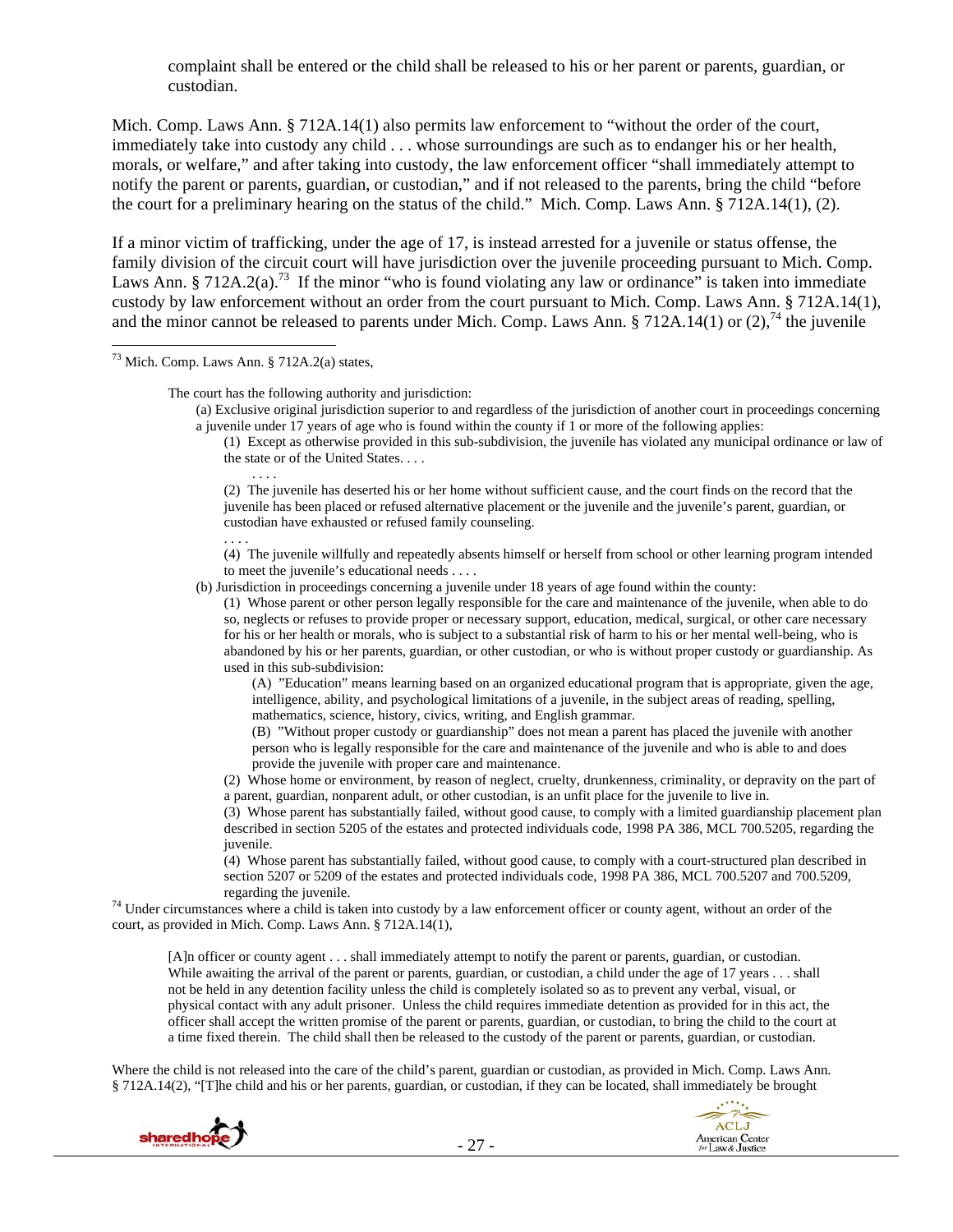complaint shall be entered or the child shall be released to his or her parent or parents, guardian, or custodian.

Mich. Comp. Laws Ann. § 712A.14(1) also permits law enforcement to "without the order of the court, immediately take into custody any child . . . whose surroundings are such as to endanger his or her health, morals, or welfare," and after taking into custody, the law enforcement officer "shall immediately attempt to notify the parent or parents, guardian, or custodian," and if not released to the parents, bring the child "before the court for a preliminary hearing on the status of the child." Mich. Comp. Laws Ann. § 712A.14(1), (2).

If a minor victim of trafficking, under the age of 17, is instead arrested for a juvenile or status offense, the family division of the circuit court will have jurisdiction over the juvenile proceeding pursuant to Mich. Comp. Laws Ann. § 712A.2(a).<sup>73</sup> If the minor "who is found violating any law or ordinance" is taken into immediate custody by law enforcement without an order from the court pursuant to Mich. Comp. Laws Ann. § 712A.14(1), and the minor cannot be released to parents under Mich. Comp. Laws Ann. § 712A.14(1) or (2),<sup>74</sup> the juvenile

73 Mich. Comp. Laws Ann. § 712A.2(a) states,

. . . .

The court has the following authority and jurisdiction:

(a) Exclusive original jurisdiction superior to and regardless of the jurisdiction of another court in proceedings concerning a juvenile under 17 years of age who is found within the county if 1 or more of the following applies:

(1) Except as otherwise provided in this sub-subdivision, the juvenile has violated any municipal ordinance or law of the state or of the United States. . . .

(2) The juvenile has deserted his or her home without sufficient cause, and the court finds on the record that the juvenile has been placed or refused alternative placement or the juvenile and the juvenile's parent, guardian, or custodian have exhausted or refused family counseling.

. . . . (4) The juvenile willfully and repeatedly absents himself or herself from school or other learning program intended to meet the juvenile's educational needs . . . .

(b) Jurisdiction in proceedings concerning a juvenile under 18 years of age found within the county:

(1) Whose parent or other person legally responsible for the care and maintenance of the juvenile, when able to do so, neglects or refuses to provide proper or necessary support, education, medical, surgical, or other care necessary for his or her health or morals, who is subject to a substantial risk of harm to his or her mental well-being, who is abandoned by his or her parents, guardian, or other custodian, or who is without proper custody or guardianship. As used in this sub-subdivision:

(A) "Education" means learning based on an organized educational program that is appropriate, given the age, intelligence, ability, and psychological limitations of a juvenile, in the subject areas of reading, spelling, mathematics, science, history, civics, writing, and English grammar.

(B) "Without proper custody or guardianship" does not mean a parent has placed the juvenile with another person who is legally responsible for the care and maintenance of the juvenile and who is able to and does provide the juvenile with proper care and maintenance.

(2) Whose home or environment, by reason of neglect, cruelty, drunkenness, criminality, or depravity on the part of a parent, guardian, nonparent adult, or other custodian, is an unfit place for the juvenile to live in.

(3) Whose parent has substantially failed, without good cause, to comply with a limited guardianship placement plan described in section 5205 of the estates and protected individuals code, 1998 PA 386, MCL 700.5205, regarding the juvenile.

(4) Whose parent has substantially failed, without good cause, to comply with a court-structured plan described in section 5207 or 5209 of the estates and protected individuals code, 1998 PA 386, MCL 700.5207 and 700.5209,

 $<sup>74</sup>$  Under circumstances where a child is taken into custody by a law enforcement officer or county agent, without an order of the</sup> court, as provided in Mich. Comp. Laws Ann. § 712A.14(1),

[A]n officer or county agent . . . shall immediately attempt to notify the parent or parents, guardian, or custodian. While awaiting the arrival of the parent or parents, guardian, or custodian, a child under the age of 17 years . . . shall not be held in any detention facility unless the child is completely isolated so as to prevent any verbal, visual, or physical contact with any adult prisoner. Unless the child requires immediate detention as provided for in this act, the officer shall accept the written promise of the parent or parents, guardian, or custodian, to bring the child to the court at a time fixed therein. The child shall then be released to the custody of the parent or parents, guardian, or custodian.

Where the child is not released into the care of the child's parent, guardian or custodian, as provided in Mich. Comp. Laws Ann. § 712A.14(2), "[T]he child and his or her parents, guardian, or custodian, if they can be located, shall immediately be brought



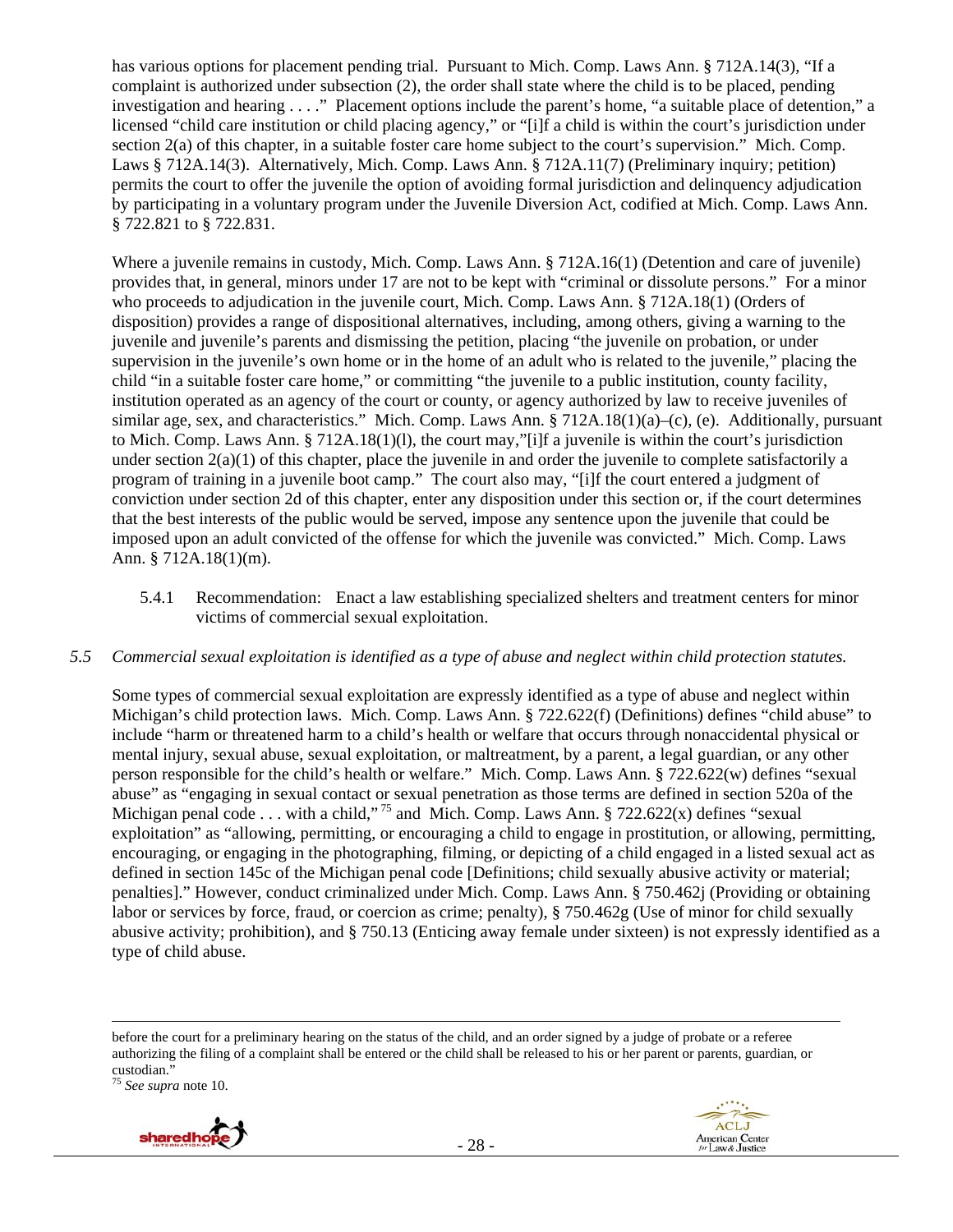has various options for placement pending trial. Pursuant to Mich. Comp. Laws Ann. § 712A.14(3), "If a complaint is authorized under subsection (2), the order shall state where the child is to be placed, pending investigation and hearing . . . ." Placement options include the parent's home, "a suitable place of detention," a licensed "child care institution or child placing agency," or "[i]f a child is within the court's jurisdiction under section 2(a) of this chapter, in a suitable foster care home subject to the court's supervision." Mich. Comp. Laws § 712A.14(3). Alternatively, Mich. Comp. Laws Ann. § 712A.11(7) (Preliminary inquiry; petition) permits the court to offer the juvenile the option of avoiding formal jurisdiction and delinquency adjudication by participating in a voluntary program under the Juvenile Diversion Act, codified at Mich. Comp. Laws Ann. § 722.821 to § 722.831.

Where a juvenile remains in custody, Mich. Comp. Laws Ann. § 712A.16(1) (Detention and care of juvenile) provides that, in general, minors under 17 are not to be kept with "criminal or dissolute persons." For a minor who proceeds to adjudication in the juvenile court, Mich. Comp. Laws Ann. § 712A.18(1) (Orders of disposition) provides a range of dispositional alternatives, including, among others, giving a warning to the juvenile and juvenile's parents and dismissing the petition, placing "the juvenile on probation, or under supervision in the juvenile's own home or in the home of an adult who is related to the juvenile," placing the child "in a suitable foster care home," or committing "the juvenile to a public institution, county facility, institution operated as an agency of the court or county, or agency authorized by law to receive juveniles of similar age, sex, and characteristics." Mich. Comp. Laws Ann.  $\S 712A.18(1)(a)$ –(c), (e). Additionally, pursuant to Mich. Comp. Laws Ann. § 712A.18(1)(l), the court may,"[i]f a juvenile is within the court's jurisdiction under section  $2(a)(1)$  of this chapter, place the juvenile in and order the juvenile to complete satisfactorily a program of training in a juvenile boot camp." The court also may, "[i]f the court entered a judgment of conviction under section 2d of this chapter, enter any disposition under this section or, if the court determines that the best interests of the public would be served, impose any sentence upon the juvenile that could be imposed upon an adult convicted of the offense for which the juvenile was convicted." Mich. Comp. Laws Ann. § 712A.18(1)(m).

5.4.1 Recommendation: Enact a law establishing specialized shelters and treatment centers for minor victims of commercial sexual exploitation.

### *5.5 Commercial sexual exploitation is identified as a type of abuse and neglect within child protection statutes.*

Some types of commercial sexual exploitation are expressly identified as a type of abuse and neglect within Michigan's child protection laws. Mich. Comp. Laws Ann. § 722.622(f) (Definitions) defines "child abuse" to include "harm or threatened harm to a child's health or welfare that occurs through nonaccidental physical or mental injury, sexual abuse, sexual exploitation, or maltreatment, by a parent, a legal guardian, or any other person responsible for the child's health or welfare." Mich. Comp. Laws Ann. § 722.622(w) defines "sexual abuse" as "engaging in sexual contact or sexual penetration as those terms are defined in section 520a of the Michigan penal code . . . with a child,"<sup>75</sup> and Mich. Comp. Laws Ann. § 722.622(x) defines "sexual exploitation" as "allowing, permitting, or encouraging a child to engage in prostitution, or allowing, permitting, encouraging, or engaging in the photographing, filming, or depicting of a child engaged in a listed sexual act as defined in section 145c of the Michigan penal code [Definitions; child sexually abusive activity or material; penalties]." However, conduct criminalized under Mich. Comp. Laws Ann. § 750.462j (Providing or obtaining labor or services by force, fraud, or coercion as crime; penalty), § 750.462g (Use of minor for child sexually abusive activity; prohibition), and § 750.13 (Enticing away female under sixteen) is not expressly identified as a type of child abuse.

<u> 1989 - Andrea Santa Alemania, poeta esperanto-se especial de la contrada de la contrada de la contrada de la</u>

<sup>75</sup> *See supra* note 10.





before the court for a preliminary hearing on the status of the child, and an order signed by a judge of probate or a referee authorizing the filing of a complaint shall be entered or the child shall be released to his or her parent or parents, guardian, or custodian."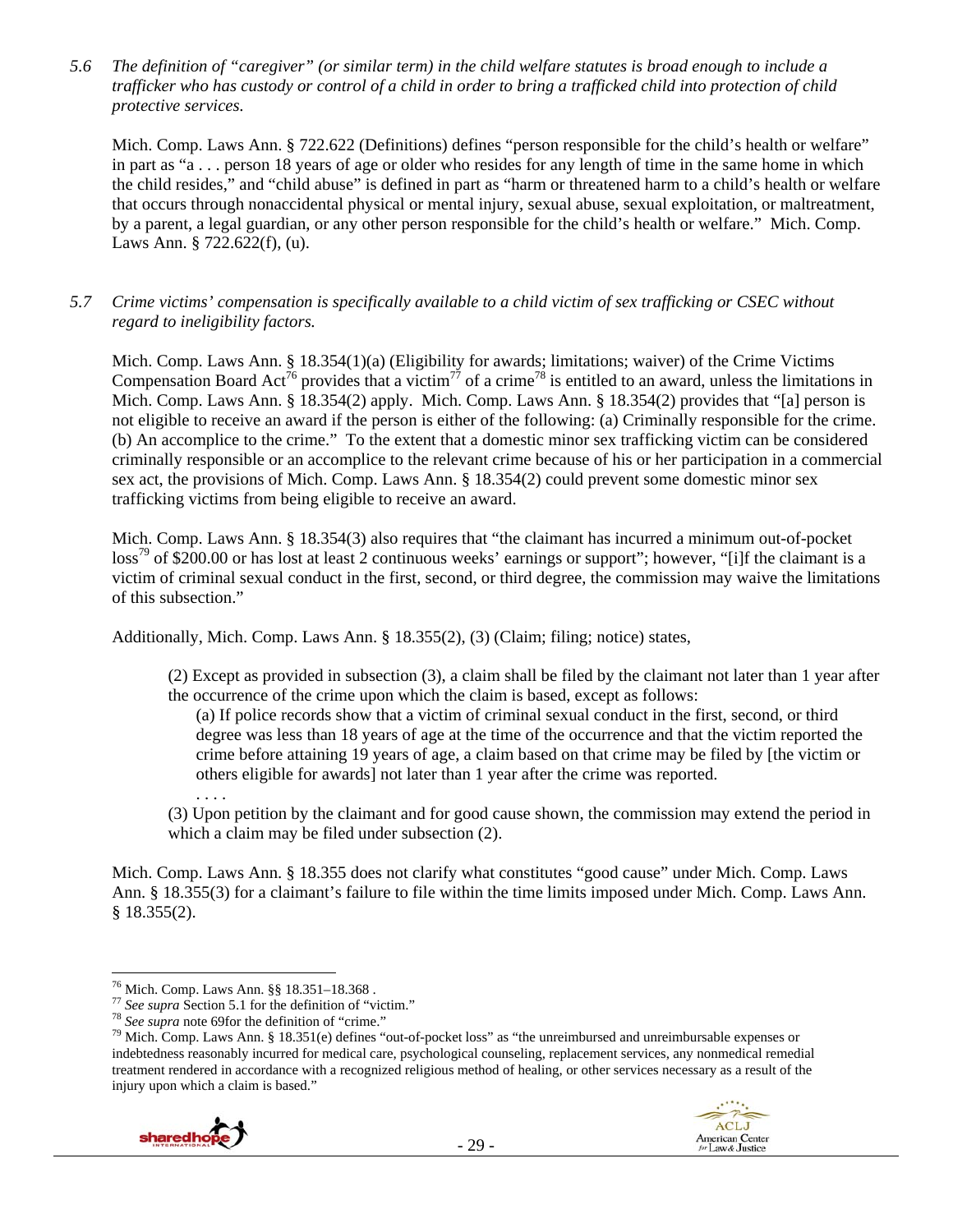### *5.6 The definition of "caregiver" (or similar term) in the child welfare statutes is broad enough to include a trafficker who has custody or control of a child in order to bring a trafficked child into protection of child protective services.*

Mich. Comp. Laws Ann. § 722.622 (Definitions) defines "person responsible for the child's health or welfare" in part as "a . . . person 18 years of age or older who resides for any length of time in the same home in which the child resides," and "child abuse" is defined in part as "harm or threatened harm to a child's health or welfare that occurs through nonaccidental physical or mental injury, sexual abuse, sexual exploitation, or maltreatment, by a parent, a legal guardian, or any other person responsible for the child's health or welfare." Mich. Comp. Laws Ann. § 722.622(f), (u).

## *5.7 Crime victims' compensation is specifically available to a child victim of sex trafficking or CSEC without regard to ineligibility factors.*

Mich. Comp. Laws Ann. § 18.354(1)(a) (Eligibility for awards; limitations; waiver) of the Crime Victims Compensation Board Act<sup>76</sup> provides that a victim<sup>77</sup> of a crime<sup>78</sup> is entitled to an award, unless the limitations in Mich. Comp. Laws Ann. § 18.354(2) apply. Mich. Comp. Laws Ann. § 18.354(2) provides that "[a] person is not eligible to receive an award if the person is either of the following: (a) Criminally responsible for the crime. (b) An accomplice to the crime." To the extent that a domestic minor sex trafficking victim can be considered criminally responsible or an accomplice to the relevant crime because of his or her participation in a commercial sex act, the provisions of Mich. Comp. Laws Ann. § 18.354(2) could prevent some domestic minor sex trafficking victims from being eligible to receive an award.

Mich. Comp. Laws Ann. § 18.354(3) also requires that "the claimant has incurred a minimum out-of-pocket loss<sup>79</sup> of \$200.00 or has lost at least 2 continuous weeks' earnings or support"; however, "[i]f the claimant is a victim of criminal sexual conduct in the first, second, or third degree, the commission may waive the limitations of this subsection."

Additionally, Mich. Comp. Laws Ann. § 18.355(2), (3) (Claim; filing; notice) states,

(2) Except as provided in subsection (3), a claim shall be filed by the claimant not later than 1 year after the occurrence of the crime upon which the claim is based, except as follows:

(a) If police records show that a victim of criminal sexual conduct in the first, second, or third degree was less than 18 years of age at the time of the occurrence and that the victim reported the crime before attaining 19 years of age, a claim based on that crime may be filed by [the victim or others eligible for awards] not later than 1 year after the crime was reported.

. . . . (3) Upon petition by the claimant and for good cause shown, the commission may extend the period in which a claim may be filed under subsection (2).

Mich. Comp. Laws Ann. § 18.355 does not clarify what constitutes "good cause" under Mich. Comp. Laws Ann. § 18.355(3) for a claimant's failure to file within the time limits imposed under Mich. Comp. Laws Ann. § 18.355(2).

<sup>&</sup>lt;sup>78</sup> See supra note 69for the definition of "crime."<br><sup>79</sup> Mich. Comp. Laws Ann. § 18.351(e) defines "out-of-pocket loss" as "the unreimbursed and unreimbursable expenses or indebtedness reasonably incurred for medical care, psychological counseling, replacement services, any nonmedical remedial treatment rendered in accordance with a recognized religious method of healing, or other services necessary as a result of the injury upon which a claim is based."



<sup>&</sup>lt;sup>76</sup> Mich. Comp. Laws Ann. §§ 18.351–18.368.<br><sup>77</sup> See supra Section 5.1 for the definition of "victim."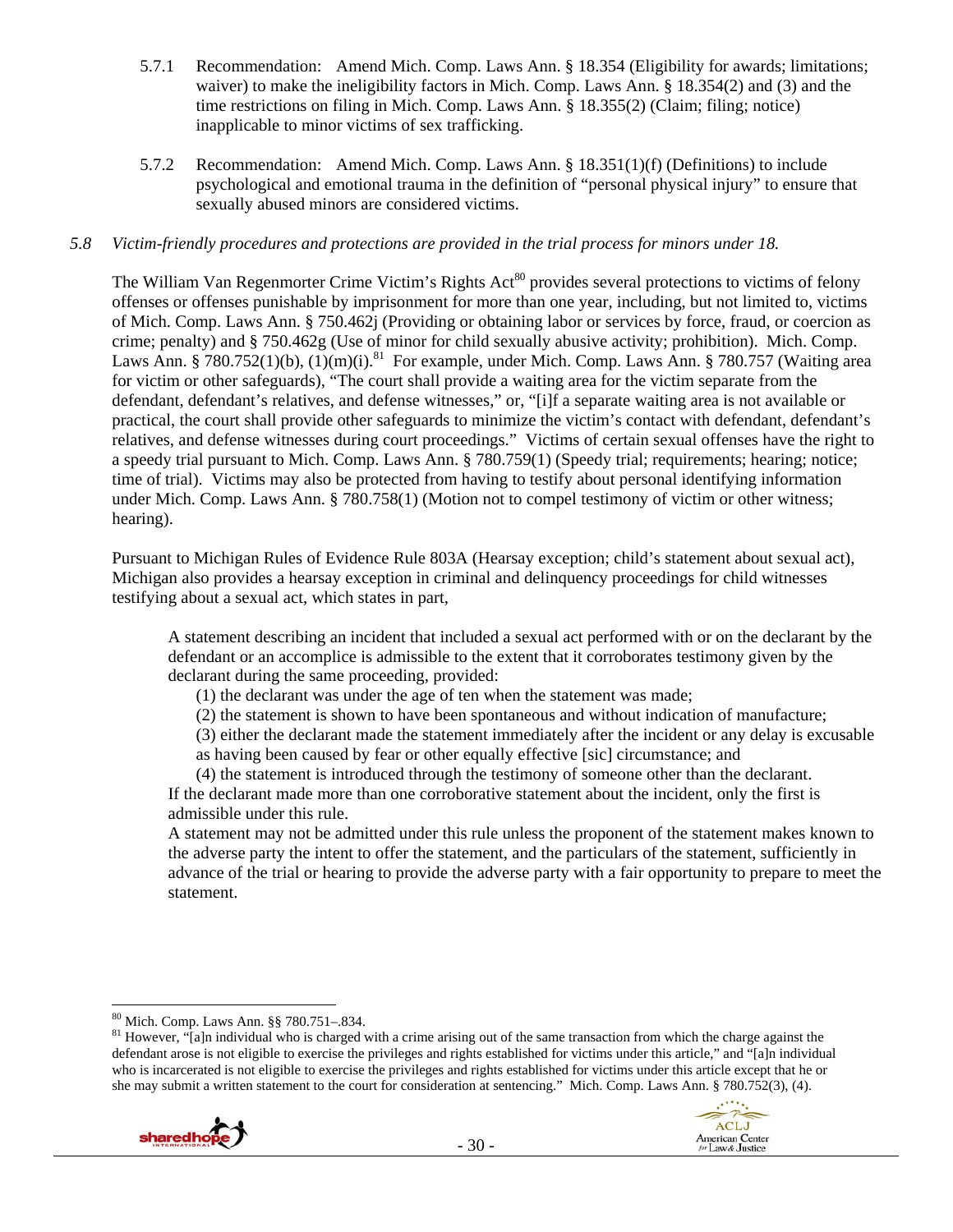- 5.7.1 Recommendation: Amend Mich. Comp. Laws Ann. § 18.354 (Eligibility for awards; limitations; waiver) to make the ineligibility factors in Mich. Comp. Laws Ann. § 18.354(2) and (3) and the time restrictions on filing in Mich. Comp. Laws Ann. § 18.355(2) (Claim; filing; notice) inapplicable to minor victims of sex trafficking.
- 5.7.2 Recommendation: Amend Mich. Comp. Laws Ann. § 18.351(1)(f) (Definitions) to include psychological and emotional trauma in the definition of "personal physical injury" to ensure that sexually abused minors are considered victims.

## *5.8 Victim-friendly procedures and protections are provided in the trial process for minors under 18.*

The William Van Regenmorter Crime Victim's Rights Act<sup>80</sup> provides several protections to victims of felony offenses or offenses punishable by imprisonment for more than one year, including, but not limited to, victims of Mich. Comp. Laws Ann. § 750.462j (Providing or obtaining labor or services by force, fraud, or coercion as crime; penalty) and § 750.462g (Use of minor for child sexually abusive activity; prohibition). Mich. Comp. Laws Ann. § 780.752(1)(b),  $(1)(m)(i)$ .<sup>81</sup> For example, under Mich. Comp. Laws Ann. § 780.757 (Waiting area for victim or other safeguards), "The court shall provide a waiting area for the victim separate from the defendant, defendant's relatives, and defense witnesses," or, "[i]f a separate waiting area is not available or practical, the court shall provide other safeguards to minimize the victim's contact with defendant, defendant's relatives, and defense witnesses during court proceedings." Victims of certain sexual offenses have the right to a speedy trial pursuant to Mich. Comp. Laws Ann. § 780.759(1) (Speedy trial; requirements; hearing; notice; time of trial). Victims may also be protected from having to testify about personal identifying information under Mich. Comp. Laws Ann. § 780.758(1) (Motion not to compel testimony of victim or other witness; hearing).

Pursuant to Michigan Rules of Evidence Rule 803A (Hearsay exception; child's statement about sexual act), Michigan also provides a hearsay exception in criminal and delinquency proceedings for child witnesses testifying about a sexual act, which states in part,

A statement describing an incident that included a sexual act performed with or on the declarant by the defendant or an accomplice is admissible to the extent that it corroborates testimony given by the declarant during the same proceeding, provided:

(1) the declarant was under the age of ten when the statement was made;

(2) the statement is shown to have been spontaneous and without indication of manufacture;

(3) either the declarant made the statement immediately after the incident or any delay is excusable as having been caused by fear or other equally effective [sic] circumstance; and

(4) the statement is introduced through the testimony of someone other than the declarant. If the declarant made more than one corroborative statement about the incident, only the first is admissible under this rule.

A statement may not be admitted under this rule unless the proponent of the statement makes known to the adverse party the intent to offer the statement, and the particulars of the statement, sufficiently in advance of the trial or hearing to provide the adverse party with a fair opportunity to prepare to meet the statement.

 $81$  However, "[a]n individual who is charged with a crime arising out of the same transaction from which the charge against the defendant arose is not eligible to exercise the privileges and rights established for victims under this article," and "[a]n individual who is incarcerated is not eligible to exercise the privileges and rights established for victims under this article except that he or she may submit a written statement to the court for consideration at sentencing." Mich. Comp. Laws Ann. § 780.752(3), (4).





<sup>80</sup> Mich. Comp. Laws Ann. §§ 780.751–.834.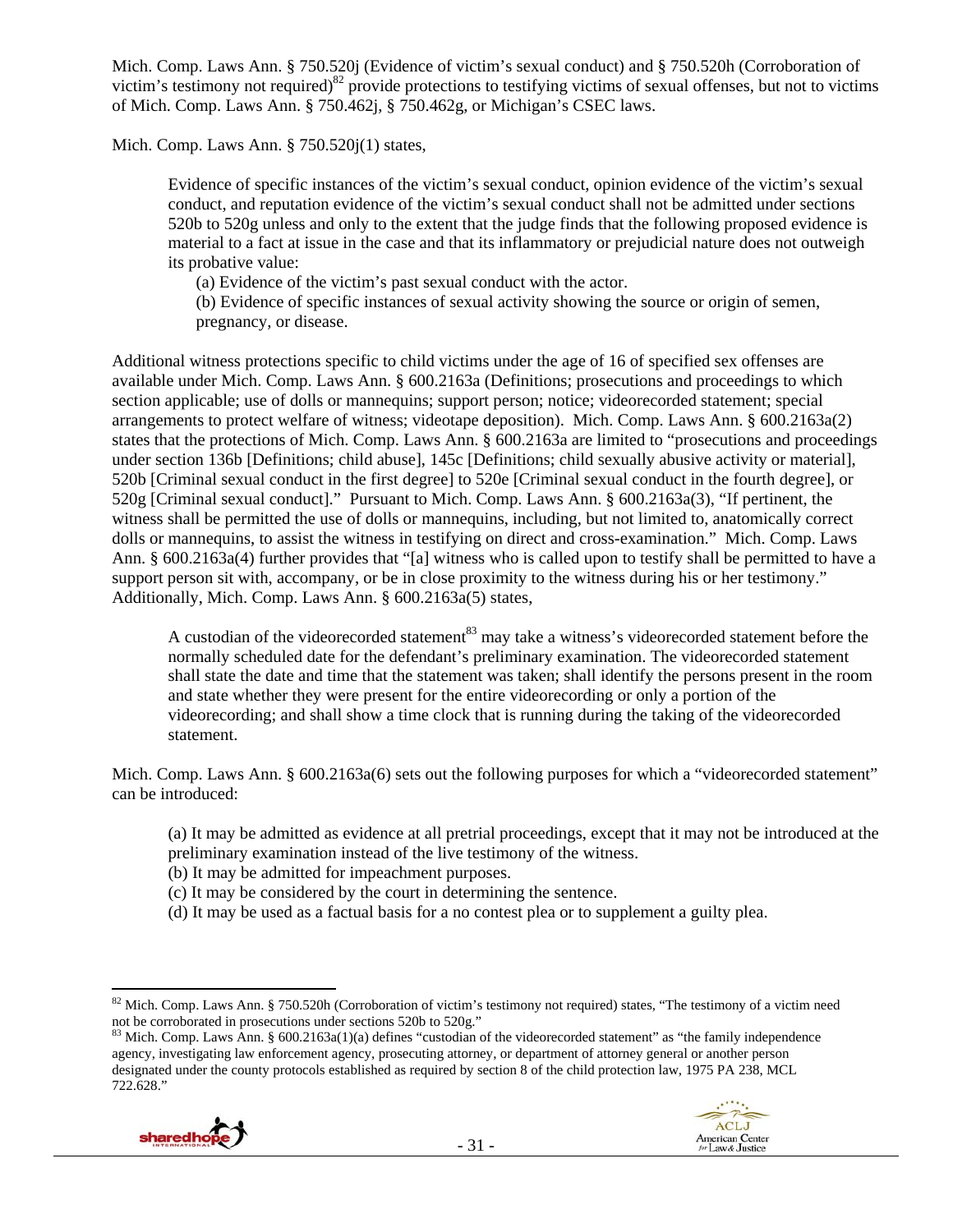Mich. Comp. Laws Ann. § 750.520j (Evidence of victim's sexual conduct) and § 750.520h (Corroboration of victim's testimony not required) $82$  provide protections to testifying victims of sexual offenses, but not to victims of Mich. Comp. Laws Ann. § 750.462j, § 750.462g, or Michigan's CSEC laws.

Mich. Comp. Laws Ann. § 750.520j(1) states,

Evidence of specific instances of the victim's sexual conduct, opinion evidence of the victim's sexual conduct, and reputation evidence of the victim's sexual conduct shall not be admitted under sections 520b to 520g unless and only to the extent that the judge finds that the following proposed evidence is material to a fact at issue in the case and that its inflammatory or prejudicial nature does not outweigh its probative value:

(a) Evidence of the victim's past sexual conduct with the actor.

(b) Evidence of specific instances of sexual activity showing the source or origin of semen, pregnancy, or disease.

Additional witness protections specific to child victims under the age of 16 of specified sex offenses are available under Mich. Comp. Laws Ann. § 600.2163a (Definitions; prosecutions and proceedings to which section applicable; use of dolls or mannequins; support person; notice; videorecorded statement; special arrangements to protect welfare of witness; videotape deposition). Mich. Comp. Laws Ann. § 600.2163a(2) states that the protections of Mich. Comp. Laws Ann. § 600.2163a are limited to "prosecutions and proceedings under section 136b [Definitions; child abuse], 145c [Definitions; child sexually abusive activity or material], 520b [Criminal sexual conduct in the first degree] to 520e [Criminal sexual conduct in the fourth degree], or 520g [Criminal sexual conduct]." Pursuant to Mich. Comp. Laws Ann. § 600.2163a(3), "If pertinent, the witness shall be permitted the use of dolls or mannequins, including, but not limited to, anatomically correct dolls or mannequins, to assist the witness in testifying on direct and cross-examination." Mich. Comp. Laws Ann. § 600.2163a(4) further provides that "[a] witness who is called upon to testify shall be permitted to have a support person sit with, accompany, or be in close proximity to the witness during his or her testimony." Additionally, Mich. Comp. Laws Ann. § 600.2163a(5) states,

A custodian of the videorecorded statement<sup>83</sup> may take a witness's videorecorded statement before the normally scheduled date for the defendant's preliminary examination. The videorecorded statement shall state the date and time that the statement was taken; shall identify the persons present in the room and state whether they were present for the entire videorecording or only a portion of the videorecording; and shall show a time clock that is running during the taking of the videorecorded statement.

Mich. Comp. Laws Ann. § 600.2163a(6) sets out the following purposes for which a "videorecorded statement" can be introduced:

(a) It may be admitted as evidence at all pretrial proceedings, except that it may not be introduced at the preliminary examination instead of the live testimony of the witness.

(b) It may be admitted for impeachment purposes.

(c) It may be considered by the court in determining the sentence.

(d) It may be used as a factual basis for a no contest plea or to supplement a guilty plea.

agency, investigating law enforcement agency, prosecuting attorney, or department of attorney general or another person designated under the county protocols established as required by section 8 of the child protection law, 1975 PA 238, MCL 722.628."





 $82$  Mich. Comp. Laws Ann. § 750.520h (Corroboration of victim's testimony not required) states, "The testimony of a victim need not be corroborated in prosecutions under sections 520b to 520g."<br><sup>83</sup> Mich. Comp. Laws Ann. § 600.2163a(1)(a) defines "custodian of the videorecorded statement" as "the family independence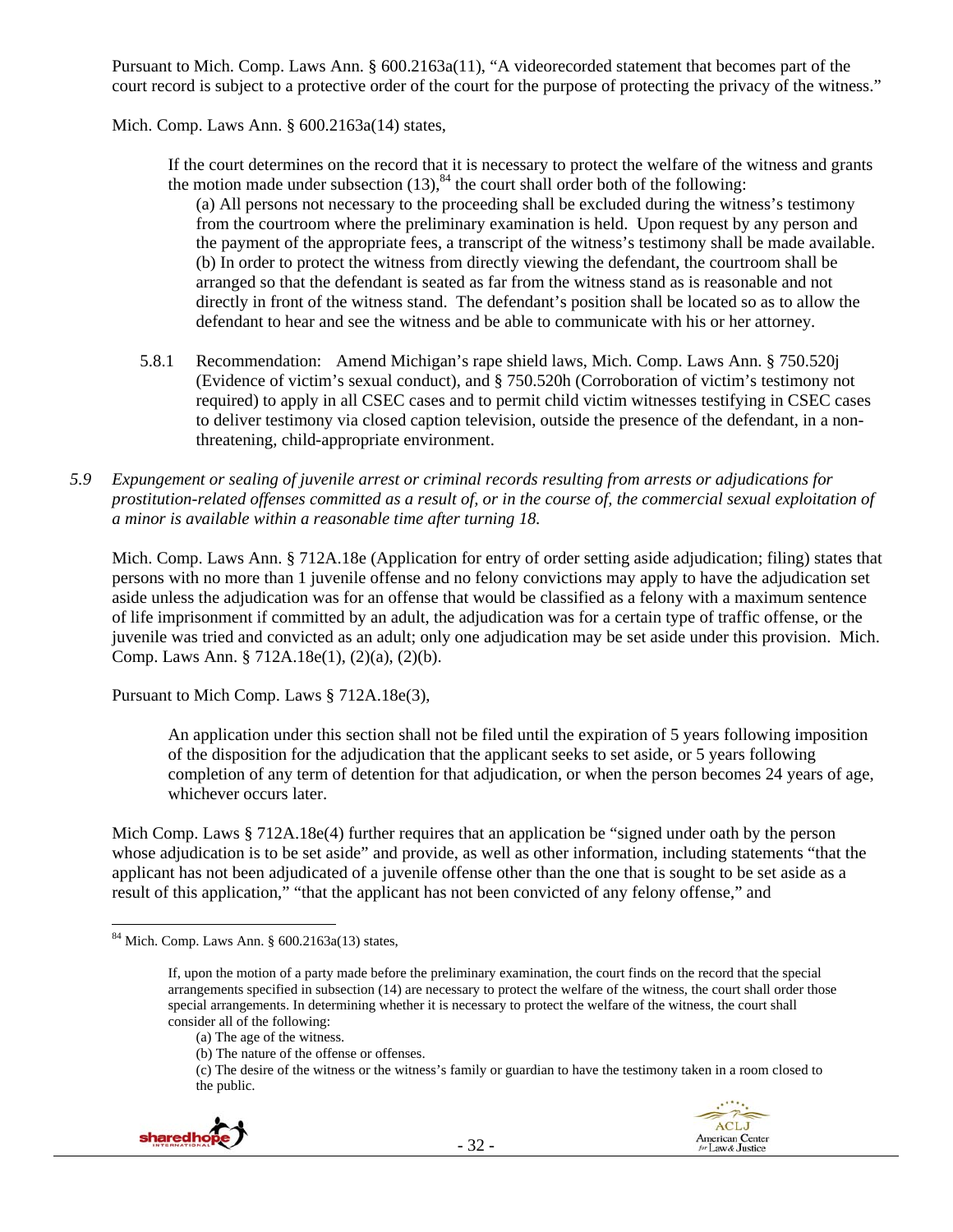Pursuant to Mich. Comp. Laws Ann. § 600.2163a(11), "A videorecorded statement that becomes part of the court record is subject to a protective order of the court for the purpose of protecting the privacy of the witness."

Mich. Comp. Laws Ann. § 600.2163a(14) states,

If the court determines on the record that it is necessary to protect the welfare of the witness and grants the motion made under subsection  $(13)$ ,  $84$  the court shall order both of the following:

(a) All persons not necessary to the proceeding shall be excluded during the witness's testimony from the courtroom where the preliminary examination is held. Upon request by any person and the payment of the appropriate fees, a transcript of the witness's testimony shall be made available. (b) In order to protect the witness from directly viewing the defendant, the courtroom shall be arranged so that the defendant is seated as far from the witness stand as is reasonable and not directly in front of the witness stand. The defendant's position shall be located so as to allow the defendant to hear and see the witness and be able to communicate with his or her attorney.

- 5.8.1 Recommendation: Amend Michigan's rape shield laws, Mich. Comp. Laws Ann. § 750.520j (Evidence of victim's sexual conduct), and § 750.520h (Corroboration of victim's testimony not required) to apply in all CSEC cases and to permit child victim witnesses testifying in CSEC cases to deliver testimony via closed caption television, outside the presence of the defendant, in a nonthreatening, child-appropriate environment.
- *5.9 Expungement or sealing of juvenile arrest or criminal records resulting from arrests or adjudications for prostitution-related offenses committed as a result of, or in the course of, the commercial sexual exploitation of a minor is available within a reasonable time after turning 18.*

Mich. Comp. Laws Ann. § 712A.18e (Application for entry of order setting aside adjudication; filing) states that persons with no more than 1 juvenile offense and no felony convictions may apply to have the adjudication set aside unless the adjudication was for an offense that would be classified as a felony with a maximum sentence of life imprisonment if committed by an adult, the adjudication was for a certain type of traffic offense, or the juvenile was tried and convicted as an adult; only one adjudication may be set aside under this provision. Mich. Comp. Laws Ann. § 712A.18e(1), (2)(a), (2)(b).

Pursuant to Mich Comp. Laws § 712A.18e(3),

An application under this section shall not be filed until the expiration of 5 years following imposition of the disposition for the adjudication that the applicant seeks to set aside, or 5 years following completion of any term of detention for that adjudication, or when the person becomes 24 years of age, whichever occurs later.

Mich Comp. Laws § 712A.18e(4) further requires that an application be "signed under oath by the person whose adjudication is to be set aside" and provide, as well as other information, including statements "that the applicant has not been adjudicated of a juvenile offense other than the one that is sought to be set aside as a result of this application," "that the applicant has not been convicted of any felony offense," and

<sup>(</sup>c) The desire of the witness or the witness's family or guardian to have the testimony taken in a room closed to the public.



 $84$  Mich. Comp. Laws Ann. § 600.2163a(13) states,

If, upon the motion of a party made before the preliminary examination, the court finds on the record that the special arrangements specified in subsection (14) are necessary to protect the welfare of the witness, the court shall order those special arrangements. In determining whether it is necessary to protect the welfare of the witness, the court shall consider all of the following:

<sup>(</sup>a) The age of the witness.

<sup>(</sup>b) The nature of the offense or offenses.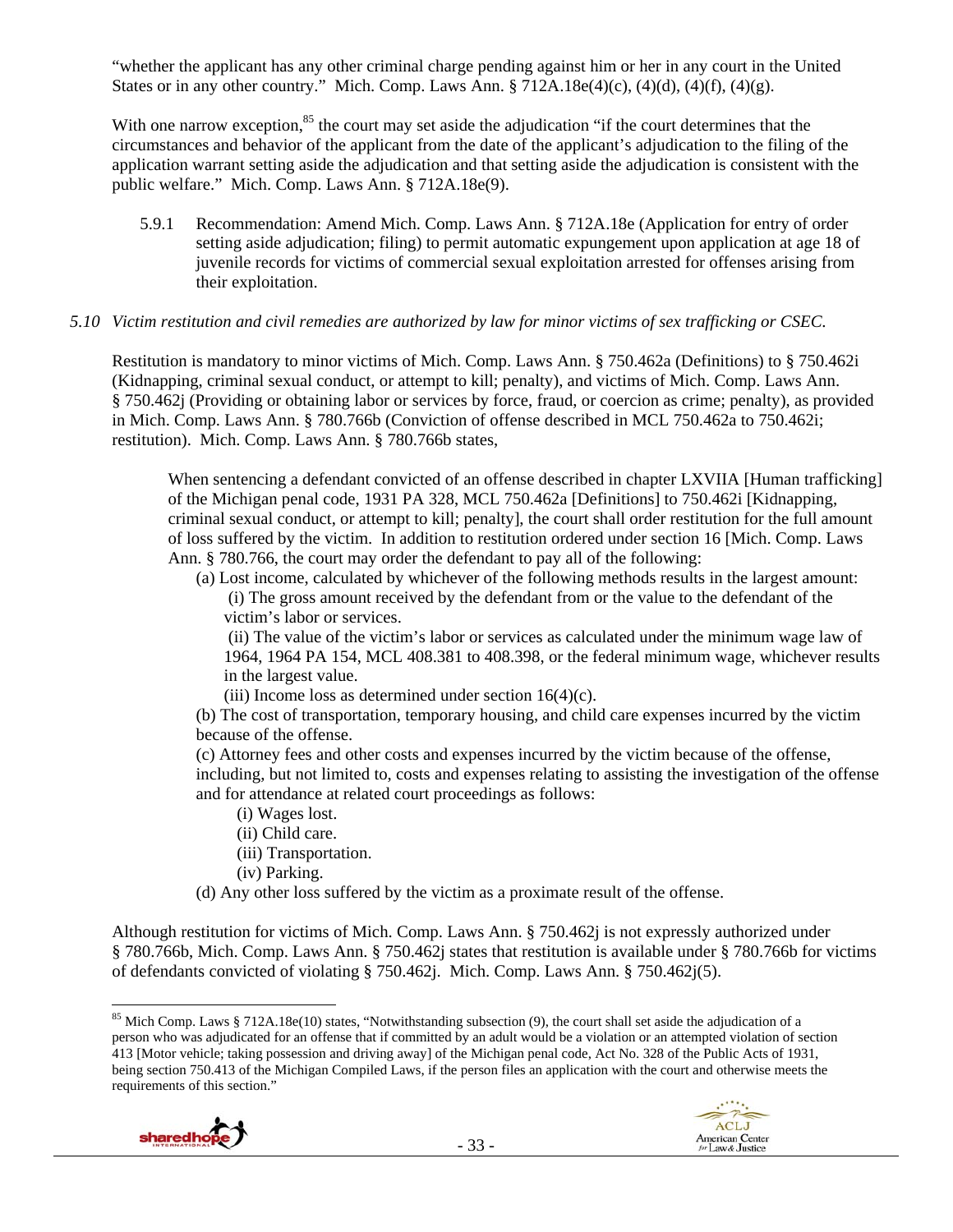"whether the applicant has any other criminal charge pending against him or her in any court in the United States or in any other country." Mich. Comp. Laws Ann.  $\S 712A.18e(4)(c)$ ,  $(4)(d)$ ,  $(4)(f)$ ,  $(4)(g)$ .

With one narrow exception,<sup>85</sup> the court may set aside the adjudication "if the court determines that the circumstances and behavior of the applicant from the date of the applicant's adjudication to the filing of the application warrant setting aside the adjudication and that setting aside the adjudication is consistent with the public welfare." Mich. Comp. Laws Ann. § 712A.18e(9).

5.9.1 Recommendation: Amend Mich. Comp. Laws Ann. § 712A.18e (Application for entry of order setting aside adjudication; filing) to permit automatic expungement upon application at age 18 of juvenile records for victims of commercial sexual exploitation arrested for offenses arising from their exploitation.

### *5.10 Victim restitution and civil remedies are authorized by law for minor victims of sex trafficking or CSEC.*

Restitution is mandatory to minor victims of Mich. Comp. Laws Ann. § 750.462a (Definitions) to § 750.462i (Kidnapping, criminal sexual conduct, or attempt to kill; penalty), and victims of Mich. Comp. Laws Ann. § 750.462j (Providing or obtaining labor or services by force, fraud, or coercion as crime; penalty), as provided in Mich. Comp. Laws Ann. § 780.766b (Conviction of offense described in MCL 750.462a to 750.462i; restitution). Mich. Comp. Laws Ann. § 780.766b states,

When sentencing a defendant convicted of an offense described in chapter LXVIIA [Human trafficking] of the Michigan penal code, 1931 PA 328, MCL 750.462a [Definitions] to 750.462i [Kidnapping, criminal sexual conduct, or attempt to kill; penalty], the court shall order restitution for the full amount of loss suffered by the victim. In addition to restitution ordered under section 16 [Mich. Comp. Laws Ann. § 780.766, the court may order the defendant to pay all of the following:

(a) Lost income, calculated by whichever of the following methods results in the largest amount: (i) The gross amount received by the defendant from or the value to the defendant of the victim's labor or services.

 (ii) The value of the victim's labor or services as calculated under the minimum wage law of 1964, 1964 PA 154, MCL 408.381 to 408.398, or the federal minimum wage, whichever results in the largest value.

(iii) Income loss as determined under section  $16(4)(c)$ .

(b) The cost of transportation, temporary housing, and child care expenses incurred by the victim because of the offense.

(c) Attorney fees and other costs and expenses incurred by the victim because of the offense, including, but not limited to, costs and expenses relating to assisting the investigation of the offense and for attendance at related court proceedings as follows:

- (i) Wages lost.
- (ii) Child care.
- (iii) Transportation.
- (iv) Parking.
- (d) Any other loss suffered by the victim as a proximate result of the offense.

Although restitution for victims of Mich. Comp. Laws Ann. § 750.462j is not expressly authorized under § 780.766b, Mich. Comp. Laws Ann. § 750.462j states that restitution is available under § 780.766b for victims of defendants convicted of violating § 750.462j. Mich. Comp. Laws Ann. § 750.462j(5).

 $85$  Mich Comp. Laws § 712A.18e(10) states, "Notwithstanding subsection (9), the court shall set aside the adjudication of a person who was adjudicated for an offense that if committed by an adult would be a violation or an attempted violation of section 413 [Motor vehicle; taking possession and driving away] of the Michigan penal code, Act No. 328 of the Public Acts of 1931, being section 750.413 of the Michigan Compiled Laws, if the person files an application with the court and otherwise meets the requirements of this section."



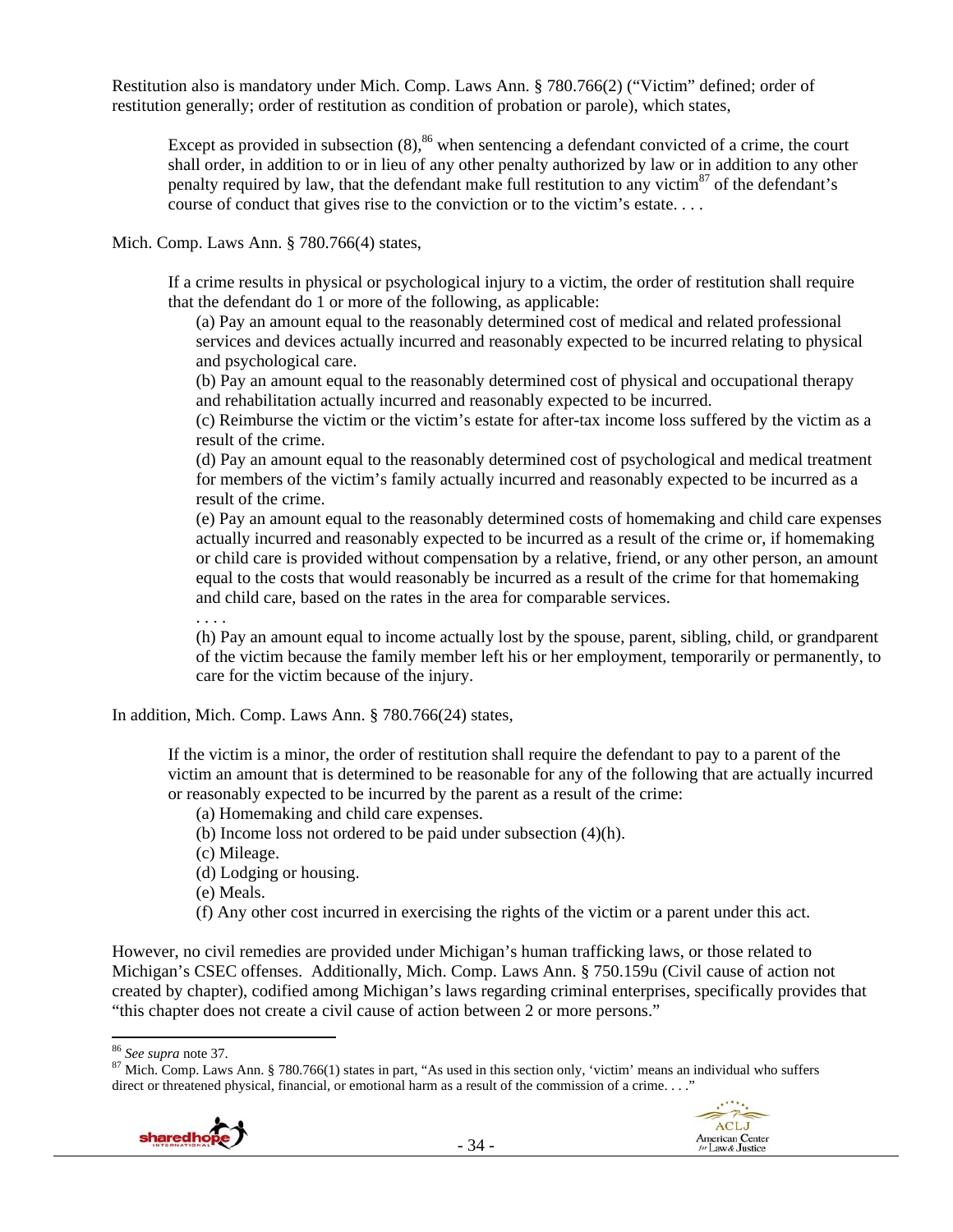Restitution also is mandatory under Mich. Comp. Laws Ann. § 780.766(2) ("Victim" defined; order of restitution generally; order of restitution as condition of probation or parole), which states,

Except as provided in subsection  $(8)$ ,<sup>86</sup> when sentencing a defendant convicted of a crime, the court shall order, in addition to or in lieu of any other penalty authorized by law or in addition to any other penalty required by law, that the defendant make full restitution to any victim $87$  of the defendant's course of conduct that gives rise to the conviction or to the victim's estate. . . .

Mich. Comp. Laws Ann. § 780.766(4) states,

If a crime results in physical or psychological injury to a victim, the order of restitution shall require that the defendant do 1 or more of the following, as applicable:

(a) Pay an amount equal to the reasonably determined cost of medical and related professional services and devices actually incurred and reasonably expected to be incurred relating to physical and psychological care.

(b) Pay an amount equal to the reasonably determined cost of physical and occupational therapy and rehabilitation actually incurred and reasonably expected to be incurred.

(c) Reimburse the victim or the victim's estate for after-tax income loss suffered by the victim as a result of the crime.

(d) Pay an amount equal to the reasonably determined cost of psychological and medical treatment for members of the victim's family actually incurred and reasonably expected to be incurred as a result of the crime.

(e) Pay an amount equal to the reasonably determined costs of homemaking and child care expenses actually incurred and reasonably expected to be incurred as a result of the crime or, if homemaking or child care is provided without compensation by a relative, friend, or any other person, an amount equal to the costs that would reasonably be incurred as a result of the crime for that homemaking and child care, based on the rates in the area for comparable services.

. . . .

(h) Pay an amount equal to income actually lost by the spouse, parent, sibling, child, or grandparent of the victim because the family member left his or her employment, temporarily or permanently, to care for the victim because of the injury.

In addition, Mich. Comp. Laws Ann. § 780.766(24) states,

If the victim is a minor, the order of restitution shall require the defendant to pay to a parent of the victim an amount that is determined to be reasonable for any of the following that are actually incurred or reasonably expected to be incurred by the parent as a result of the crime:

(a) Homemaking and child care expenses.

(b) Income loss not ordered to be paid under subsection (4)(h).

(c) Mileage.

(d) Lodging or housing.

(e) Meals.

(f) Any other cost incurred in exercising the rights of the victim or a parent under this act.

However, no civil remedies are provided under Michigan's human trafficking laws, or those related to Michigan's CSEC offenses. Additionally, Mich. Comp. Laws Ann. § 750.159u (Civil cause of action not created by chapter), codified among Michigan's laws regarding criminal enterprises, specifically provides that "this chapter does not create a civil cause of action between 2 or more persons."

<sup>&</sup>lt;sup>86</sup> See supra note 37.<br><sup>87</sup> Mich. Comp. Laws Ann. § 780.766(1) states in part, "As used in this section only, 'victim' means an individual who suffers direct or threatened physical, financial, or emotional harm as a result of the commission of a crime. . . ."



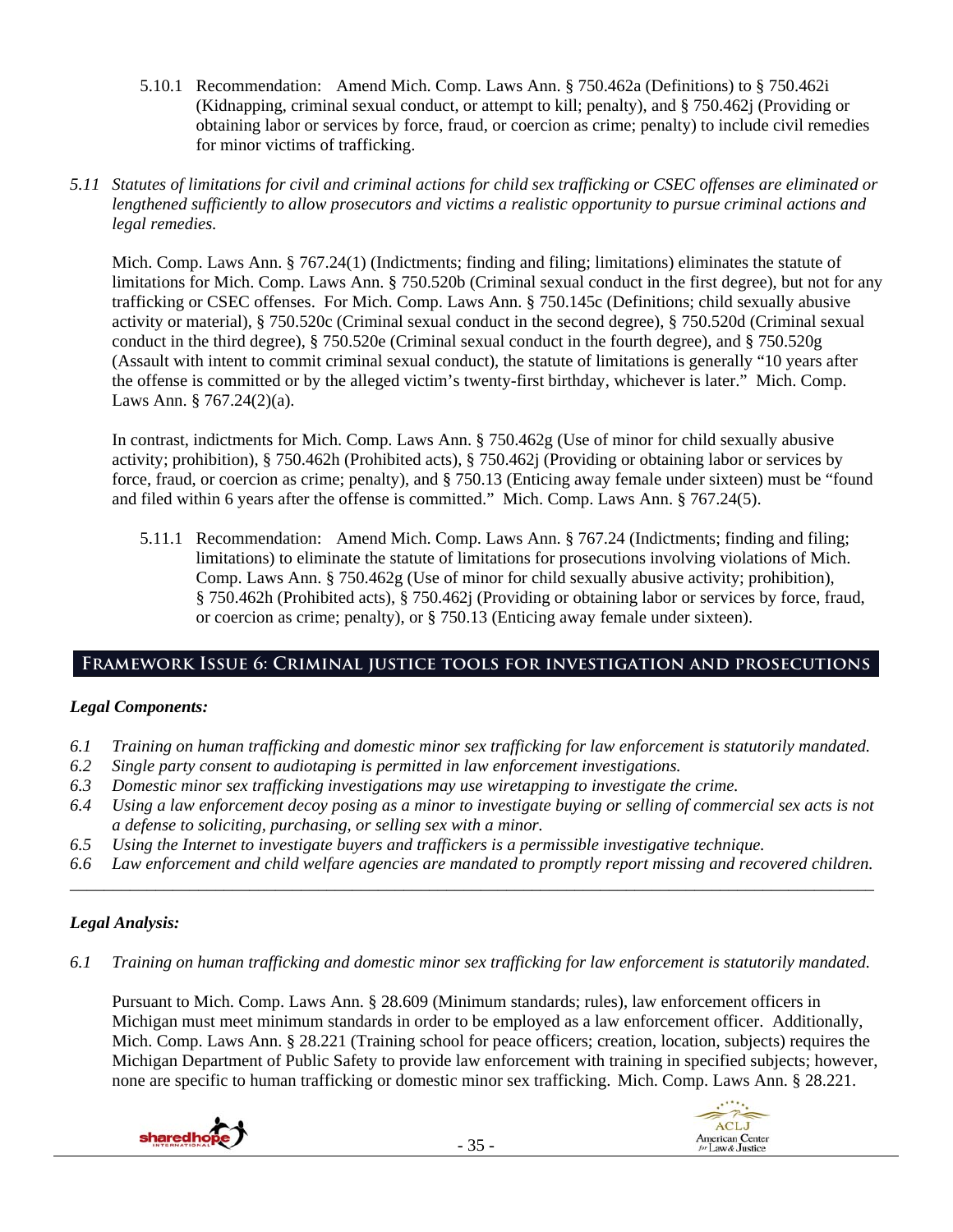- 5.10.1 Recommendation: Amend Mich. Comp. Laws Ann. § 750.462a (Definitions) to § 750.462i (Kidnapping, criminal sexual conduct, or attempt to kill; penalty), and § 750.462j (Providing or obtaining labor or services by force, fraud, or coercion as crime; penalty) to include civil remedies for minor victims of trafficking.
- *5.11 Statutes of limitations for civil and criminal actions for child sex trafficking or CSEC offenses are eliminated or lengthened sufficiently to allow prosecutors and victims a realistic opportunity to pursue criminal actions and legal remedies.*

Mich. Comp. Laws Ann. § 767.24(1) (Indictments; finding and filing; limitations) eliminates the statute of limitations for Mich. Comp. Laws Ann. § 750.520b (Criminal sexual conduct in the first degree), but not for any trafficking or CSEC offenses. For Mich. Comp. Laws Ann. § 750.145c (Definitions; child sexually abusive activity or material), § 750.520c (Criminal sexual conduct in the second degree), § 750.520d (Criminal sexual conduct in the third degree), § 750.520e (Criminal sexual conduct in the fourth degree), and § 750.520g (Assault with intent to commit criminal sexual conduct), the statute of limitations is generally "10 years after the offense is committed or by the alleged victim's twenty-first birthday, whichever is later." Mich. Comp. Laws Ann. § 767.24(2)(a).

In contrast, indictments for Mich. Comp. Laws Ann. § 750.462g (Use of minor for child sexually abusive activity; prohibition), § 750.462h (Prohibited acts), § 750.462j (Providing or obtaining labor or services by force, fraud, or coercion as crime; penalty), and § 750.13 (Enticing away female under sixteen) must be "found and filed within 6 years after the offense is committed." Mich. Comp. Laws Ann. § 767.24(5).

5.11.1 Recommendation: Amend Mich. Comp. Laws Ann. § 767.24 (Indictments; finding and filing; limitations) to eliminate the statute of limitations for prosecutions involving violations of Mich. Comp. Laws Ann. § 750.462g (Use of minor for child sexually abusive activity; prohibition), § 750.462h (Prohibited acts), § 750.462j (Providing or obtaining labor or services by force, fraud, or coercion as crime; penalty), or § 750.13 (Enticing away female under sixteen).

# **Framework Issue 6: Criminal justice tools for investigation and prosecutions**

# *Legal Components:*

- *6.1 Training on human trafficking and domestic minor sex trafficking for law enforcement is statutorily mandated.*
- *6.2 Single party consent to audiotaping is permitted in law enforcement investigations.*
- *6.3 Domestic minor sex trafficking investigations may use wiretapping to investigate the crime.*
- *6.4 Using a law enforcement decoy posing as a minor to investigate buying or selling of commercial sex acts is not a defense to soliciting, purchasing, or selling sex with a minor.*
- *6.5 Using the Internet to investigate buyers and traffickers is a permissible investigative technique.*
- *6.6 Law enforcement and child welfare agencies are mandated to promptly report missing and recovered children. \_\_\_\_\_\_\_\_\_\_\_\_\_\_\_\_\_\_\_\_\_\_\_\_\_\_\_\_\_\_\_\_\_\_\_\_\_\_\_\_\_\_\_\_\_\_\_\_\_\_\_\_\_\_\_\_\_\_\_\_\_\_\_\_\_\_\_\_\_\_\_\_\_\_\_\_\_\_\_\_\_\_\_\_\_\_\_\_\_\_\_\_\_\_*

# *Legal Analysis:*

*6.1 Training on human trafficking and domestic minor sex trafficking for law enforcement is statutorily mandated.* 

Pursuant to Mich. Comp. Laws Ann. § 28.609 (Minimum standards; rules), law enforcement officers in Michigan must meet minimum standards in order to be employed as a law enforcement officer. Additionally, Mich. Comp. Laws Ann. § 28.221 (Training school for peace officers; creation, location, subjects) requires the Michigan Department of Public Safety to provide law enforcement with training in specified subjects; however, none are specific to human trafficking or domestic minor sex trafficking. Mich. Comp. Laws Ann. § 28.221.



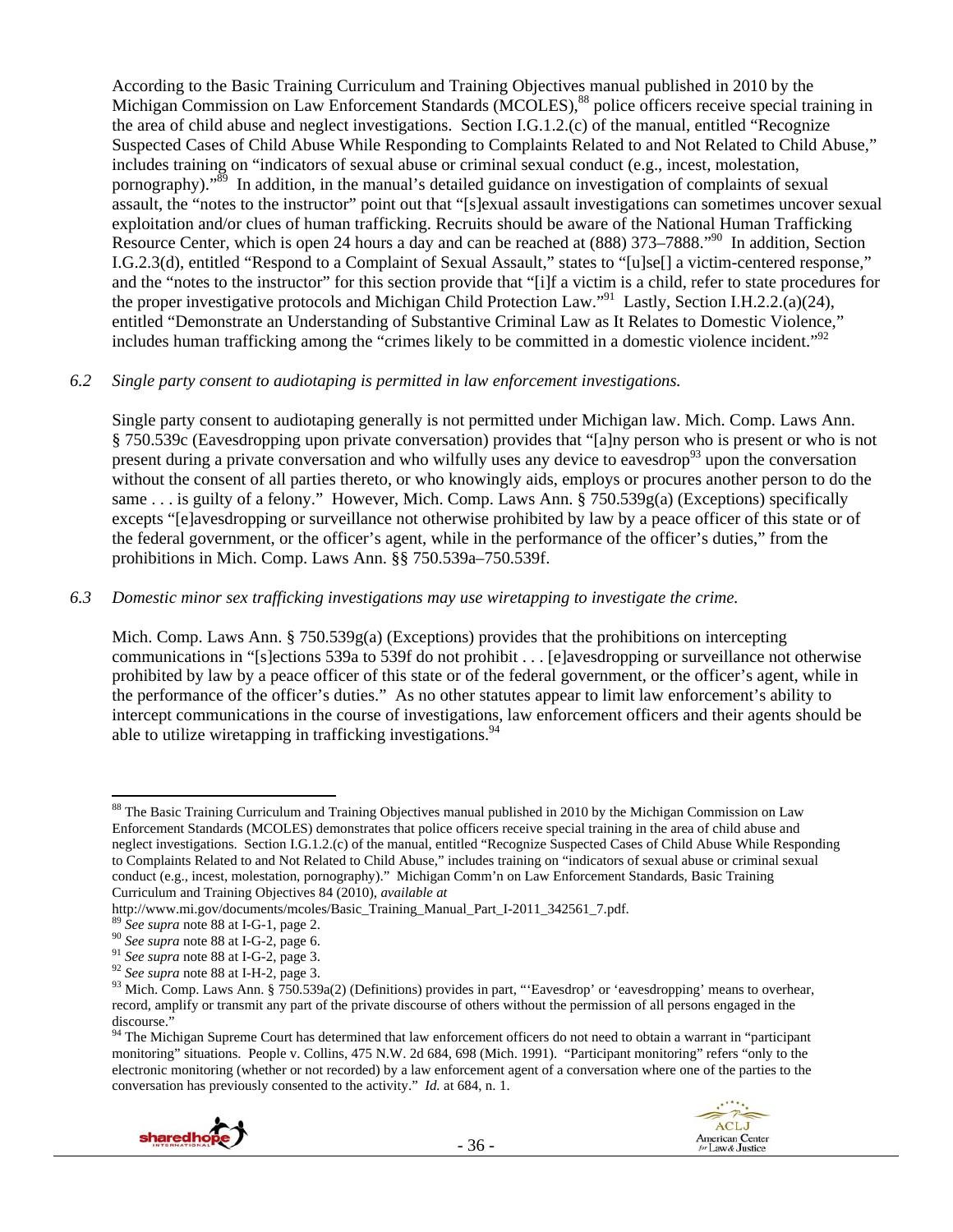According to the Basic Training Curriculum and Training Objectives manual published in 2010 by the Michigan Commission on Law Enforcement Standards (MCOLES),<sup>88</sup> police officers receive special training in the area of child abuse and neglect investigations. Section I.G.1.2.(c) of the manual, entitled "Recognize Suspected Cases of Child Abuse While Responding to Complaints Related to and Not Related to Child Abuse," includes training on "indicators of sexual abuse or criminal sexual conduct (e.g., incest, molestation, pornography)."<sup>89</sup> In addition, in the manual's detailed guidance on investigation of complaints of sexual assault, the "notes to the instructor" point out that "[s]exual assault investigations can sometimes uncover sexual exploitation and/or clues of human trafficking. Recruits should be aware of the National Human Trafficking Resource Center, which is open 24 hours a day and can be reached at (888) 373–7888.<sup>"90</sup> In addition, Section I.G.2.3(d), entitled "Respond to a Complaint of Sexual Assault," states to "[u]se[] a victim-centered response," and the "notes to the instructor" for this section provide that "[i]f a victim is a child, refer to state procedures for the proper investigative protocols and Michigan Child Protection Law."<sup>91</sup> Lastly, Section I.H.2.2.(a)(24), entitled "Demonstrate an Understanding of Substantive Criminal Law as It Relates to Domestic Violence," includes human trafficking among the "crimes likely to be committed in a domestic violence incident."<sup>92</sup>

### *6.2 Single party consent to audiotaping is permitted in law enforcement investigations.*

Single party consent to audiotaping generally is not permitted under Michigan law. Mich. Comp. Laws Ann. § 750.539c (Eavesdropping upon private conversation) provides that "[a]ny person who is present or who is not present during a private conversation and who wilfully uses any device to eavesdrop<sup>93</sup> upon the conversation without the consent of all parties thereto, or who knowingly aids, employs or procures another person to do the same . . . is guilty of a felony." However, Mich. Comp. Laws Ann. § 750.539g(a) (Exceptions) specifically excepts "[e]avesdropping or surveillance not otherwise prohibited by law by a peace officer of this state or of the federal government, or the officer's agent, while in the performance of the officer's duties," from the prohibitions in Mich. Comp. Laws Ann. §§ 750.539a–750.539f.

### *6.3 Domestic minor sex trafficking investigations may use wiretapping to investigate the crime.*

Mich. Comp. Laws Ann.  $\S 750.539g(a)$  (Exceptions) provides that the prohibitions on intercepting communications in "[s]ections 539a to 539f do not prohibit . . . [e]avesdropping or surveillance not otherwise prohibited by law by a peace officer of this state or of the federal government, or the officer's agent, while in the performance of the officer's duties." As no other statutes appear to limit law enforcement's ability to intercept communications in the course of investigations, law enforcement officers and their agents should be able to utilize wiretapping in trafficking investigations.<sup>94</sup>

<sup>&</sup>lt;sup>94</sup> The Michigan Supreme Court has determined that law enforcement officers do not need to obtain a warrant in "participant monitoring" situations. People v. Collins, 475 N.W. 2d 684, 698 (Mich. 1991). "Participant monitoring" refers "only to the electronic monitoring (whether or not recorded) by a law enforcement agent of a conversation where one of the parties to the conversation has previously consented to the activity." *Id.* at 684, n. 1.





 <sup>88</sup> The Basic Training Curriculum and Training Objectives manual published in 2010 by the Michigan Commission on Law Enforcement Standards (MCOLES) demonstrates that police officers receive special training in the area of child abuse and neglect investigations. Section I.G.1.2.(c) of the manual, entitled "Recognize Suspected Cases of Child Abuse While Responding to Complaints Related to and Not Related to Child Abuse," includes training on "indicators of sexual abuse or criminal sexual conduct (e.g., incest, molestation, pornography)." Michigan Comm'n on Law Enforcement Standards, Basic Training Curriculum and Training Objectives 84 (2010), *available at*

<sup>&</sup>lt;sup>89</sup> See supra note 88 at I-G-1, page 2.<br><sup>90</sup> See supra note 88 at I-G-2, page 6.<br><sup>91</sup> See supra note 88 at I-G-2, page 3.<br><sup>92</sup> See supra note 88 at I-H-2, page 3.<br><sup>93</sup> Mich. Comp. Laws Ann. § 750.539a(2) (Definitions) pr record, amplify or transmit any part of the private discourse of others without the permission of all persons engaged in the discourse."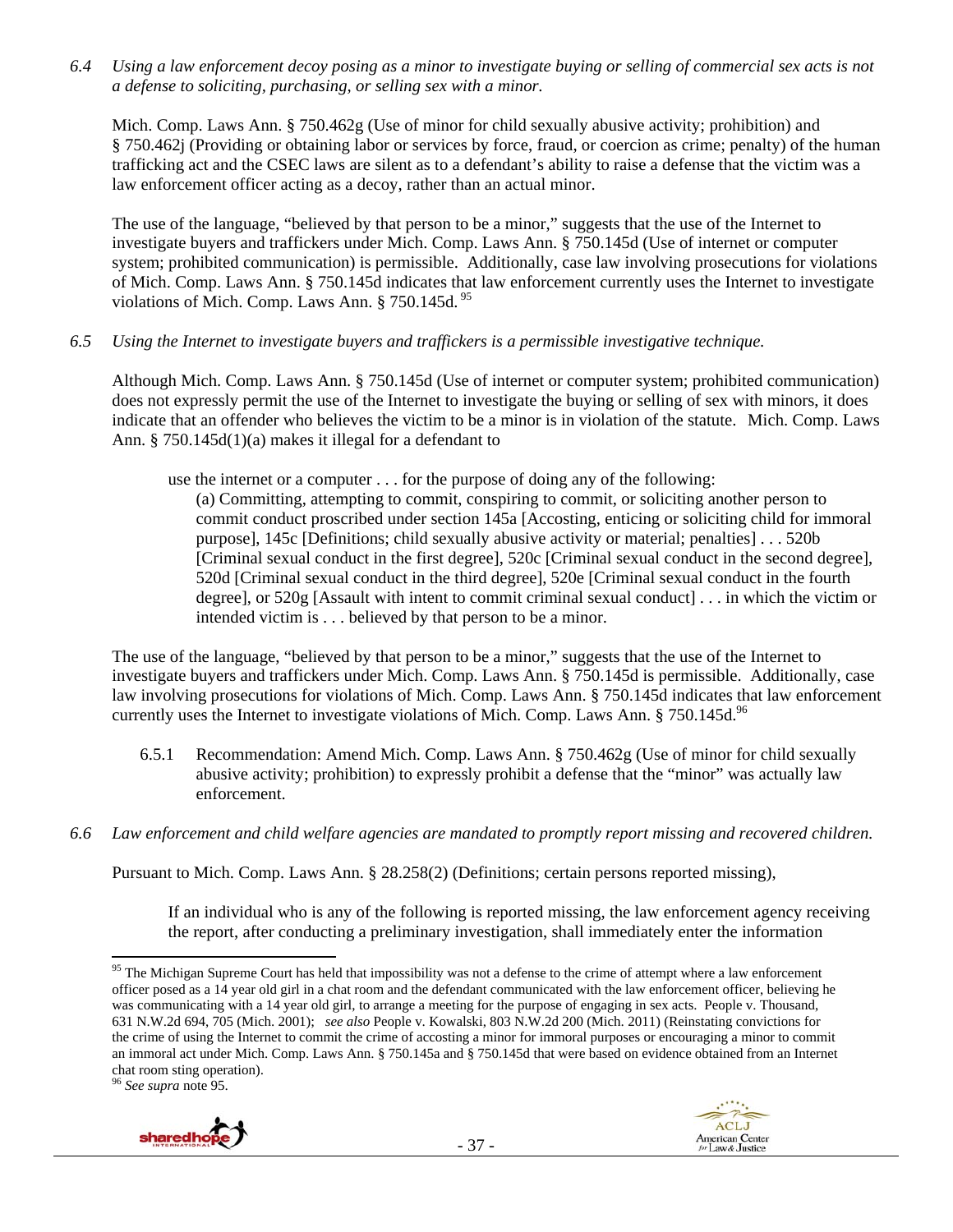*6.4 Using a law enforcement decoy posing as a minor to investigate buying or selling of commercial sex acts is not a defense to soliciting, purchasing, or selling sex with a minor.* 

Mich. Comp. Laws Ann. § 750.462g (Use of minor for child sexually abusive activity; prohibition) and § 750.462j (Providing or obtaining labor or services by force, fraud, or coercion as crime; penalty) of the human trafficking act and the CSEC laws are silent as to a defendant's ability to raise a defense that the victim was a law enforcement officer acting as a decoy, rather than an actual minor.

The use of the language, "believed by that person to be a minor," suggests that the use of the Internet to investigate buyers and traffickers under Mich. Comp. Laws Ann. § 750.145d (Use of internet or computer system; prohibited communication) is permissible. Additionally, case law involving prosecutions for violations of Mich. Comp. Laws Ann. § 750.145d indicates that law enforcement currently uses the Internet to investigate violations of Mich. Comp. Laws Ann. § 750.145d.<sup>95</sup>

*6.5 Using the Internet to investigate buyers and traffickers is a permissible investigative technique.* 

Although Mich. Comp. Laws Ann. § 750.145d (Use of internet or computer system; prohibited communication) does not expressly permit the use of the Internet to investigate the buying or selling of sex with minors, it does indicate that an offender who believes the victim to be a minor is in violation of the statute. Mich. Comp. Laws Ann. § 750.145d(1)(a) makes it illegal for a defendant to

use the internet or a computer . . . for the purpose of doing any of the following:

(a) Committing, attempting to commit, conspiring to commit, or soliciting another person to commit conduct proscribed under section 145a [Accosting, enticing or soliciting child for immoral purpose], 145c [Definitions; child sexually abusive activity or material; penalties] . . . 520b [Criminal sexual conduct in the first degree], 520c [Criminal sexual conduct in the second degree], 520d [Criminal sexual conduct in the third degree], 520e [Criminal sexual conduct in the fourth degree], or 520g [Assault with intent to commit criminal sexual conduct] . . . in which the victim or intended victim is . . . believed by that person to be a minor.

The use of the language, "believed by that person to be a minor," suggests that the use of the Internet to investigate buyers and traffickers under Mich. Comp. Laws Ann. § 750.145d is permissible. Additionally, case law involving prosecutions for violations of Mich. Comp. Laws Ann. § 750.145d indicates that law enforcement currently uses the Internet to investigate violations of Mich. Comp. Laws Ann.  $\S 750.145d^{96}$ 

- 6.5.1 Recommendation: Amend Mich. Comp. Laws Ann. § 750.462g (Use of minor for child sexually abusive activity; prohibition) to expressly prohibit a defense that the "minor" was actually law enforcement.
- *6.6 Law enforcement and child welfare agencies are mandated to promptly report missing and recovered children.*

Pursuant to Mich. Comp. Laws Ann. § 28.258(2) (Definitions; certain persons reported missing),

If an individual who is any of the following is reported missing, the law enforcement agency receiving the report, after conducting a preliminary investigation, shall immediately enter the information

<sup>96</sup> *See supra* note 95.



<sup>&</sup>lt;sup>95</sup> The Michigan Supreme Court has held that impossibility was not a defense to the crime of attempt where a law enforcement officer posed as a 14 year old girl in a chat room and the defendant communicated with the law enforcement officer, believing he was communicating with a 14 year old girl, to arrange a meeting for the purpose of engaging in sex acts. People v. Thousand, 631 N.W.2d 694, 705 (Mich. 2001); *see also* People v. Kowalski, 803 N.W.2d 200 (Mich. 2011) (Reinstating convictions for the crime of using the Internet to commit the crime of accosting a minor for immoral purposes or encouraging a minor to commit an immoral act under Mich. Comp. Laws Ann. § 750.145a and § 750.145d that were based on evidence obtained from an Internet chat room sting operation).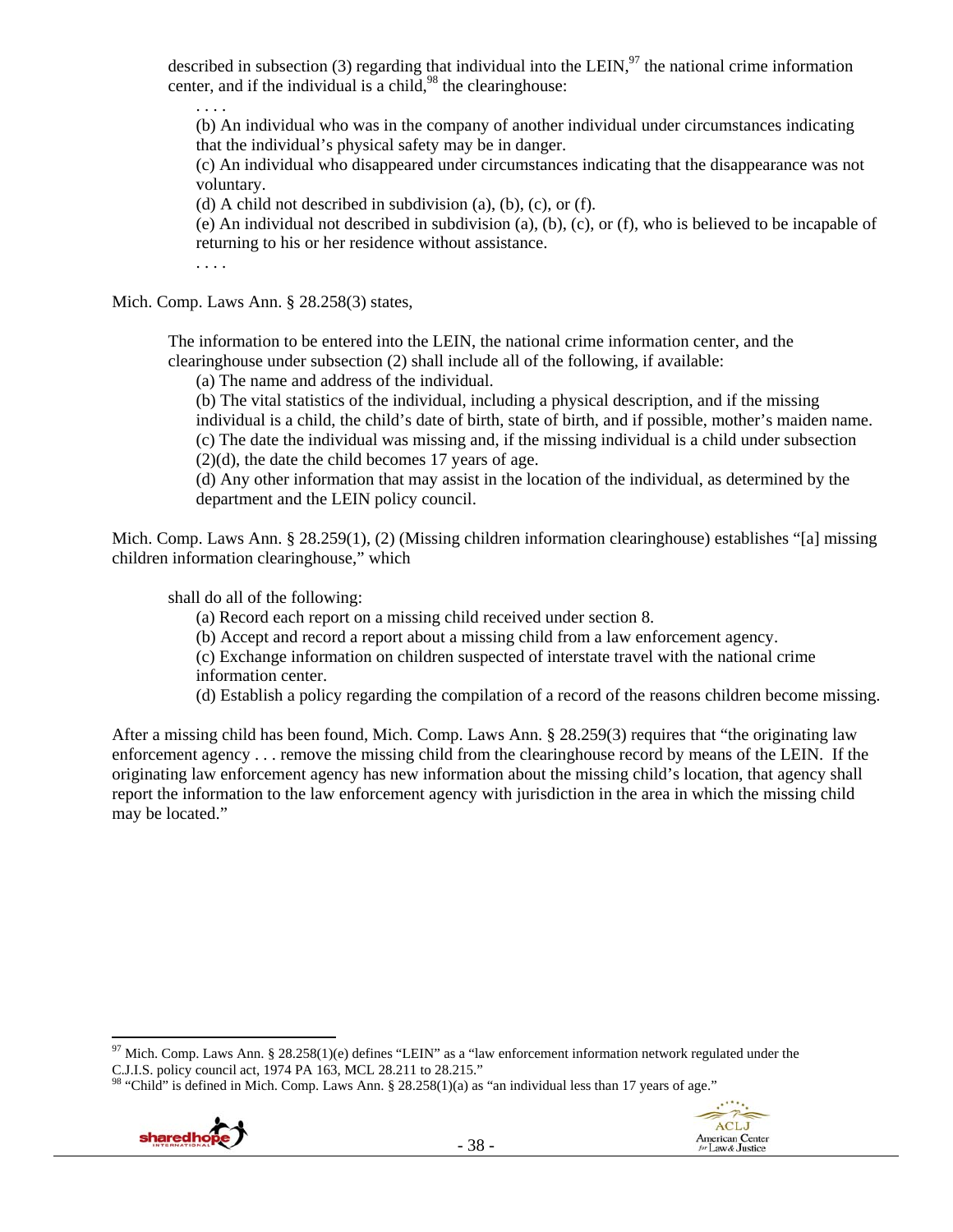described in subsection (3) regarding that individual into the LEIN, $97$  the national crime information center, and if the individual is a child,  $98$  the clearinghouse:

. . . .

(b) An individual who was in the company of another individual under circumstances indicating that the individual's physical safety may be in danger.

(c) An individual who disappeared under circumstances indicating that the disappearance was not voluntary.

(d) A child not described in subdivision (a), (b), (c), or (f).

(e) An individual not described in subdivision (a), (b), (c), or (f), who is believed to be incapable of returning to his or her residence without assistance.

. . . .

Mich. Comp. Laws Ann. § 28.258(3) states,

The information to be entered into the LEIN, the national crime information center, and the clearinghouse under subsection (2) shall include all of the following, if available:

(a) The name and address of the individual.

(b) The vital statistics of the individual, including a physical description, and if the missing individual is a child, the child's date of birth, state of birth, and if possible, mother's maiden name. (c) The date the individual was missing and, if the missing individual is a child under subsection  $(2)(d)$ , the date the child becomes 17 years of age.

(d) Any other information that may assist in the location of the individual, as determined by the department and the LEIN policy council.

Mich. Comp. Laws Ann. § 28.259(1), (2) (Missing children information clearinghouse) establishes "[a] missing children information clearinghouse," which

shall do all of the following:

- (a) Record each report on a missing child received under section 8.
- (b) Accept and record a report about a missing child from a law enforcement agency.

(c) Exchange information on children suspected of interstate travel with the national crime information center.

(d) Establish a policy regarding the compilation of a record of the reasons children become missing.

After a missing child has been found, Mich. Comp. Laws Ann. § 28.259(3) requires that "the originating law enforcement agency . . . remove the missing child from the clearinghouse record by means of the LEIN. If the originating law enforcement agency has new information about the missing child's location, that agency shall report the information to the law enforcement agency with jurisdiction in the area in which the missing child may be located."

<sup>&</sup>quot;Child" is defined in Mich. Comp. Laws Ann. § 28.258(1)(a) as "an individual less than 17 years of age."





<sup>&</sup>lt;sup>97</sup> Mich. Comp. Laws Ann. § 28.258(1)(e) defines "LEIN" as a "law enforcement information network regulated under the C.J.I.S. policy council act, 1974 PA 163, MCL 28.211 to 28.215."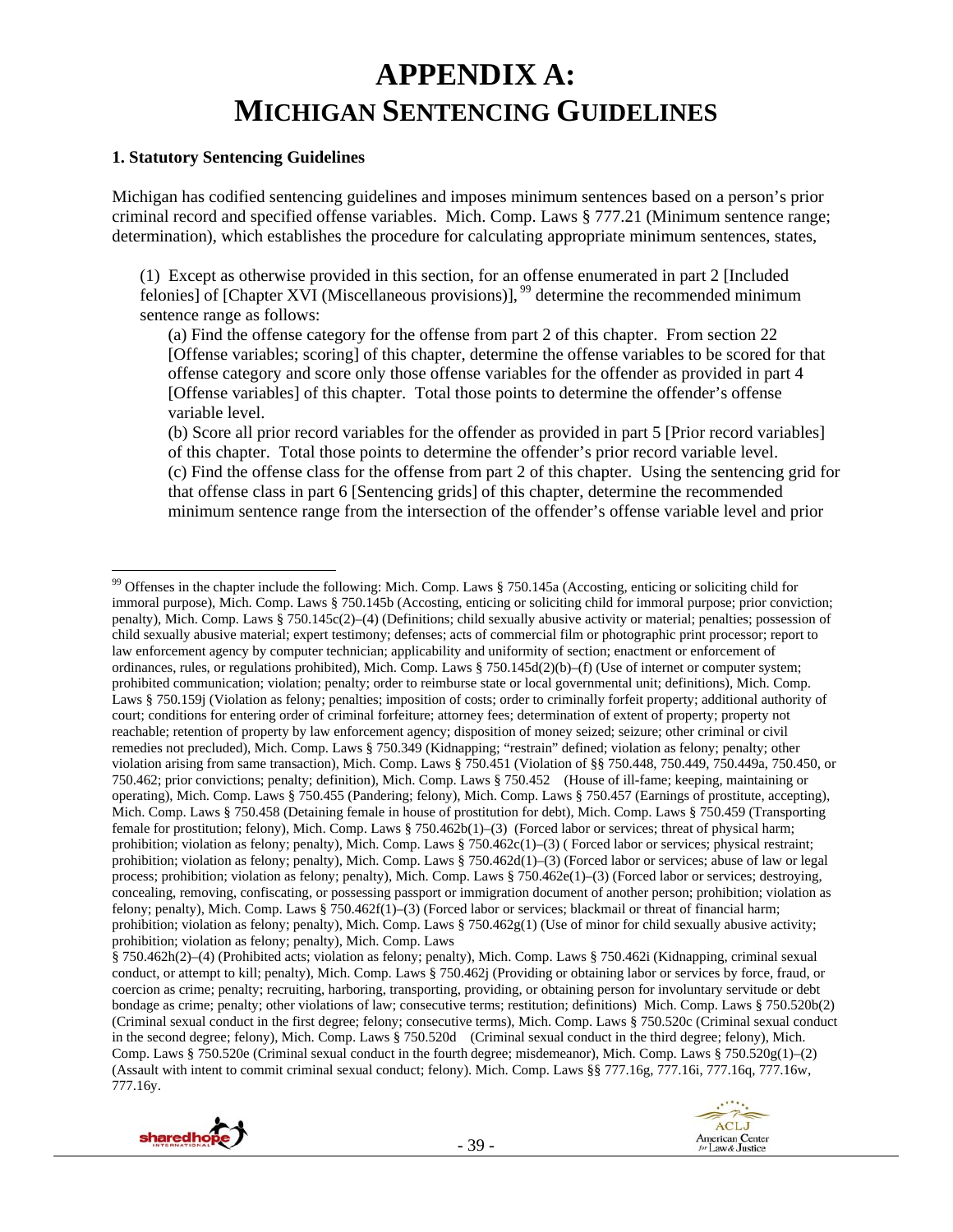# **APPENDIX A: MICHIGAN SENTENCING GUIDELINES**

### **1. Statutory Sentencing Guidelines**

Michigan has codified sentencing guidelines and imposes minimum sentences based on a person's prior criminal record and specified offense variables. Mich. Comp. Laws § 777.21 (Minimum sentence range; determination), which establishes the procedure for calculating appropriate minimum sentences, states,

(1) Except as otherwise provided in this section, for an offense enumerated in part 2 [Included felonies] of [Chapter XVI (Miscellaneous provisions)],  $^{99}$  determine the recommended minimum sentence range as follows:

(a) Find the offense category for the offense from part 2 of this chapter. From section 22 [Offense variables; scoring] of this chapter, determine the offense variables to be scored for that offense category and score only those offense variables for the offender as provided in part 4 [Offense variables] of this chapter. Total those points to determine the offender's offense variable level.

(b) Score all prior record variables for the offender as provided in part 5 [Prior record variables] of this chapter. Total those points to determine the offender's prior record variable level. (c) Find the offense class for the offense from part 2 of this chapter. Using the sentencing grid for that offense class in part 6 [Sentencing grids] of this chapter, determine the recommended minimum sentence range from the intersection of the offender's offense variable level and prior

<sup>§ 750.462</sup>h(2)–(4) (Prohibited acts; violation as felony; penalty), Mich. Comp. Laws § 750.462i (Kidnapping, criminal sexual conduct, or attempt to kill; penalty), Mich. Comp. Laws § 750.462j (Providing or obtaining labor or services by force, fraud, or coercion as crime; penalty; recruiting, harboring, transporting, providing, or obtaining person for involuntary servitude or debt bondage as crime; penalty; other violations of law; consecutive terms; restitution; definitions) Mich. Comp. Laws § 750.520b(2) (Criminal sexual conduct in the first degree; felony; consecutive terms), Mich. Comp. Laws § 750.520c (Criminal sexual conduct in the second degree; felony), Mich. Comp. Laws § 750.520d (Criminal sexual conduct in the third degree; felony), Mich. Comp. Laws § 750.520e (Criminal sexual conduct in the fourth degree; misdemeanor), Mich. Comp. Laws § 750.520g(1)–(2) (Assault with intent to commit criminal sexual conduct; felony). Mich. Comp. Laws §§ 777.16g, 777.16i, 777.16q, 777.16w, 777.16y.



<sup>&</sup>lt;sup>99</sup> Offenses in the chapter include the following: Mich. Comp. Laws  $\S 750.145a$  (Accosting, enticing or soliciting child for immoral purpose), Mich. Comp. Laws § 750.145b (Accosting, enticing or soliciting child for immoral purpose; prior conviction; penalty), Mich. Comp. Laws § 750.145c(2)–(4) (Definitions; child sexually abusive activity or material; penalties; possession of child sexually abusive material; expert testimony; defenses; acts of commercial film or photographic print processor; report to law enforcement agency by computer technician; applicability and uniformity of section; enactment or enforcement of ordinances, rules, or regulations prohibited), Mich. Comp. Laws § 750.145d(2)(b)–(f) (Use of internet or computer system; prohibited communication; violation; penalty; order to reimburse state or local governmental unit; definitions), Mich. Comp. Laws § 750.159j (Violation as felony; penalties; imposition of costs; order to criminally forfeit property; additional authority of court; conditions for entering order of criminal forfeiture; attorney fees; determination of extent of property; property not reachable; retention of property by law enforcement agency; disposition of money seized; seizure; other criminal or civil remedies not precluded), Mich. Comp. Laws § 750.349 (Kidnapping; "restrain" defined; violation as felony; penalty; other violation arising from same transaction), Mich. Comp. Laws § 750.451 (Violation of §§ 750.448, 750.449, 750.449a, 750.450, or 750.462; prior convictions; penalty; definition), Mich. Comp. Laws § 750.452 (House of ill-fame; keeping, maintaining or operating), Mich. Comp. Laws § 750.455 (Pandering; felony), Mich. Comp. Laws § 750.457 (Earnings of prostitute, accepting), Mich. Comp. Laws § 750.458 (Detaining female in house of prostitution for debt), Mich. Comp. Laws § 750.459 (Transporting female for prostitution; felony), Mich. Comp. Laws § 750.462b(1)–(3) (Forced labor or services; threat of physical harm; prohibition; violation as felony; penalty), Mich. Comp. Laws § 750.462c(1)–(3) ( Forced labor or services; physical restraint; prohibition; violation as felony; penalty), Mich. Comp. Laws § 750.462d(1)–(3) (Forced labor or services; abuse of law or legal process; prohibition; violation as felony; penalty), Mich. Comp. Laws § 750.462e(1)–(3) (Forced labor or services; destroying, concealing, removing, confiscating, or possessing passport or immigration document of another person; prohibition; violation as felony; penalty), Mich. Comp. Laws  $\S$  750.462f(1)–(3) (Forced labor or services; blackmail or threat of financial harm; prohibition; violation as felony; penalty), Mich. Comp. Laws § 750.462g(1) (Use of minor for child sexually abusive activity; prohibition; violation as felony; penalty), Mich. Comp. Laws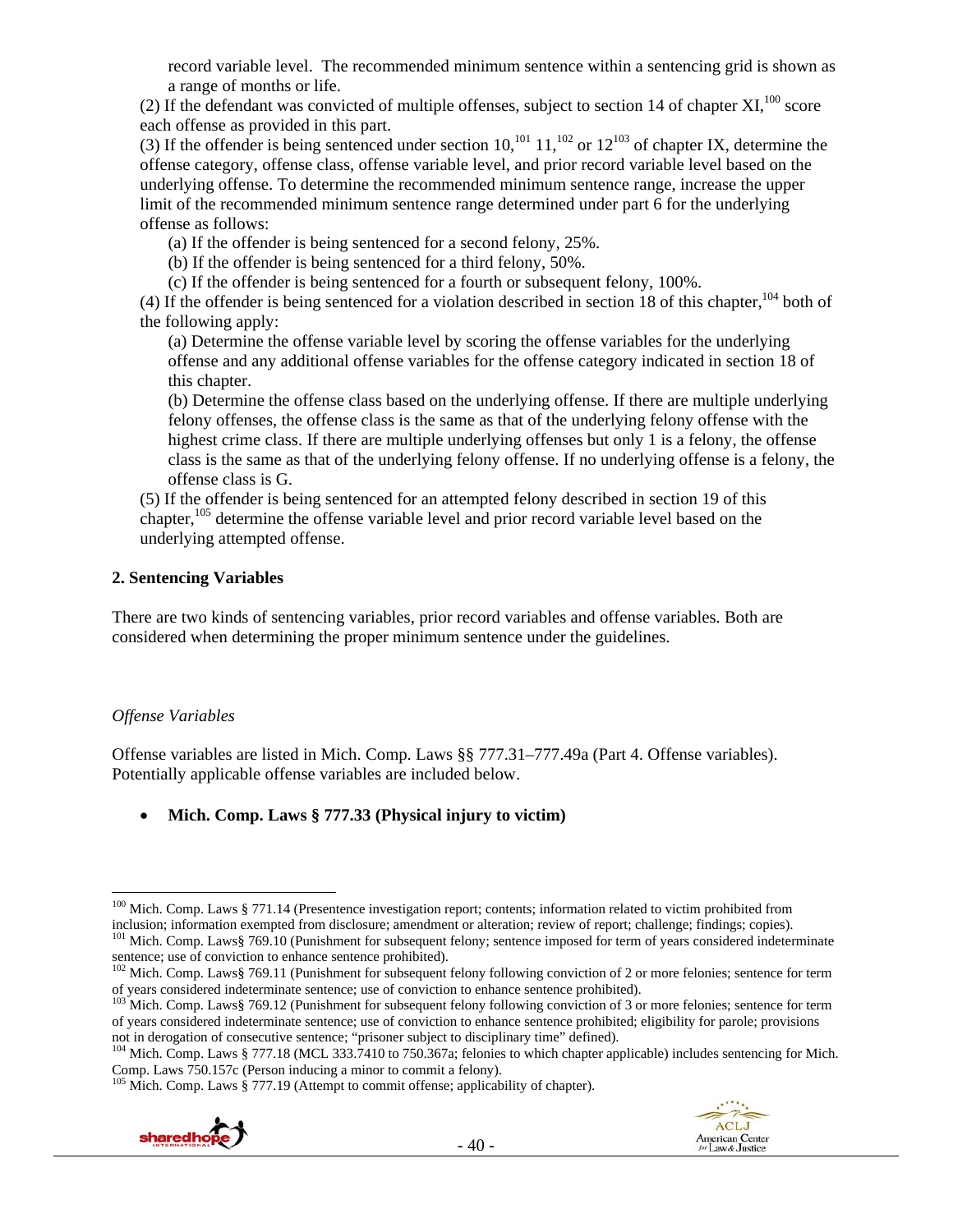record variable level. The recommended minimum sentence within a sentencing grid is shown as a range of months or life.

(2) If the defendant was convicted of multiple offenses, subject to section 14 of chapter  $XI$ ,  $100$  score each offense as provided in this part.

(3) If the offender is being sentenced under section  $10$ ,<sup>101</sup>  $11$ ,<sup>102</sup> or  $12^{103}$  of chapter IX, determine the offense category, offense class, offense variable level, and prior record variable level based on the underlying offense. To determine the recommended minimum sentence range, increase the upper limit of the recommended minimum sentence range determined under part 6 for the underlying offense as follows:

(a) If the offender is being sentenced for a second felony, 25%.

(b) If the offender is being sentenced for a third felony, 50%.

(c) If the offender is being sentenced for a fourth or subsequent felony, 100%.

(4) If the offender is being sentenced for a violation described in section 18 of this chapter,  $104}$  both of the following apply:

(a) Determine the offense variable level by scoring the offense variables for the underlying offense and any additional offense variables for the offense category indicated in section 18 of this chapter.

(b) Determine the offense class based on the underlying offense. If there are multiple underlying felony offenses, the offense class is the same as that of the underlying felony offense with the highest crime class. If there are multiple underlying offenses but only 1 is a felony, the offense class is the same as that of the underlying felony offense. If no underlying offense is a felony, the offense class is G.

(5) If the offender is being sentenced for an attempted felony described in section 19 of this chapter,<sup>105</sup> determine the offense variable level and prior record variable level based on the underlying attempted offense.

### **2. Sentencing Variables**

There are two kinds of sentencing variables, prior record variables and offense variables. Both are considered when determining the proper minimum sentence under the guidelines.

## *Offense Variables*

Offense variables are listed in Mich. Comp. Laws §§ 777.31–777.49a (Part 4. Offense variables). Potentially applicable offense variables are included below.

## **Mich. Comp. Laws § 777.33 (Physical injury to victim)**

 $105$  Mich. Comp. Laws § 777.19 (Attempt to commit offense; applicability of chapter).





 <sup>100</sup> Mich. Comp. Laws § 771.14 (Presentence investigation report; contents; information related to victim prohibited from inclusion; information exempted from disclosure; amendment or alteration; review of report; challenge; findings; copies).<br><sup>101</sup> Mich. Comp. Laws§ 769.10 (Punishment for subsequent felony; sentence imposed for term of years

sentence; use of conviction to enhance sentence prohibited).<br><sup>102</sup> Mich. Comp. Laws§ 769.11 (Punishment for subsequent felony following conviction of 2 or more felonies; sentence for term

of years considered indeterminate sentence; use of conviction to enhance sentence prohibited). 103 Mich. Comp. Laws§ 769.12 (Punishment for subsequent felony following conviction of 3 or more felonies; sentence for term of years considered indeterminate sentence; use of conviction to enhance sentence prohibited; eligibility for parole; provisions not in derogation of consecutive sentence; "prisoner subject to disciplinary time" defined).

<sup>&</sup>lt;sup>104</sup> Mich. Comp. Laws § 777.18 (MCL 333.7410 to 750.367a; felonies to which chapter applicable) includes sentencing for Mich. Comp. Laws 750.157c (Person inducing a minor to commit a felony).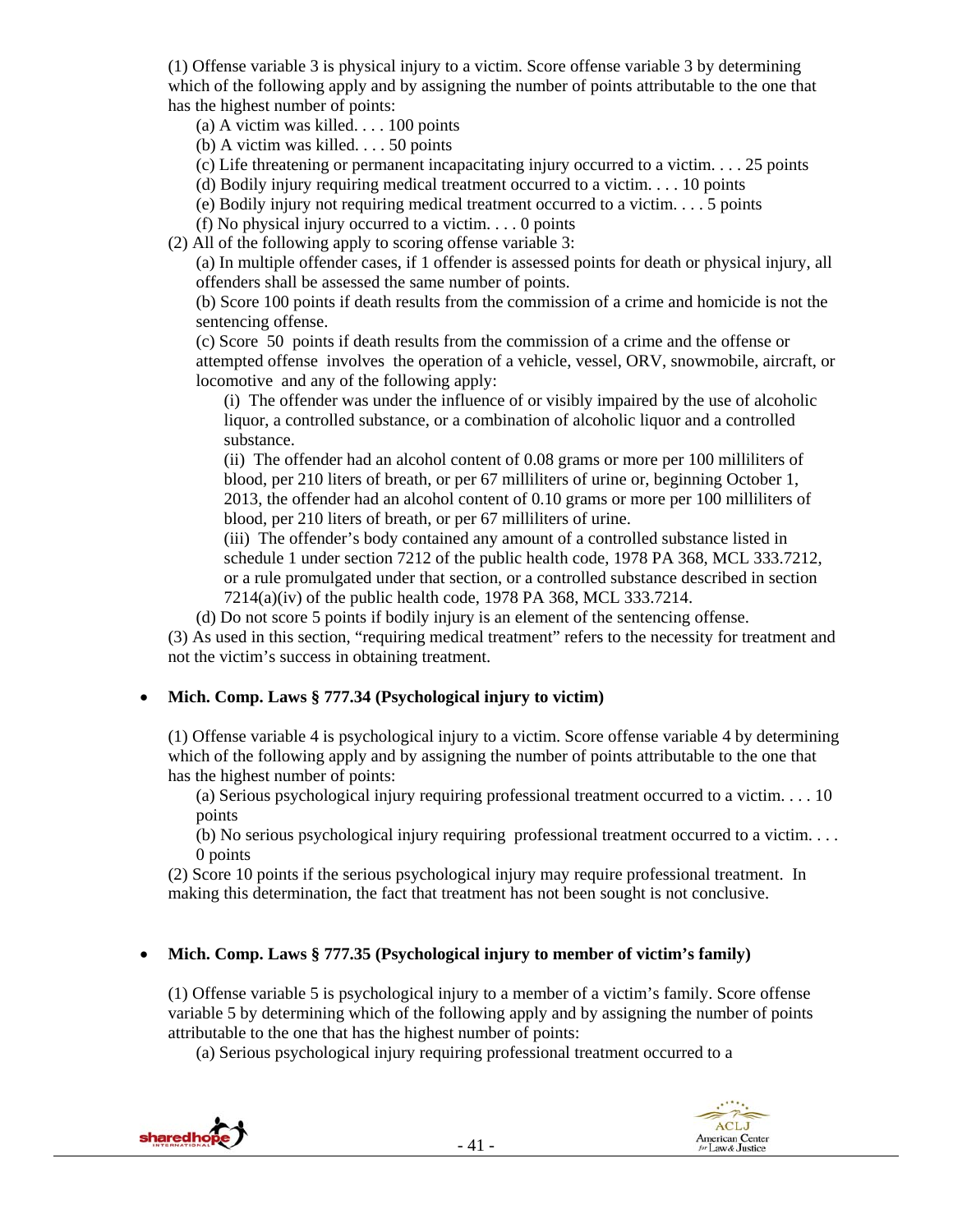(1) Offense variable 3 is physical injury to a victim. Score offense variable 3 by determining which of the following apply and by assigning the number of points attributable to the one that has the highest number of points:

- (a) A victim was killed. . . . 100 points
- (b) A victim was killed. . . . 50 points

(c) Life threatening or permanent incapacitating injury occurred to a victim. . . . 25 points

(d) Bodily injury requiring medical treatment occurred to a victim. . . . 10 points

(e) Bodily injury not requiring medical treatment occurred to a victim. . . . 5 points

(f) No physical injury occurred to a victim. . . . 0 points

(2) All of the following apply to scoring offense variable 3:

(a) In multiple offender cases, if 1 offender is assessed points for death or physical injury, all offenders shall be assessed the same number of points.

(b) Score 100 points if death results from the commission of a crime and homicide is not the sentencing offense.

(c) Score 50 points if death results from the commission of a crime and the offense or attempted offense involves the operation of a vehicle, vessel, ORV, snowmobile, aircraft, or locomotive and any of the following apply:

(i) The offender was under the influence of or visibly impaired by the use of alcoholic liquor, a controlled substance, or a combination of alcoholic liquor and a controlled substance.

(ii) The offender had an alcohol content of 0.08 grams or more per 100 milliliters of blood, per 210 liters of breath, or per 67 milliliters of urine or, beginning October 1, 2013, the offender had an alcohol content of 0.10 grams or more per 100 milliliters of blood, per 210 liters of breath, or per 67 milliliters of urine.

(iii) The offender's body contained any amount of a controlled substance listed in schedule 1 under section 7212 of the public health code, 1978 PA 368, MCL 333.7212, or a rule promulgated under that section, or a controlled substance described in section 7214(a)(iv) of the public health code, 1978 PA 368, MCL 333.7214.

(d) Do not score 5 points if bodily injury is an element of the sentencing offense.

(3) As used in this section, "requiring medical treatment" refers to the necessity for treatment and not the victim's success in obtaining treatment.

## **Mich. Comp. Laws § 777.34 (Psychological injury to victim)**

(1) Offense variable 4 is psychological injury to a victim. Score offense variable 4 by determining which of the following apply and by assigning the number of points attributable to the one that has the highest number of points:

(a) Serious psychological injury requiring professional treatment occurred to a victim. . . . 10 points

(b) No serious psychological injury requiring professional treatment occurred to a victim. . . . 0 points

(2) Score 10 points if the serious psychological injury may require professional treatment. In making this determination, the fact that treatment has not been sought is not conclusive.

## **Mich. Comp. Laws § 777.35 (Psychological injury to member of victim's family)**

(1) Offense variable 5 is psychological injury to a member of a victim's family. Score offense variable 5 by determining which of the following apply and by assigning the number of points attributable to the one that has the highest number of points:

(a) Serious psychological injury requiring professional treatment occurred to a

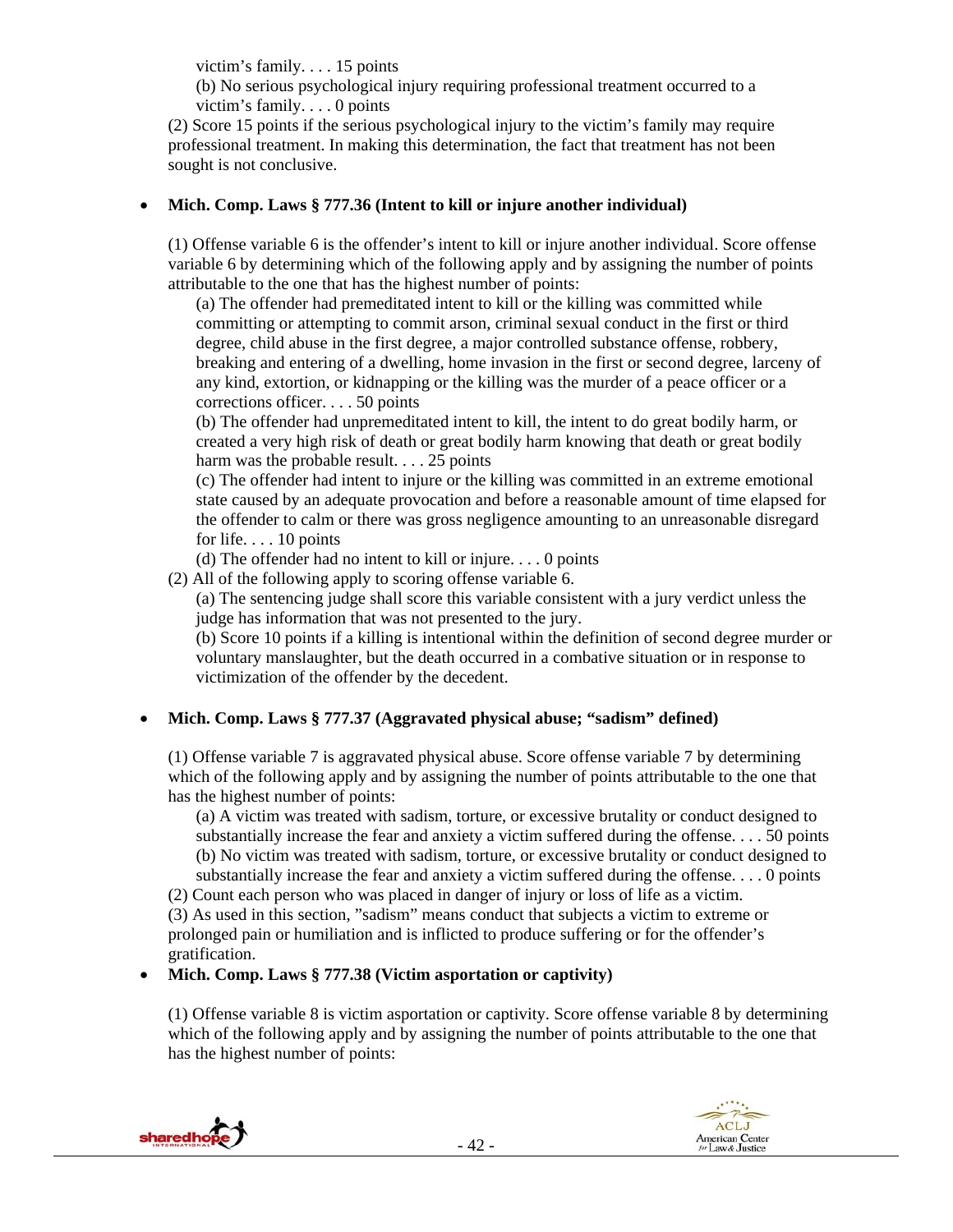victim's family. . . . 15 points

(b) No serious psychological injury requiring professional treatment occurred to a victim's family. . . . 0 points

(2) Score 15 points if the serious psychological injury to the victim's family may require professional treatment. In making this determination, the fact that treatment has not been sought is not conclusive.

## **Mich. Comp. Laws § 777.36 (Intent to kill or injure another individual)**

(1) Offense variable 6 is the offender's intent to kill or injure another individual. Score offense variable 6 by determining which of the following apply and by assigning the number of points attributable to the one that has the highest number of points:

(a) The offender had premeditated intent to kill or the killing was committed while committing or attempting to commit arson, criminal sexual conduct in the first or third degree, child abuse in the first degree, a major controlled substance offense, robbery, breaking and entering of a dwelling, home invasion in the first or second degree, larceny of any kind, extortion, or kidnapping or the killing was the murder of a peace officer or a corrections officer. . . . 50 points

(b) The offender had unpremeditated intent to kill, the intent to do great bodily harm, or created a very high risk of death or great bodily harm knowing that death or great bodily harm was the probable result. . . . 25 points

(c) The offender had intent to injure or the killing was committed in an extreme emotional state caused by an adequate provocation and before a reasonable amount of time elapsed for the offender to calm or there was gross negligence amounting to an unreasonable disregard for life. . . . 10 points

(d) The offender had no intent to kill or injure. . . . 0 points

(2) All of the following apply to scoring offense variable 6.

(a) The sentencing judge shall score this variable consistent with a jury verdict unless the judge has information that was not presented to the jury.

(b) Score 10 points if a killing is intentional within the definition of second degree murder or voluntary manslaughter, but the death occurred in a combative situation or in response to victimization of the offender by the decedent.

# **Mich. Comp. Laws § 777.37 (Aggravated physical abuse; "sadism" defined)**

(1) Offense variable 7 is aggravated physical abuse. Score offense variable 7 by determining which of the following apply and by assigning the number of points attributable to the one that has the highest number of points:

(a) A victim was treated with sadism, torture, or excessive brutality or conduct designed to substantially increase the fear and anxiety a victim suffered during the offense. . . . 50 points (b) No victim was treated with sadism, torture, or excessive brutality or conduct designed to substantially increase the fear and anxiety a victim suffered during the offense. . . . 0 points

(2) Count each person who was placed in danger of injury or loss of life as a victim.

(3) As used in this section, "sadism" means conduct that subjects a victim to extreme or prolonged pain or humiliation and is inflicted to produce suffering or for the offender's gratification.

**Mich. Comp. Laws § 777.38 (Victim asportation or captivity)**

(1) Offense variable 8 is victim asportation or captivity. Score offense variable 8 by determining which of the following apply and by assigning the number of points attributable to the one that has the highest number of points:

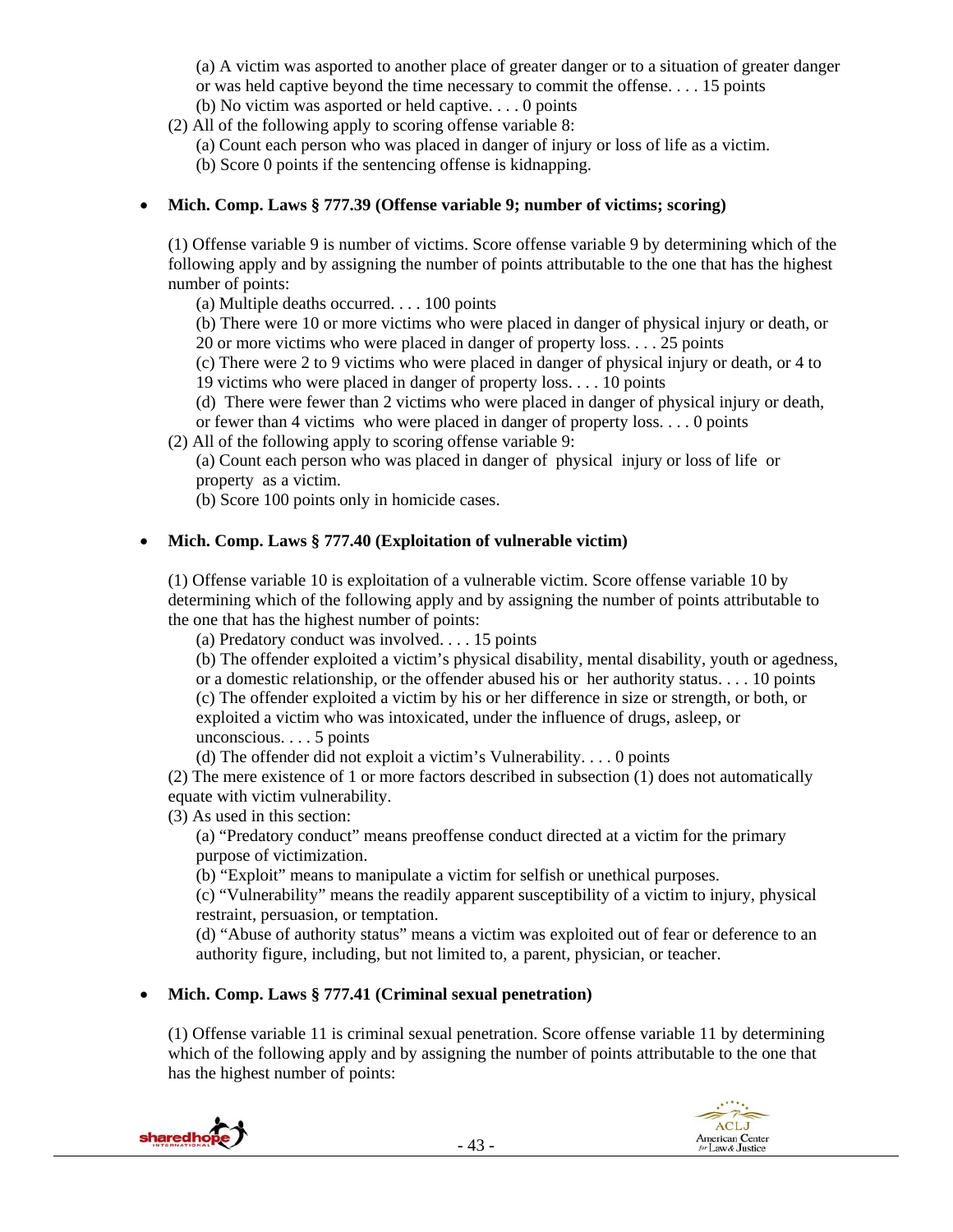(a) A victim was asported to another place of greater danger or to a situation of greater danger or was held captive beyond the time necessary to commit the offense. . . . 15 points (b) No victim was asported or held captive. . . . 0 points

(2) All of the following apply to scoring offense variable 8:

(a) Count each person who was placed in danger of injury or loss of life as a victim.

(b) Score 0 points if the sentencing offense is kidnapping.

### **Mich. Comp. Laws § 777.39 (Offense variable 9; number of victims; scoring)**

(1) Offense variable 9 is number of victims. Score offense variable 9 by determining which of the following apply and by assigning the number of points attributable to the one that has the highest number of points:

(a) Multiple deaths occurred. . . . 100 points

(b) There were 10 or more victims who were placed in danger of physical injury or death, or 20 or more victims who were placed in danger of property loss. . . . 25 points

(c) There were 2 to 9 victims who were placed in danger of physical injury or death, or 4 to

19 victims who were placed in danger of property loss. . . . 10 points

(d) There were fewer than 2 victims who were placed in danger of physical injury or death,

or fewer than 4 victims who were placed in danger of property loss. . . . 0 points (2) All of the following apply to scoring offense variable 9:

(a) Count each person who was placed in danger of physical injury or loss of life or

property as a victim.

(b) Score 100 points only in homicide cases.

### **Mich. Comp. Laws § 777.40 (Exploitation of vulnerable victim)**

(1) Offense variable 10 is exploitation of a vulnerable victim. Score offense variable 10 by determining which of the following apply and by assigning the number of points attributable to the one that has the highest number of points:

(a) Predatory conduct was involved. . . . 15 points

(b) The offender exploited a victim's physical disability, mental disability, youth or agedness, or a domestic relationship, or the offender abused his or her authority status. . . . 10 points (c) The offender exploited a victim by his or her difference in size or strength, or both, or exploited a victim who was intoxicated, under the influence of drugs, asleep, or unconscious. . . . 5 points

(d) The offender did not exploit a victim's Vulnerability. . . . 0 points

(2) The mere existence of 1 or more factors described in subsection (1) does not automatically equate with victim vulnerability.

(3) As used in this section:

(a) "Predatory conduct" means preoffense conduct directed at a victim for the primary purpose of victimization.

(b) "Exploit" means to manipulate a victim for selfish or unethical purposes.

(c) "Vulnerability" means the readily apparent susceptibility of a victim to injury, physical restraint, persuasion, or temptation.

(d) "Abuse of authority status" means a victim was exploited out of fear or deference to an authority figure, including, but not limited to, a parent, physician, or teacher.

## **Mich. Comp. Laws § 777.41 (Criminal sexual penetration)**

(1) Offense variable 11 is criminal sexual penetration. Score offense variable 11 by determining which of the following apply and by assigning the number of points attributable to the one that has the highest number of points:

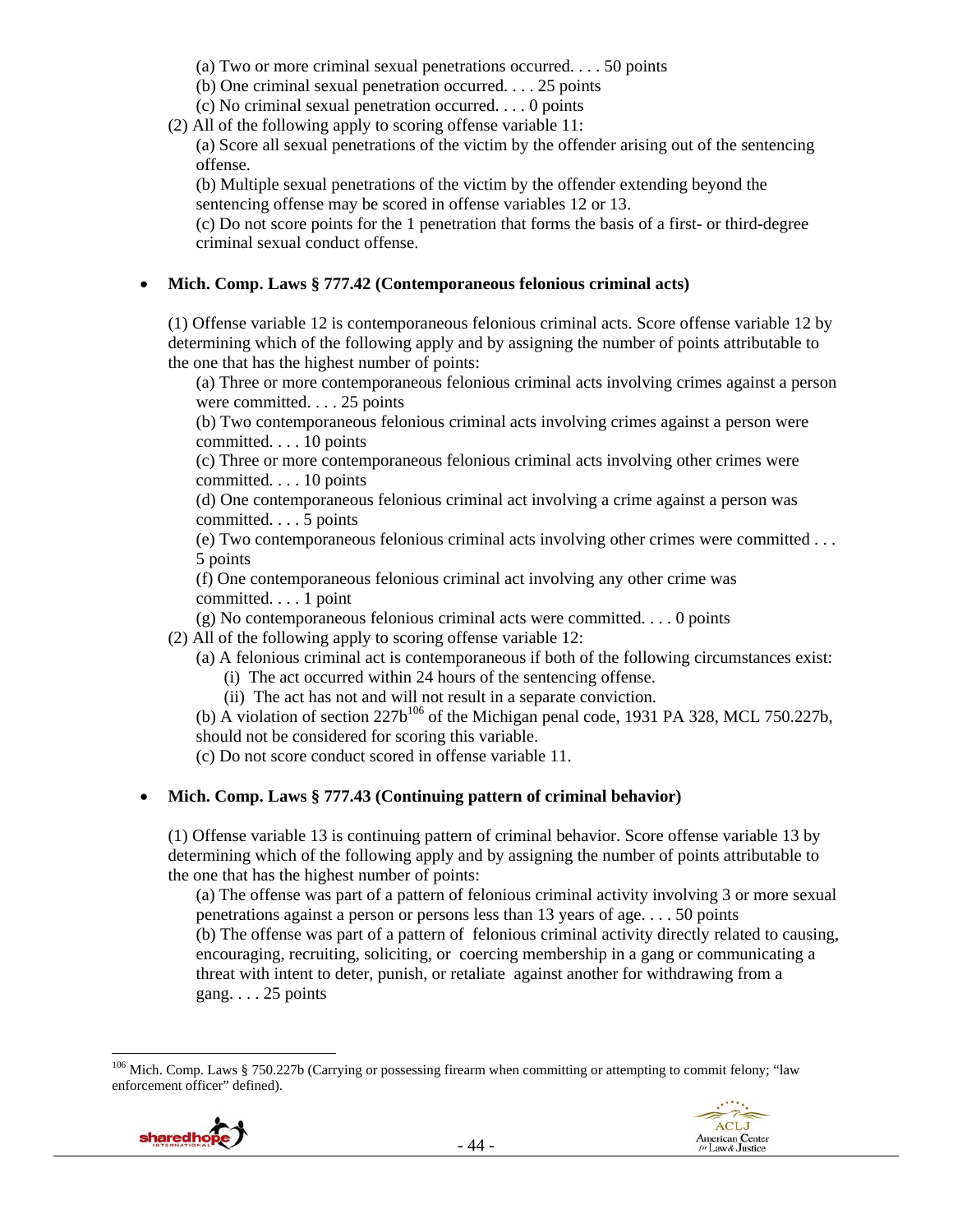- (a) Two or more criminal sexual penetrations occurred. . . . 50 points
- (b) One criminal sexual penetration occurred. . . . 25 points
- (c) No criminal sexual penetration occurred. . . . 0 points
- (2) All of the following apply to scoring offense variable 11:

(a) Score all sexual penetrations of the victim by the offender arising out of the sentencing offense.

(b) Multiple sexual penetrations of the victim by the offender extending beyond the sentencing offense may be scored in offense variables 12 or 13.

(c) Do not score points for the 1 penetration that forms the basis of a first- or third-degree criminal sexual conduct offense.

### **Mich. Comp. Laws § 777.42 (Contemporaneous felonious criminal acts)**

(1) Offense variable 12 is contemporaneous felonious criminal acts. Score offense variable 12 by determining which of the following apply and by assigning the number of points attributable to the one that has the highest number of points:

(a) Three or more contemporaneous felonious criminal acts involving crimes against a person were committed. . . . 25 points

(b) Two contemporaneous felonious criminal acts involving crimes against a person were committed. . . . 10 points

(c) Three or more contemporaneous felonious criminal acts involving other crimes were committed. . . . 10 points

(d) One contemporaneous felonious criminal act involving a crime against a person was committed. . . . 5 points

(e) Two contemporaneous felonious criminal acts involving other crimes were committed . . . 5 points

(f) One contemporaneous felonious criminal act involving any other crime was committed. . . . 1 point

(g) No contemporaneous felonious criminal acts were committed. . . . 0 points

(2) All of the following apply to scoring offense variable 12:

- (a) A felonious criminal act is contemporaneous if both of the following circumstances exist: (i) The act occurred within 24 hours of the sentencing offense.
	- (ii) The act has not and will not result in a separate conviction.

(b) A violation of section  $227b^{106}$  of the Michigan penal code, 1931 PA 328, MCL 750.227b, should not be considered for scoring this variable.

(c) Do not score conduct scored in offense variable 11.

## **Mich. Comp. Laws § 777.43 (Continuing pattern of criminal behavior)**

(1) Offense variable 13 is continuing pattern of criminal behavior. Score offense variable 13 by determining which of the following apply and by assigning the number of points attributable to the one that has the highest number of points:

(a) The offense was part of a pattern of felonious criminal activity involving 3 or more sexual penetrations against a person or persons less than 13 years of age. . . . 50 points

(b) The offense was part of a pattern of felonious criminal activity directly related to causing, encouraging, recruiting, soliciting, or coercing membership in a gang or communicating a threat with intent to deter, punish, or retaliate against another for withdrawing from a gang. . . . 25 points

<sup>&</sup>lt;sup>106</sup> Mich. Comp. Laws § 750.227b (Carrying or possessing firearm when committing or attempting to commit felony; "law enforcement officer" defined).

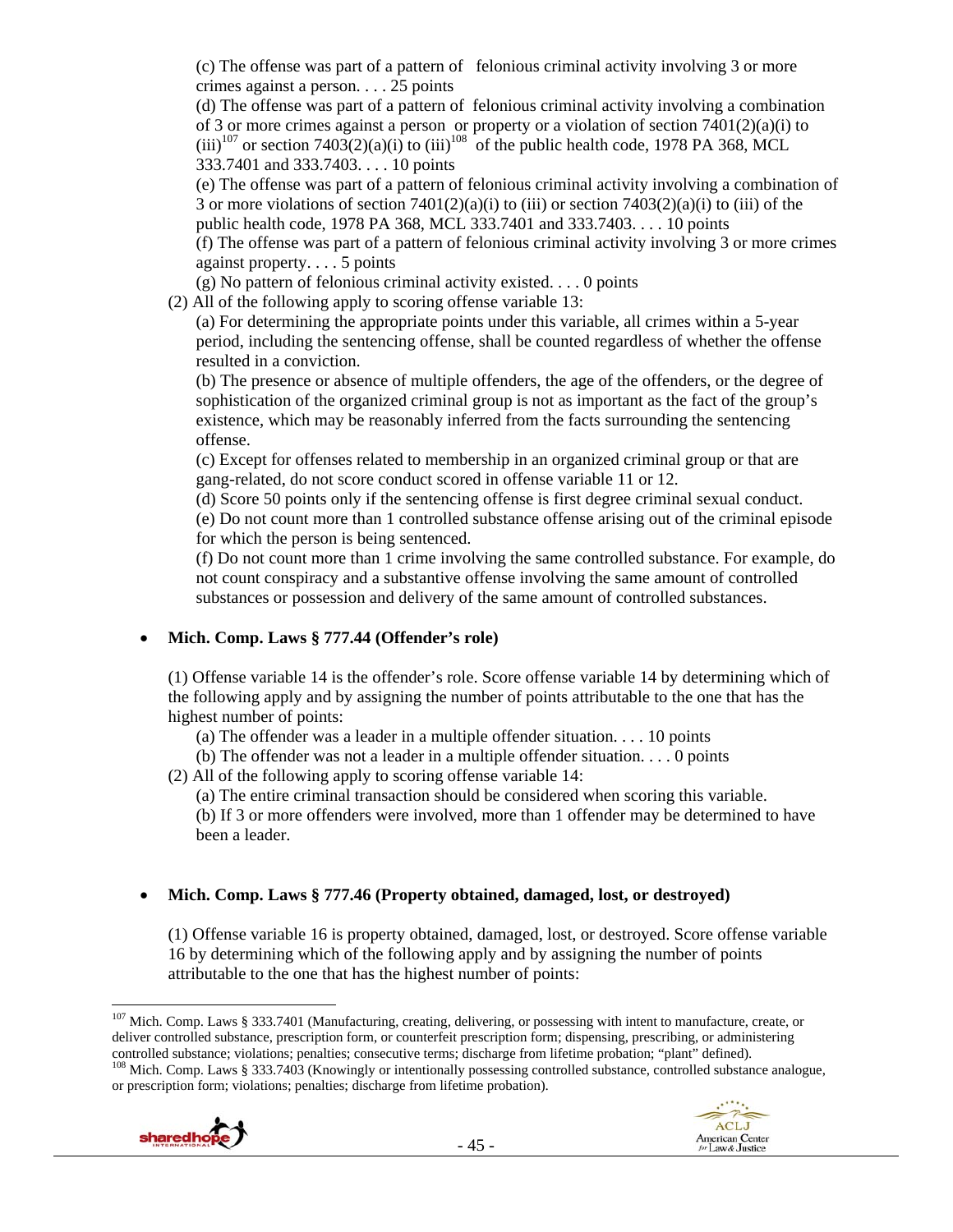(c) The offense was part of a pattern of felonious criminal activity involving 3 or more crimes against a person. . . . 25 points

(d) The offense was part of a pattern of felonious criminal activity involving a combination of 3 or more crimes against a person or property or a violation of section 7401(2)(a)(i) to  $(iii)^{107}$  or section 7403(2)(a)(i) to (iii)<sup>108</sup> of the public health code, 1978 PA 368, MCL 333.7401 and 333.7403. . . . 10 points

(e) The offense was part of a pattern of felonious criminal activity involving a combination of 3 or more violations of section 7401(2)(a)(i) to (iii) or section 7403(2)(a)(i) to (iii) of the public health code, 1978 PA 368, MCL 333.7401 and 333.7403. . . . 10 points

(f) The offense was part of a pattern of felonious criminal activity involving 3 or more crimes against property. . . . 5 points

(g) No pattern of felonious criminal activity existed. . . . 0 points

(2) All of the following apply to scoring offense variable 13:

(a) For determining the appropriate points under this variable, all crimes within a 5-year period, including the sentencing offense, shall be counted regardless of whether the offense resulted in a conviction.

(b) The presence or absence of multiple offenders, the age of the offenders, or the degree of sophistication of the organized criminal group is not as important as the fact of the group's existence, which may be reasonably inferred from the facts surrounding the sentencing offense.

(c) Except for offenses related to membership in an organized criminal group or that are gang-related, do not score conduct scored in offense variable 11 or 12.

(d) Score 50 points only if the sentencing offense is first degree criminal sexual conduct. (e) Do not count more than 1 controlled substance offense arising out of the criminal episode for which the person is being sentenced.

(f) Do not count more than 1 crime involving the same controlled substance. For example, do not count conspiracy and a substantive offense involving the same amount of controlled substances or possession and delivery of the same amount of controlled substances.

# **Mich. Comp. Laws § 777.44 (Offender's role)**

(1) Offense variable 14 is the offender's role. Score offense variable 14 by determining which of the following apply and by assigning the number of points attributable to the one that has the highest number of points:

(a) The offender was a leader in a multiple offender situation.  $\dots$  10 points

(b) The offender was not a leader in a multiple offender situation. . . . 0 points

(2) All of the following apply to scoring offense variable 14:

(a) The entire criminal transaction should be considered when scoring this variable.

(b) If 3 or more offenders were involved, more than 1 offender may be determined to have been a leader.

# **Mich. Comp. Laws § 777.46 (Property obtained, damaged, lost, or destroyed)**

(1) Offense variable 16 is property obtained, damaged, lost, or destroyed. Score offense variable 16 by determining which of the following apply and by assigning the number of points attributable to the one that has the highest number of points:

 <sup>107</sup> Mich. Comp. Laws § 333.7401 (Manufacturing, creating, delivering, or possessing with intent to manufacture, create, or deliver controlled substance, prescription form, or counterfeit prescription form; dispensing, prescribing, or administering controlled substance; violations; penalties; consecutive terms; discharge from lifetime probation <sup>108</sup> Mich. Comp. Laws § 333.7403 (Knowingly or intentionally possessing controlled substance, controlled substance analogue, or prescription form; violations; penalties; discharge from lifetime probation).



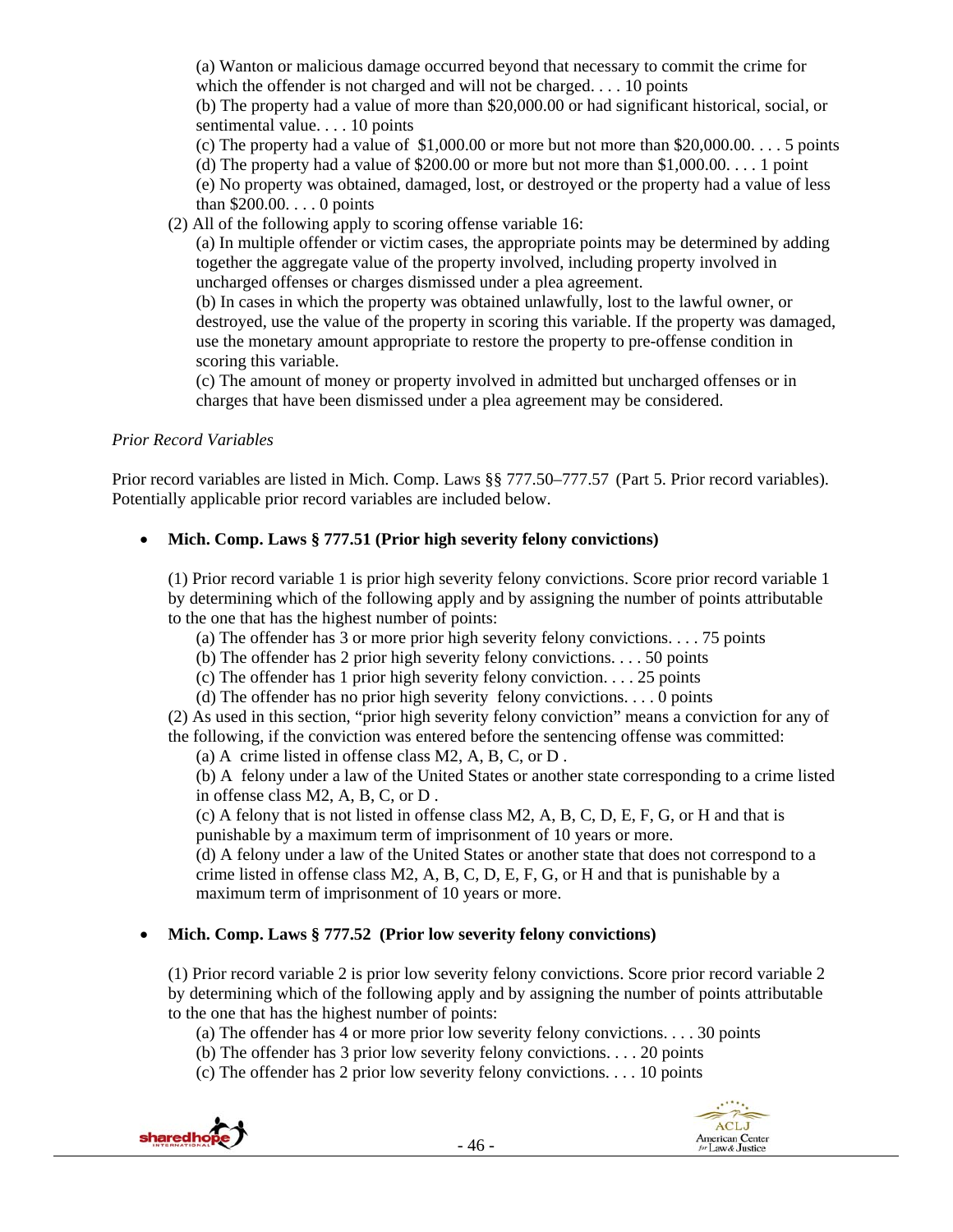(a) Wanton or malicious damage occurred beyond that necessary to commit the crime for which the offender is not charged and will not be charged. . . . 10 points (b) The property had a value of more than \$20,000.00 or had significant historical, social, or

sentimental value. . . . 10 points

(c) The property had a value of  $$1,000.00$  or more but not more than  $$20,000.00$ .... 5 points

(d) The property had a value of \$200.00 or more but not more than  $$1,000.00$ .... 1 point

(e) No property was obtained, damaged, lost, or destroyed or the property had a value of less than \$200.00. . . . 0 points

(2) All of the following apply to scoring offense variable 16:

(a) In multiple offender or victim cases, the appropriate points may be determined by adding together the aggregate value of the property involved, including property involved in uncharged offenses or charges dismissed under a plea agreement.

(b) In cases in which the property was obtained unlawfully, lost to the lawful owner, or destroyed, use the value of the property in scoring this variable. If the property was damaged, use the monetary amount appropriate to restore the property to pre-offense condition in scoring this variable.

(c) The amount of money or property involved in admitted but uncharged offenses or in charges that have been dismissed under a plea agreement may be considered.

## *Prior Record Variables*

Prior record variables are listed in Mich. Comp. Laws §§ 777.50–777.57 (Part 5. Prior record variables). Potentially applicable prior record variables are included below.

## **Mich. Comp. Laws § 777.51 (Prior high severity felony convictions)**

(1) Prior record variable 1 is prior high severity felony convictions. Score prior record variable 1 by determining which of the following apply and by assigning the number of points attributable to the one that has the highest number of points:

- (a) The offender has 3 or more prior high severity felony convictions. . . . 75 points
- (b) The offender has 2 prior high severity felony convictions. . . . 50 points
- (c) The offender has 1 prior high severity felony conviction. . . . 25 points
- (d) The offender has no prior high severity felony convictions. . . . 0 points

(2) As used in this section, "prior high severity felony conviction" means a conviction for any of the following, if the conviction was entered before the sentencing offense was committed:

(a) A crime listed in offense class M2, A, B, C, or D .

(b) A felony under a law of the United States or another state corresponding to a crime listed in offense class M2, A, B, C, or D .

(c) A felony that is not listed in offense class M2, A, B, C, D, E, F, G, or H and that is punishable by a maximum term of imprisonment of 10 years or more.

(d) A felony under a law of the United States or another state that does not correspond to a crime listed in offense class  $M2$ , A, B, C, D, E, F, G, or H and that is punishable by a maximum term of imprisonment of 10 years or more.

## **Mich. Comp. Laws § 777.52 (Prior low severity felony convictions)**

(1) Prior record variable 2 is prior low severity felony convictions. Score prior record variable 2 by determining which of the following apply and by assigning the number of points attributable to the one that has the highest number of points:

(a) The offender has 4 or more prior low severity felony convictions. . . . 30 points

- (b) The offender has 3 prior low severity felony convictions. . . . 20 points
- (c) The offender has 2 prior low severity felony convictions. . . . 10 points

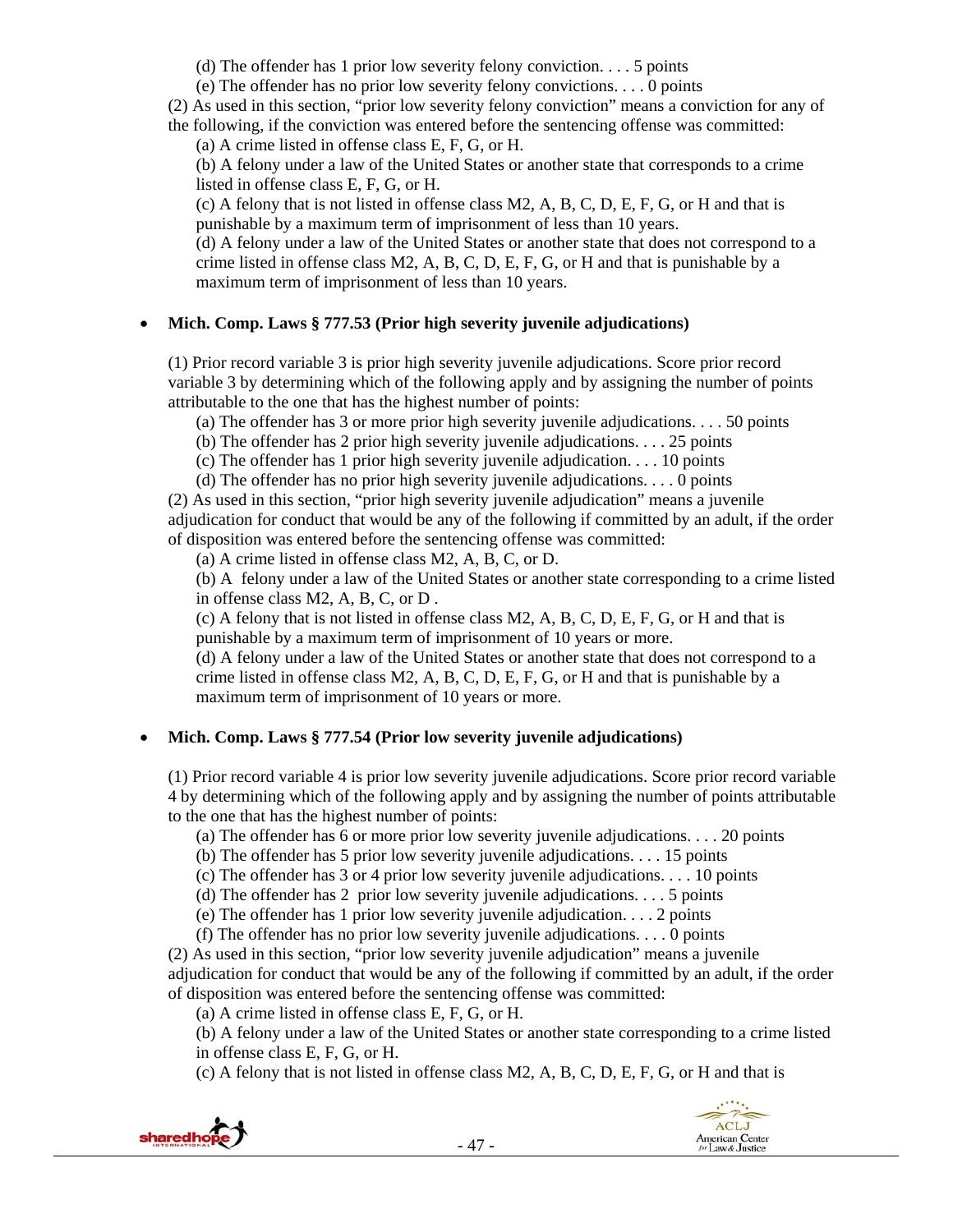(d) The offender has 1 prior low severity felony conviction. . . . 5 points

(e) The offender has no prior low severity felony convictions. . . . 0 points

(2) As used in this section, "prior low severity felony conviction" means a conviction for any of

the following, if the conviction was entered before the sentencing offense was committed:

(a) A crime listed in offense class E, F, G, or H.

(b) A felony under a law of the United States or another state that corresponds to a crime listed in offense class E, F, G, or H.

(c) A felony that is not listed in offense class M2, A, B, C, D, E, F, G, or H and that is punishable by a maximum term of imprisonment of less than 10 years.

(d) A felony under a law of the United States or another state that does not correspond to a crime listed in offense class  $M2$ , A, B, C, D, E, F, G, or H and that is punishable by a maximum term of imprisonment of less than 10 years.

## **Mich. Comp. Laws § 777.53 (Prior high severity juvenile adjudications)**

(1) Prior record variable 3 is prior high severity juvenile adjudications. Score prior record variable 3 by determining which of the following apply and by assigning the number of points attributable to the one that has the highest number of points:

(a) The offender has 3 or more prior high severity juvenile adjudications. . . . 50 points

(b) The offender has 2 prior high severity juvenile adjudications. . . . 25 points

(c) The offender has 1 prior high severity juvenile adjudication. . . . 10 points

(d) The offender has no prior high severity juvenile adjudications. . . . 0 points

(2) As used in this section, "prior high severity juvenile adjudication" means a juvenile adjudication for conduct that would be any of the following if committed by an adult, if the order of disposition was entered before the sentencing offense was committed:

(a) A crime listed in offense class M2, A, B, C, or D.

(b) A felony under a law of the United States or another state corresponding to a crime listed in offense class M2, A, B, C, or D .

(c) A felony that is not listed in offense class M2, A, B, C, D, E, F, G, or H and that is punishable by a maximum term of imprisonment of 10 years or more.

(d) A felony under a law of the United States or another state that does not correspond to a crime listed in offense class  $M2$ , A, B, C, D, E, F, G, or H and that is punishable by a maximum term of imprisonment of 10 years or more.

## **Mich. Comp. Laws § 777.54 (Prior low severity juvenile adjudications)**

(1) Prior record variable 4 is prior low severity juvenile adjudications. Score prior record variable 4 by determining which of the following apply and by assigning the number of points attributable to the one that has the highest number of points:

(a) The offender has 6 or more prior low severity juvenile adjudications. . . . 20 points

(b) The offender has 5 prior low severity juvenile adjudications. . . . 15 points

(c) The offender has 3 or 4 prior low severity juvenile adjudications. . . . 10 points

(d) The offender has 2 prior low severity juvenile adjudications. . . . 5 points

(e) The offender has 1 prior low severity juvenile adjudication. . . . 2 points

(f) The offender has no prior low severity juvenile adjudications. . . . 0 points

(2) As used in this section, "prior low severity juvenile adjudication" means a juvenile adjudication for conduct that would be any of the following if committed by an adult, if the order of disposition was entered before the sentencing offense was committed:

(a) A crime listed in offense class E, F, G, or H.

(b) A felony under a law of the United States or another state corresponding to a crime listed in offense class E, F, G, or H.

(c) A felony that is not listed in offense class M2, A, B, C, D, E, F, G, or H and that is

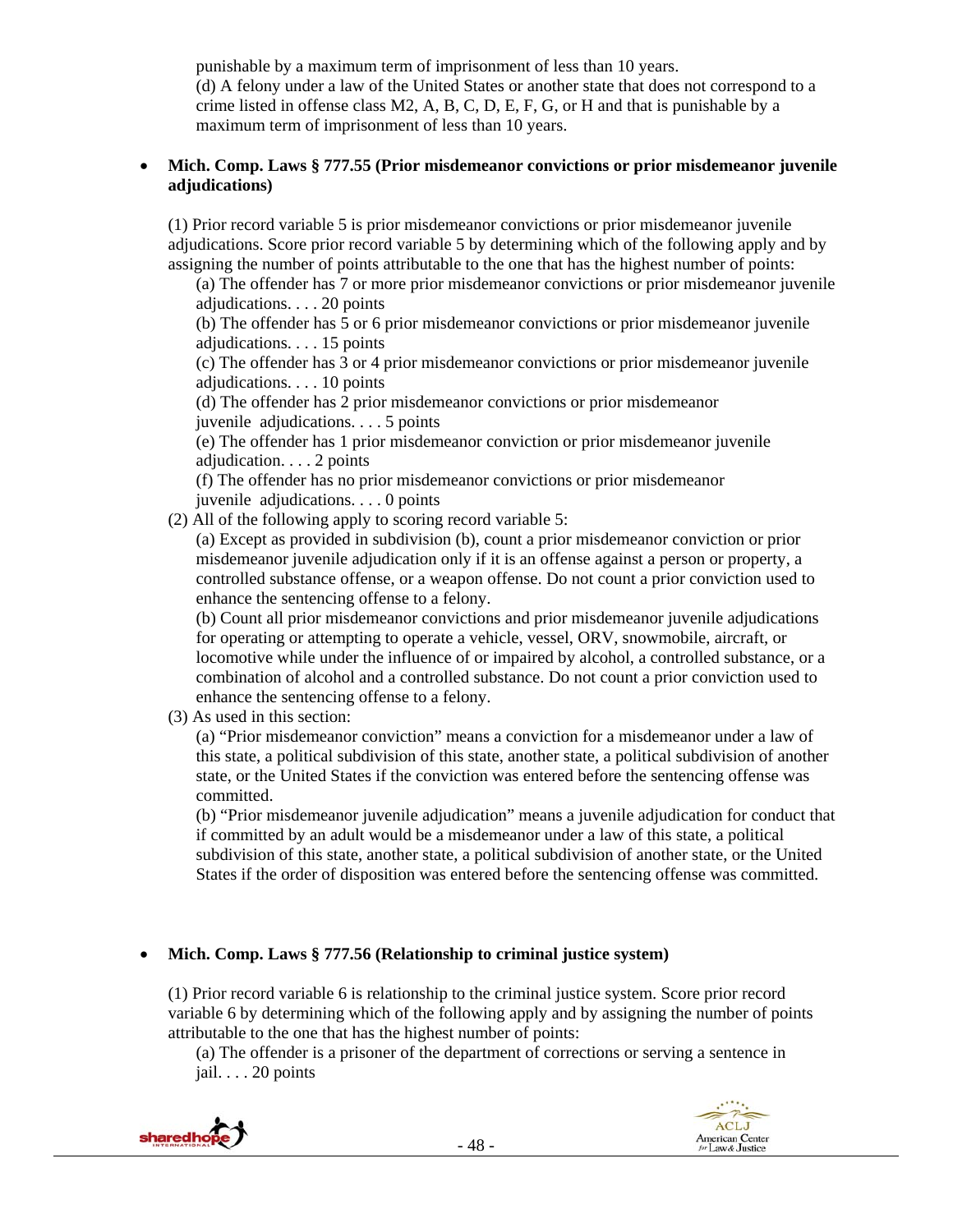punishable by a maximum term of imprisonment of less than 10 years. (d) A felony under a law of the United States or another state that does not correspond to a crime listed in offense class  $M2$ , A, B, C, D, E, F, G, or H and that is punishable by a maximum term of imprisonment of less than 10 years.

## **Mich. Comp. Laws § 777.55 (Prior misdemeanor convictions or prior misdemeanor juvenile adjudications)**

(1) Prior record variable 5 is prior misdemeanor convictions or prior misdemeanor juvenile adjudications. Score prior record variable 5 by determining which of the following apply and by assigning the number of points attributable to the one that has the highest number of points:

(a) The offender has 7 or more prior misdemeanor convictions or prior misdemeanor juvenile adjudications. . . . 20 points

(b) The offender has 5 or 6 prior misdemeanor convictions or prior misdemeanor juvenile adjudications. . . . 15 points

(c) The offender has 3 or 4 prior misdemeanor convictions or prior misdemeanor juvenile adjudications. . . . 10 points

(d) The offender has 2 prior misdemeanor convictions or prior misdemeanor juvenile adjudications. . . . 5 points

(e) The offender has 1 prior misdemeanor conviction or prior misdemeanor juvenile adjudication. . . . 2 points

(f) The offender has no prior misdemeanor convictions or prior misdemeanor juvenile adjudications. . . . 0 points

(2) All of the following apply to scoring record variable 5:

(a) Except as provided in subdivision (b), count a prior misdemeanor conviction or prior misdemeanor juvenile adjudication only if it is an offense against a person or property, a controlled substance offense, or a weapon offense. Do not count a prior conviction used to enhance the sentencing offense to a felony.

(b) Count all prior misdemeanor convictions and prior misdemeanor juvenile adjudications for operating or attempting to operate a vehicle, vessel, ORV, snowmobile, aircraft, or locomotive while under the influence of or impaired by alcohol, a controlled substance, or a combination of alcohol and a controlled substance. Do not count a prior conviction used to enhance the sentencing offense to a felony.

(3) As used in this section:

(a) "Prior misdemeanor conviction" means a conviction for a misdemeanor under a law of this state, a political subdivision of this state, another state, a political subdivision of another state, or the United States if the conviction was entered before the sentencing offense was committed.

(b) "Prior misdemeanor juvenile adjudication" means a juvenile adjudication for conduct that if committed by an adult would be a misdemeanor under a law of this state, a political subdivision of this state, another state, a political subdivision of another state, or the United States if the order of disposition was entered before the sentencing offense was committed.

# **Mich. Comp. Laws § 777.56 (Relationship to criminal justice system)**

(1) Prior record variable 6 is relationship to the criminal justice system. Score prior record variable 6 by determining which of the following apply and by assigning the number of points attributable to the one that has the highest number of points:

(a) The offender is a prisoner of the department of corrections or serving a sentence in jail. . . . 20 points

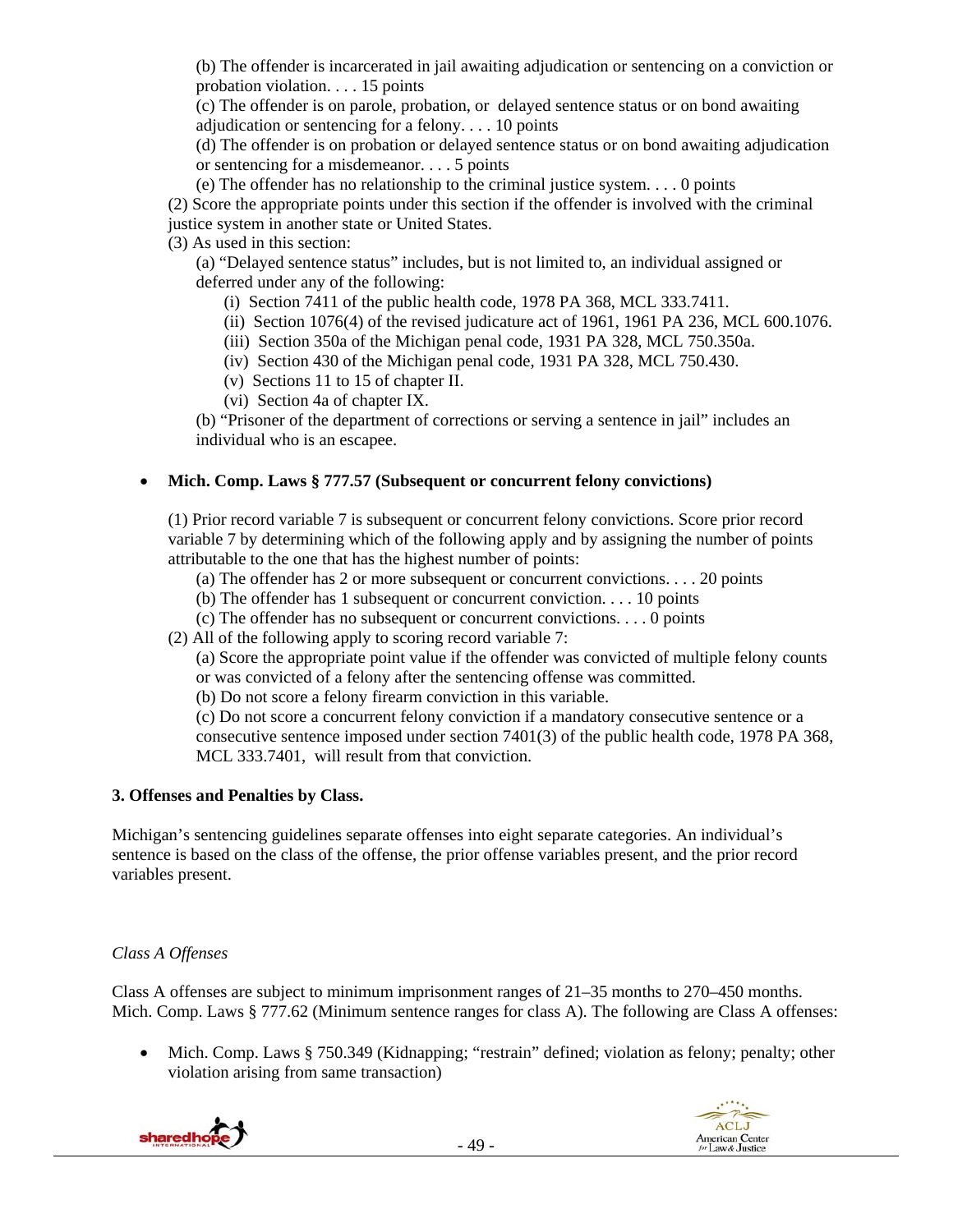(b) The offender is incarcerated in jail awaiting adjudication or sentencing on a conviction or probation violation. . . . 15 points

(c) The offender is on parole, probation, or delayed sentence status or on bond awaiting adjudication or sentencing for a felony. . . . 10 points

(d) The offender is on probation or delayed sentence status or on bond awaiting adjudication or sentencing for a misdemeanor. . . . 5 points

(e) The offender has no relationship to the criminal justice system. . . . 0 points

(2) Score the appropriate points under this section if the offender is involved with the criminal

justice system in another state or United States.

(3) As used in this section:

(a) "Delayed sentence status" includes, but is not limited to, an individual assigned or deferred under any of the following:

(i) Section 7411 of the public health code, 1978 PA 368, MCL 333.7411.

(ii) Section 1076(4) of the revised judicature act of 1961, 1961 PA 236, MCL 600.1076.

(iii) Section 350a of the Michigan penal code, 1931 PA 328, MCL 750.350a.

(iv) Section 430 of the Michigan penal code, 1931 PA 328, MCL 750.430.

(v) Sections 11 to 15 of chapter II.

(vi) Section 4a of chapter IX.

(b) "Prisoner of the department of corrections or serving a sentence in jail" includes an individual who is an escapee.

## **Mich. Comp. Laws § 777.57 (Subsequent or concurrent felony convictions)**

(1) Prior record variable 7 is subsequent or concurrent felony convictions. Score prior record variable 7 by determining which of the following apply and by assigning the number of points attributable to the one that has the highest number of points:

(a) The offender has 2 or more subsequent or concurrent convictions. . . . 20 points

(b) The offender has 1 subsequent or concurrent conviction. . . . 10 points

(c) The offender has no subsequent or concurrent convictions. . . . 0 points

(2) All of the following apply to scoring record variable 7:

(a) Score the appropriate point value if the offender was convicted of multiple felony counts or was convicted of a felony after the sentencing offense was committed.

(b) Do not score a felony firearm conviction in this variable.

(c) Do not score a concurrent felony conviction if a mandatory consecutive sentence or a consecutive sentence imposed under section 7401(3) of the public health code, 1978 PA 368, MCL 333.7401, will result from that conviction.

## **3. Offenses and Penalties by Class.**

Michigan's sentencing guidelines separate offenses into eight separate categories. An individual's sentence is based on the class of the offense, the prior offense variables present, and the prior record variables present.

# *Class A Offenses*

Class A offenses are subject to minimum imprisonment ranges of 21–35 months to 270–450 months. Mich. Comp. Laws § 777.62 (Minimum sentence ranges for class A). The following are Class A offenses:

• Mich. Comp. Laws § 750.349 (Kidnapping; "restrain" defined; violation as felony; penalty; other violation arising from same transaction)



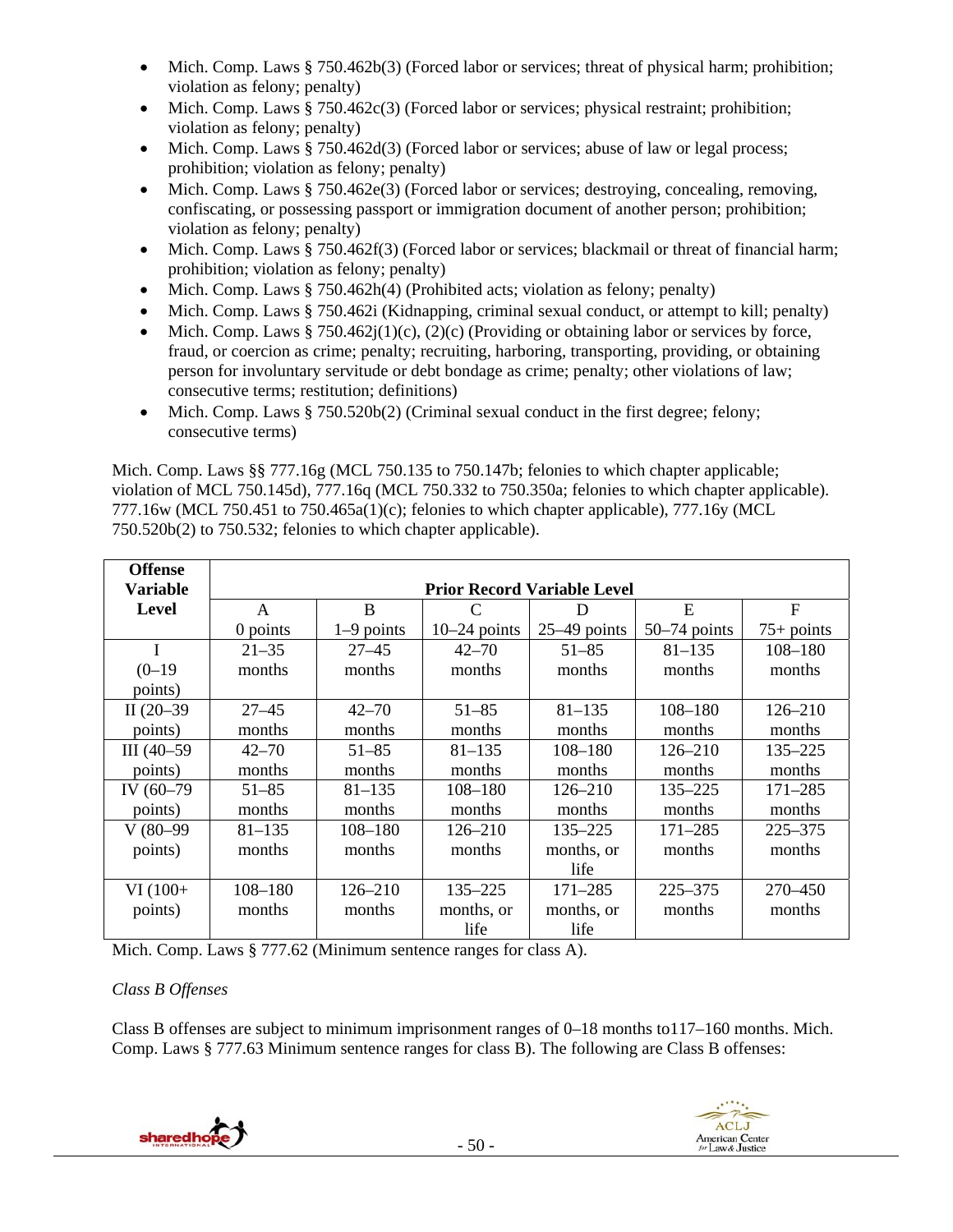- Mich. Comp. Laws § 750.462b(3) (Forced labor or services; threat of physical harm; prohibition; violation as felony; penalty)
- $\bullet$  Mich. Comp. Laws § 750.462c(3) (Forced labor or services; physical restraint; prohibition; violation as felony; penalty)
- Mich. Comp. Laws § 750.462d(3) (Forced labor or services; abuse of law or legal process; prohibition; violation as felony; penalty)
- Mich. Comp. Laws § 750.462e(3) (Forced labor or services; destroying, concealing, removing, confiscating, or possessing passport or immigration document of another person; prohibition; violation as felony; penalty)
- Mich. Comp. Laws § 750.462f(3) (Forced labor or services; blackmail or threat of financial harm; prohibition; violation as felony; penalty)
- Mich. Comp. Laws  $§ 750.462h(4)$  (Prohibited acts; violation as felony; penalty)
- Mich. Comp. Laws § 750.462i (Kidnapping, criminal sexual conduct, or attempt to kill; penalty)
- Mich. Comp. Laws § 750.462 $j(1)(c)$ , (2)(c) (Providing or obtaining labor or services by force, fraud, or coercion as crime; penalty; recruiting, harboring, transporting, providing, or obtaining person for involuntary servitude or debt bondage as crime; penalty; other violations of law; consecutive terms; restitution; definitions)
- Mich. Comp. Laws § 750.520b(2) (Criminal sexual conduct in the first degree; felony; consecutive terms)

Mich. Comp. Laws §§ 777.16g (MCL 750.135 to 750.147b; felonies to which chapter applicable; violation of MCL 750.145d), 777.16q (MCL 750.332 to 750.350a; felonies to which chapter applicable). 777.16w (MCL 750.451 to 750.465a(1)(c); felonies to which chapter applicable), 777.16y (MCL 750.520b(2) to 750.532; felonies to which chapter applicable).

| <b>Offense</b><br><b>Variable</b> | <b>Prior Record Variable Level</b> |              |                |                |                |              |
|-----------------------------------|------------------------------------|--------------|----------------|----------------|----------------|--------------|
| Level                             | A                                  | B            |                | Ð              | E              | $F_{\rm}$    |
|                                   | $0$ points                         | $1-9$ points | $10-24$ points | $25-49$ points | $50-74$ points | $75+$ points |
|                                   | $21 - 35$                          | $27 - 45$    | $42 - 70$      | $51 - 85$      | $81 - 135$     | $108 - 180$  |
| $(0-19)$                          | months                             | months       | months         | months         | months         | months       |
| points)                           |                                    |              |                |                |                |              |
| II $(20-39)$                      | $27 - 45$                          | $42 - 70$    | $51 - 85$      | $81 - 135$     | $108 - 180$    | $126 - 210$  |
| points)                           | months                             | months       | months         | months         | months         | months       |
| III $(40-59)$                     | $42 - 70$                          | $51 - 85$    | $81 - 135$     | $108 - 180$    | $126 - 210$    | $135 - 225$  |
| points)                           | months                             | months       | months         | months         | months         | months       |
| IV (60-79)                        | $51 - 85$                          | $81 - 135$   | $108 - 180$    | $126 - 210$    | 135–225        | $171 - 285$  |
| points)                           | months                             | months       | months         | months         | months         | months       |
| $V(80-99)$                        | $81 - 135$                         | $108 - 180$  | $126 - 210$    | 135-225        | 171–285        | $225 - 375$  |
| points)                           | months                             | months       | months         | months, or     | months         | months       |
|                                   |                                    |              |                | life           |                |              |
| $VI(100+$                         | $108 - 180$                        | $126 - 210$  | $135 - 225$    | $171 - 285$    | $225 - 375$    | 270–450      |
| points)                           | months                             | months       | months, or     | months, or     | months         | months       |
|                                   |                                    |              | life           | life           |                |              |

Mich. Comp. Laws § 777.62 (Minimum sentence ranges for class A).

## *Class B Offenses*

Class B offenses are subject to minimum imprisonment ranges of 0–18 months to117–160 months. Mich. Comp. Laws § 777.63 Minimum sentence ranges for class B). The following are Class B offenses:



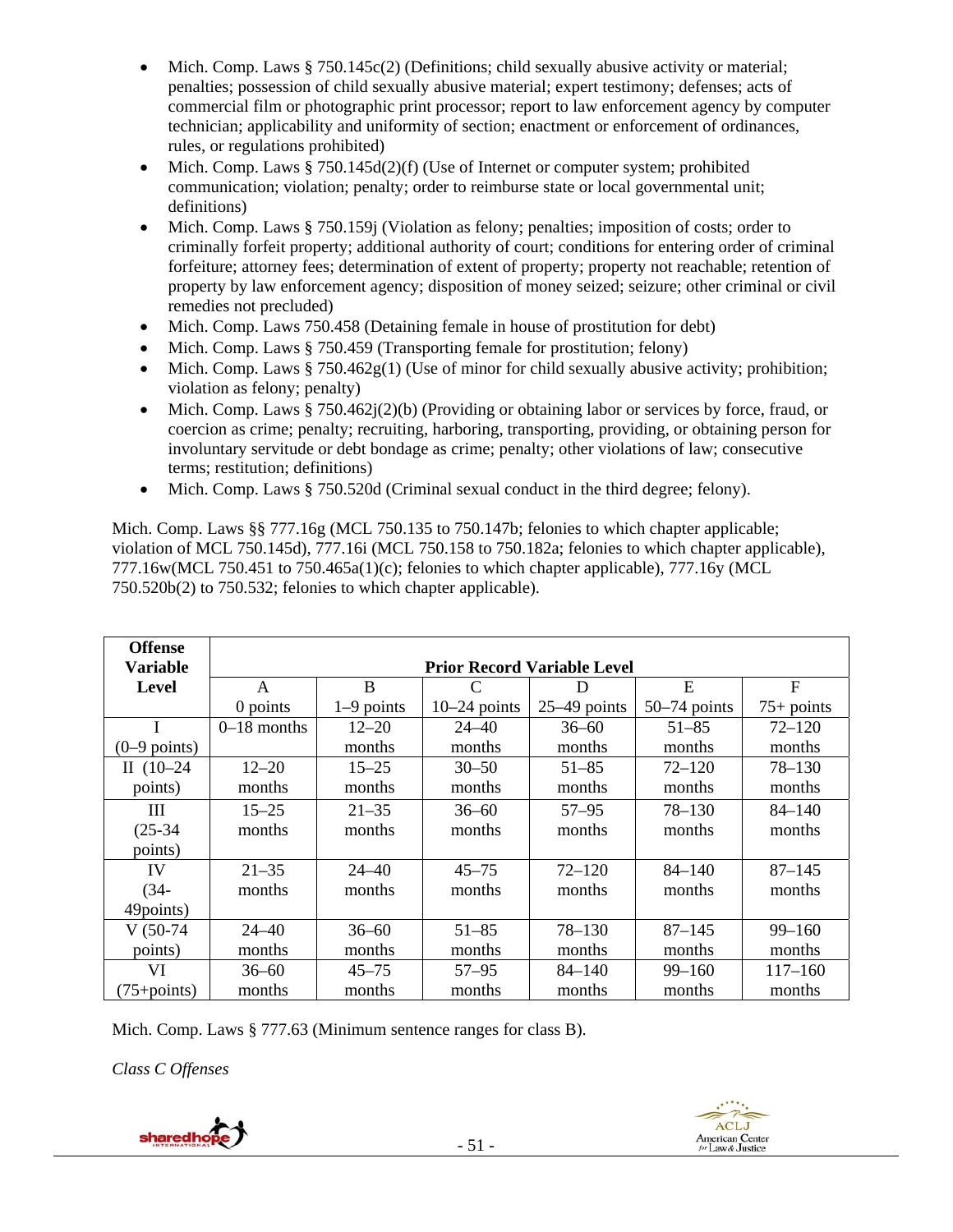- Mich. Comp. Laws § 750.145c(2) (Definitions; child sexually abusive activity or material; penalties; possession of child sexually abusive material; expert testimony; defenses; acts of commercial film or photographic print processor; report to law enforcement agency by computer technician; applicability and uniformity of section; enactment or enforcement of ordinances, rules, or regulations prohibited)
- Mich. Comp. Laws  $§ 750.145d(2)(f)$  (Use of Internet or computer system; prohibited communication; violation; penalty; order to reimburse state or local governmental unit; definitions)
- Mich. Comp. Laws § 750.159j (Violation as felony; penalties; imposition of costs; order to criminally forfeit property; additional authority of court; conditions for entering order of criminal forfeiture; attorney fees; determination of extent of property; property not reachable; retention of property by law enforcement agency; disposition of money seized; seizure; other criminal or civil remedies not precluded)
- Mich. Comp. Laws 750.458 (Detaining female in house of prostitution for debt)
- Mich. Comp. Laws § 750.459 (Transporting female for prostitution; felony)
- Mich. Comp. Laws  $§ 750.462g(1)$  (Use of minor for child sexually abusive activity; prohibition; violation as felony; penalty)
- Mich. Comp. Laws § 750.462 $j(2)(b)$  (Providing or obtaining labor or services by force, fraud, or coercion as crime; penalty; recruiting, harboring, transporting, providing, or obtaining person for involuntary servitude or debt bondage as crime; penalty; other violations of law; consecutive terms; restitution; definitions)
- Mich. Comp. Laws § 750.520d (Criminal sexual conduct in the third degree; felony).

Mich. Comp. Laws §§ 777.16g (MCL 750.135 to 750.147b; felonies to which chapter applicable; violation of MCL 750.145d), 777.16i (MCL 750.158 to 750.182a; felonies to which chapter applicable), 777.16w(MCL 750.451 to 750.465a(1)(c); felonies to which chapter applicable), 777.16y (MCL 750.520b(2) to 750.532; felonies to which chapter applicable).

| <b>Offense</b><br><b>Variable</b> |               |              |                | <b>Prior Record Variable Level</b> |                |              |
|-----------------------------------|---------------|--------------|----------------|------------------------------------|----------------|--------------|
| <b>Level</b>                      | A             | B            | $\mathcal{C}$  | D                                  | Е              | $\mathbf{F}$ |
|                                   | $0$ points    | $1-9$ points | $10-24$ points | $25-49$ points                     | $50-74$ points | $75+$ points |
|                                   | $0-18$ months | $12 - 20$    | $24 - 40$      | $36 - 60$                          | $51 - 85$      | $72 - 120$   |
| $(0-9$ points)                    |               | months       | months         | months                             | months         | months       |
| II $(10-24)$                      | $12 - 20$     | $15 - 25$    | $30 - 50$      | $51 - 85$                          | $72 - 120$     | $78 - 130$   |
| points)                           | months        | months       | months         | months                             | months         | months       |
| Ш                                 | $15 - 25$     | $21 - 35$    | $36 - 60$      | $57 - 95$                          | $78 - 130$     | $84 - 140$   |
| $(25-34)$                         | months        | months       | months         | months                             | months         | months       |
| points)                           |               |              |                |                                    |                |              |
| IV                                | $21 - 35$     | $24 - 40$    | $45 - 75$      | $72 - 120$                         | $84 - 140$     | $87 - 145$   |
| $(34 -$                           | months        | months       | months         | months                             | months         | months       |
| 49points)                         |               |              |                |                                    |                |              |
| $V(50-74)$                        | $24 - 40$     | $36 - 60$    | $51 - 85$      | 78-130                             | $87 - 145$     | $99 - 160$   |
| points)                           | months        | months       | months         | months                             | months         | months       |
| VI                                | $36 - 60$     | $45 - 75$    | $57 - 95$      | $84 - 140$                         | $99 - 160$     | $117 - 160$  |
| $(75 + points)$                   | months        | months       | months         | months                             | months         | months       |

Mich. Comp. Laws § 777.63 (Minimum sentence ranges for class B).

*Class C Offenses*

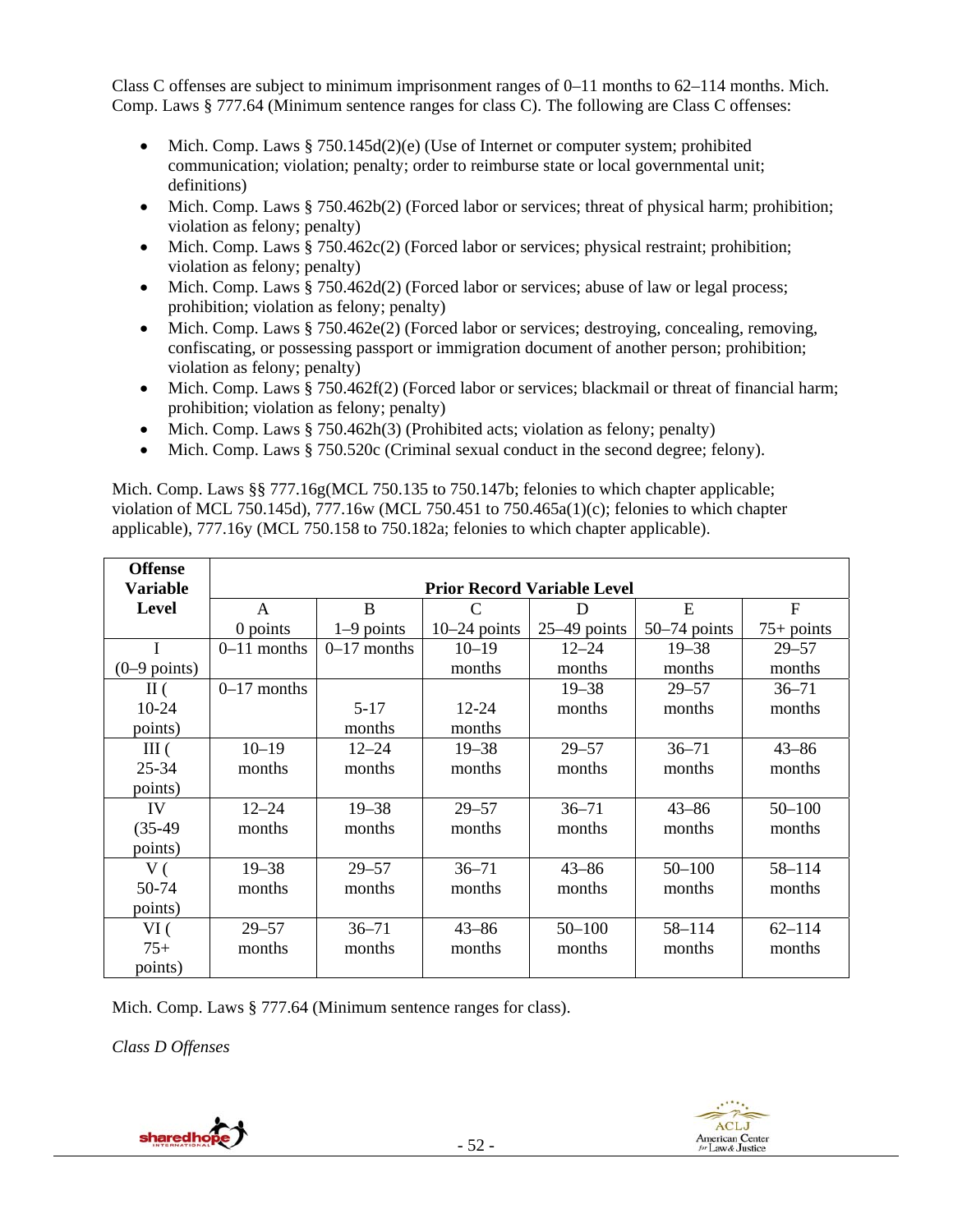Class C offenses are subject to minimum imprisonment ranges of  $0-11$  months to  $62-114$  months. Mich. Comp. Laws § 777.64 (Minimum sentence ranges for class C). The following are Class C offenses:

- Mich. Comp. Laws  $§ 750.145d(2)(e)$  (Use of Internet or computer system; prohibited communication; violation; penalty; order to reimburse state or local governmental unit; definitions)
- $\bullet$  Mich. Comp. Laws § 750.462b(2) (Forced labor or services; threat of physical harm; prohibition; violation as felony; penalty)
- $\bullet$  Mich. Comp. Laws § 750.462c(2) (Forced labor or services; physical restraint; prohibition; violation as felony; penalty)
- $\bullet$  Mich. Comp. Laws § 750.462d(2) (Forced labor or services; abuse of law or legal process; prohibition; violation as felony; penalty)
- Mich. Comp. Laws § 750.462e(2) (Forced labor or services; destroying, concealing, removing, confiscating, or possessing passport or immigration document of another person; prohibition; violation as felony; penalty)
- Mich. Comp. Laws  $§ 750.462f(2)$  (Forced labor or services; blackmail or threat of financial harm; prohibition; violation as felony; penalty)
- Mich. Comp. Laws  $§ 750.462h(3)$  (Prohibited acts; violation as felony; penalty)
- $\bullet$  Mich. Comp. Laws § 750.520c (Criminal sexual conduct in the second degree; felony).

Mich. Comp. Laws §§ 777.16g(MCL 750.135 to 750.147b; felonies to which chapter applicable; violation of MCL 750.145d), 777.16w (MCL 750.451 to 750.465a(1)(c); felonies to which chapter applicable), 777.16y (MCL 750.158 to 750.182a; felonies to which chapter applicable).

| <b>Offense</b>         |                                    |               |                |                |                |              |
|------------------------|------------------------------------|---------------|----------------|----------------|----------------|--------------|
| <b>Variable</b>        | <b>Prior Record Variable Level</b> |               |                |                |                |              |
| <b>Level</b>           | A                                  | B             | C              | D              | E              | F            |
|                        | 0 points                           | $1-9$ points  | $10-24$ points | $25-49$ points | $50-74$ points | $75+$ points |
| I                      | $0-11$ months                      | $0-17$ months | $10 - 19$      | $12 - 24$      | $19 - 38$      | $29 - 57$    |
| $(0-9 \text{ points})$ |                                    |               | months         | months         | months         | months       |
| $\rm{II}$ (            | $0-17$ months                      |               |                | $19 - 38$      | $29 - 57$      | $36 - 71$    |
| $10 - 24$              |                                    | $5-17$        | $12 - 24$      | months         | months         | months       |
| points)                |                                    | months        | months         |                |                |              |
| III(                   | $10 - 19$                          | $12 - 24$     | $19 - 38$      | $29 - 57$      | $36 - 71$      | $43 - 86$    |
| $25 - 34$              | months                             | months        | months         | months         | months         | months       |
| points)                |                                    |               |                |                |                |              |
| IV                     | $12 - 24$                          | $19 - 38$     | $29 - 57$      | $36 - 71$      | $43 - 86$      | $50 - 100$   |
| $(35-49)$              | months                             | months        | months         | months         | months         | months       |
| points)                |                                    |               |                |                |                |              |
| V(                     | $19 - 38$                          | $29 - 57$     | $36 - 71$      | $43 - 86$      | $50 - 100$     | 58-114       |
| 50-74                  | months                             | months        | months         | months         | months         | months       |
| points)                |                                    |               |                |                |                |              |
| VI(                    | $29 - 57$                          | $36 - 71$     | $43 - 86$      | $50 - 100$     | 58-114         | $62 - 114$   |
| $75+$                  | months                             | months        | months         | months         | months         | months       |
| points)                |                                    |               |                |                |                |              |

Mich. Comp. Laws § 777.64 (Minimum sentence ranges for class).

*Class D Offenses*

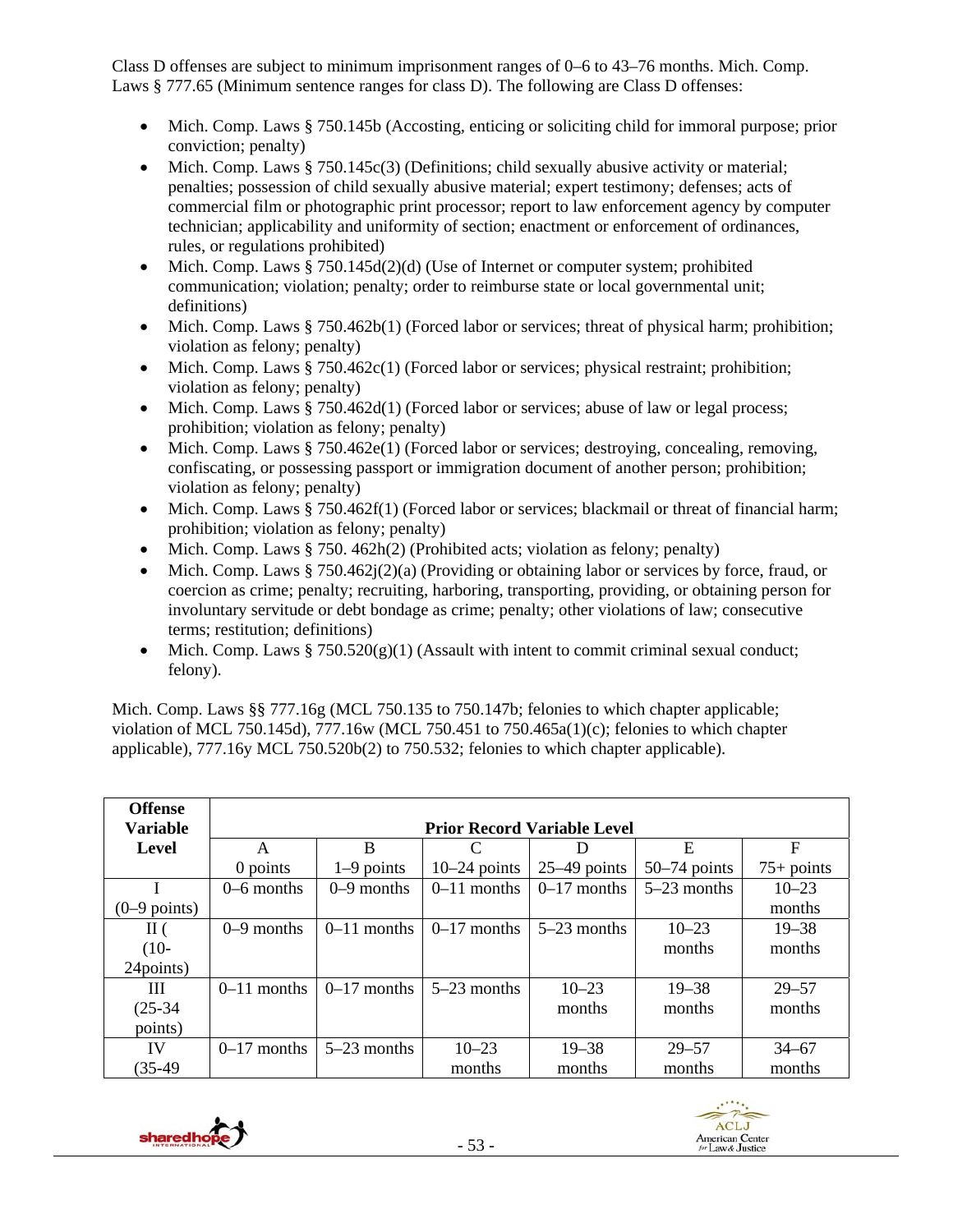Class D offenses are subject to minimum imprisonment ranges of 0–6 to 43–76 months. Mich. Comp. Laws § 777.65 (Minimum sentence ranges for class D). The following are Class D offenses:

- Mich. Comp. Laws § 750.145b (Accosting, enticing or soliciting child for immoral purpose; prior conviction; penalty)
- $\bullet$  Mich. Comp. Laws § 750.145c(3) (Definitions; child sexually abusive activity or material; penalties; possession of child sexually abusive material; expert testimony; defenses; acts of commercial film or photographic print processor; report to law enforcement agency by computer technician; applicability and uniformity of section; enactment or enforcement of ordinances, rules, or regulations prohibited)
- Mich. Comp. Laws § 750.145d(2)(d) (Use of Internet or computer system; prohibited communication; violation; penalty; order to reimburse state or local governmental unit; definitions)
- Mich. Comp. Laws  $§ 750.462b(1)$  (Forced labor or services; threat of physical harm; prohibition; violation as felony; penalty)
- Mich. Comp. Laws § 750.462c(1) (Forced labor or services; physical restraint; prohibition; violation as felony; penalty)
- $\bullet$  Mich. Comp. Laws § 750.462d(1) (Forced labor or services; abuse of law or legal process; prohibition; violation as felony; penalty)
- $\bullet$  Mich. Comp. Laws § 750.462e(1) (Forced labor or services; destroying, concealing, removing, confiscating, or possessing passport or immigration document of another person; prohibition; violation as felony; penalty)
- Mich. Comp. Laws § 750.462f(1) (Forced labor or services; blackmail or threat of financial harm; prohibition; violation as felony; penalty)
- Mich. Comp. Laws § 750. 462h(2) (Prohibited acts; violation as felony; penalty)
- Mich. Comp. Laws § 750.462j(2)(a) (Providing or obtaining labor or services by force, fraud, or coercion as crime; penalty; recruiting, harboring, transporting, providing, or obtaining person for involuntary servitude or debt bondage as crime; penalty; other violations of law; consecutive terms; restitution; definitions)
- Mich. Comp. Laws  $§ 750.520(g)(1)$  (Assault with intent to commit criminal sexual conduct; felony).

Mich. Comp. Laws §§ 777.16g (MCL 750.135 to 750.147b; felonies to which chapter applicable; violation of MCL 750.145d), 777.16w (MCL 750.451 to 750.465a(1)(c); felonies to which chapter applicable), 777.16y MCL 750.520b(2) to 750.532; felonies to which chapter applicable).

| <b>Offense</b><br><b>Variable</b> | <b>Prior Record Variable Level</b> |               |                |                |                |              |
|-----------------------------------|------------------------------------|---------------|----------------|----------------|----------------|--------------|
| Level                             | A                                  | B             | C              |                | Ε              | F            |
|                                   | $0$ points                         | $1-9$ points  | $10-24$ points | $25-49$ points | $50-74$ points | $75+$ points |
|                                   | $0-6$ months                       | $0-9$ months  | $0-11$ months  | $0-17$ months  | $5-23$ months  | $10 - 23$    |
| $(0-9$ points)                    |                                    |               |                |                |                | months       |
| $\rm{II}$ (                       | $0-9$ months                       | $0-11$ months | $0-17$ months  | $5-23$ months  | $10 - 23$      | $19 - 38$    |
| $(10-$                            |                                    |               |                |                | months         | months       |
| 24 points)                        |                                    |               |                |                |                |              |
| Ш                                 | $0-11$ months                      | $0-17$ months | $5-23$ months  | $10 - 23$      | $19 - 38$      | $29 - 57$    |
| $(25-34)$                         |                                    |               |                | months         | months         | months       |
| points)                           |                                    |               |                |                |                |              |
| IV                                | $0-17$ months                      | $5-23$ months | $10 - 23$      | $19 - 38$      | $29 - 57$      | $34 - 67$    |
| $(35-49)$                         |                                    |               | months         | months         | months         | months       |



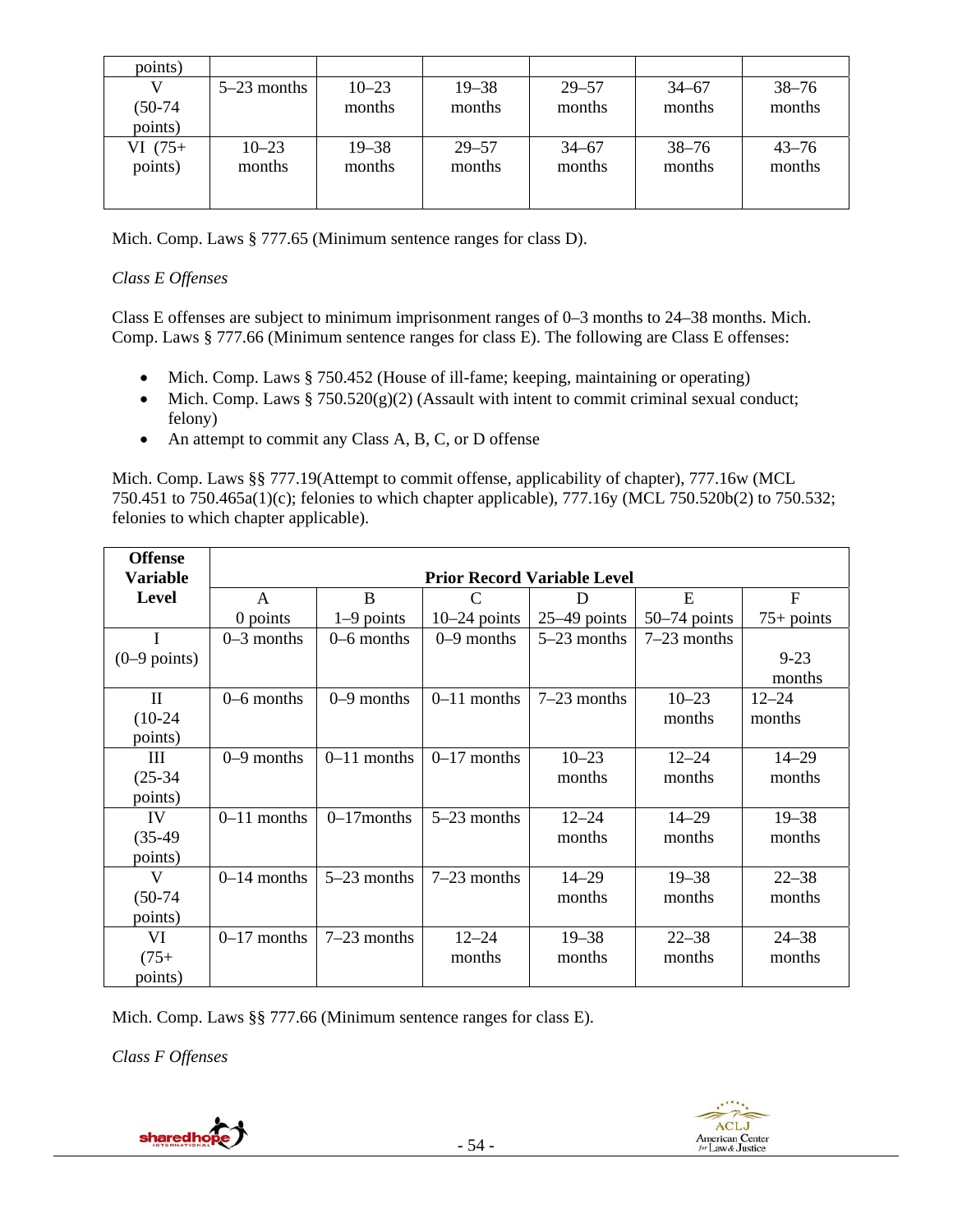| points)   |               |           |           |           |           |           |
|-----------|---------------|-----------|-----------|-----------|-----------|-----------|
|           | $5-23$ months | $10 - 23$ | $19 - 38$ | $29 - 57$ | $34 - 67$ | $38 - 76$ |
| $(50-74)$ |               | months    | months    | months    | months    | months    |
| points)   |               |           |           |           |           |           |
| $VI(75+)$ | $10 - 23$     | $19 - 38$ | $29 - 57$ | $34 - 67$ | $38 - 76$ | $43 - 76$ |
| points)   | months        | months    | months    | months    | months    | months    |
|           |               |           |           |           |           |           |
|           |               |           |           |           |           |           |

Mich. Comp. Laws § 777.65 (Minimum sentence ranges for class D).

## *Class E Offenses*

Class E offenses are subject to minimum imprisonment ranges of 0–3 months to 24–38 months. Mich. Comp. Laws § 777.66 (Minimum sentence ranges for class E). The following are Class E offenses:

- Mich. Comp. Laws § 750.452 (House of ill-fame; keeping, maintaining or operating)
- Mich. Comp. Laws  $§ 750.520(g)(2)$  (Assault with intent to commit criminal sexual conduct; felony)
- An attempt to commit any Class A, B, C, or D offense

Mich. Comp. Laws §§ 777.19(Attempt to commit offense, applicability of chapter), 777.16w (MCL 750.451 to 750.465a(1)(c); felonies to which chapter applicable), 777.16y (MCL 750.520b(2) to 750.532; felonies to which chapter applicable).

| <b>Offense</b><br><b>Variable</b> |               |               |                | <b>Prior Record Variable Level</b> |                |                |
|-----------------------------------|---------------|---------------|----------------|------------------------------------|----------------|----------------|
| <b>Level</b>                      | A             | B             | C              | D                                  | E              | $\overline{F}$ |
|                                   | $0$ points    | $1-9$ points  | $10-24$ points | $25-49$ points                     | $50-74$ points | $75+$ points   |
|                                   | $0-3$ months  | $0-6$ months  | $0-9$ months   | $5-23$ months                      | $7-23$ months  |                |
| $(0-9$ points)                    |               |               |                |                                    |                | $9 - 23$       |
|                                   |               |               |                |                                    |                | months         |
| $\mathbf{I}$                      | $0-6$ months  | $0-9$ months  | $0-11$ months  | $7-23$ months                      | $10 - 23$      | $12 - 24$      |
| $(10-24)$                         |               |               |                |                                    | months         | months         |
| points)                           |               |               |                |                                    |                |                |
| Ш                                 | $0-9$ months  | $0-11$ months | $0-17$ months  | $10 - 23$                          | $12 - 24$      | $14 - 29$      |
| $(25-34)$                         |               |               |                | months                             | months         | months         |
| points)                           |               |               |                |                                    |                |                |
| IV                                | $0-11$ months | $0-17$ months | $5-23$ months  | $12 - 24$                          | $14 - 29$      | $19 - 38$      |
| $(35-49)$                         |               |               |                | months                             | months         | months         |
| points)                           |               |               |                |                                    |                |                |
| V                                 | $0-14$ months | $5-23$ months | $7-23$ months  | $14 - 29$                          | $19 - 38$      | $22 - 38$      |
| $(50-74)$                         |               |               |                | months                             | months         | months         |
| points)                           |               |               |                |                                    |                |                |
| VI                                | $0-17$ months | $7-23$ months | $12 - 24$      | $19 - 38$                          | $22 - 38$      | $24 - 38$      |
| $(75+)$                           |               |               | months         | months                             | months         | months         |
| points)                           |               |               |                |                                    |                |                |

Mich. Comp. Laws §§ 777.66 (Minimum sentence ranges for class E).

*Class F Offenses*

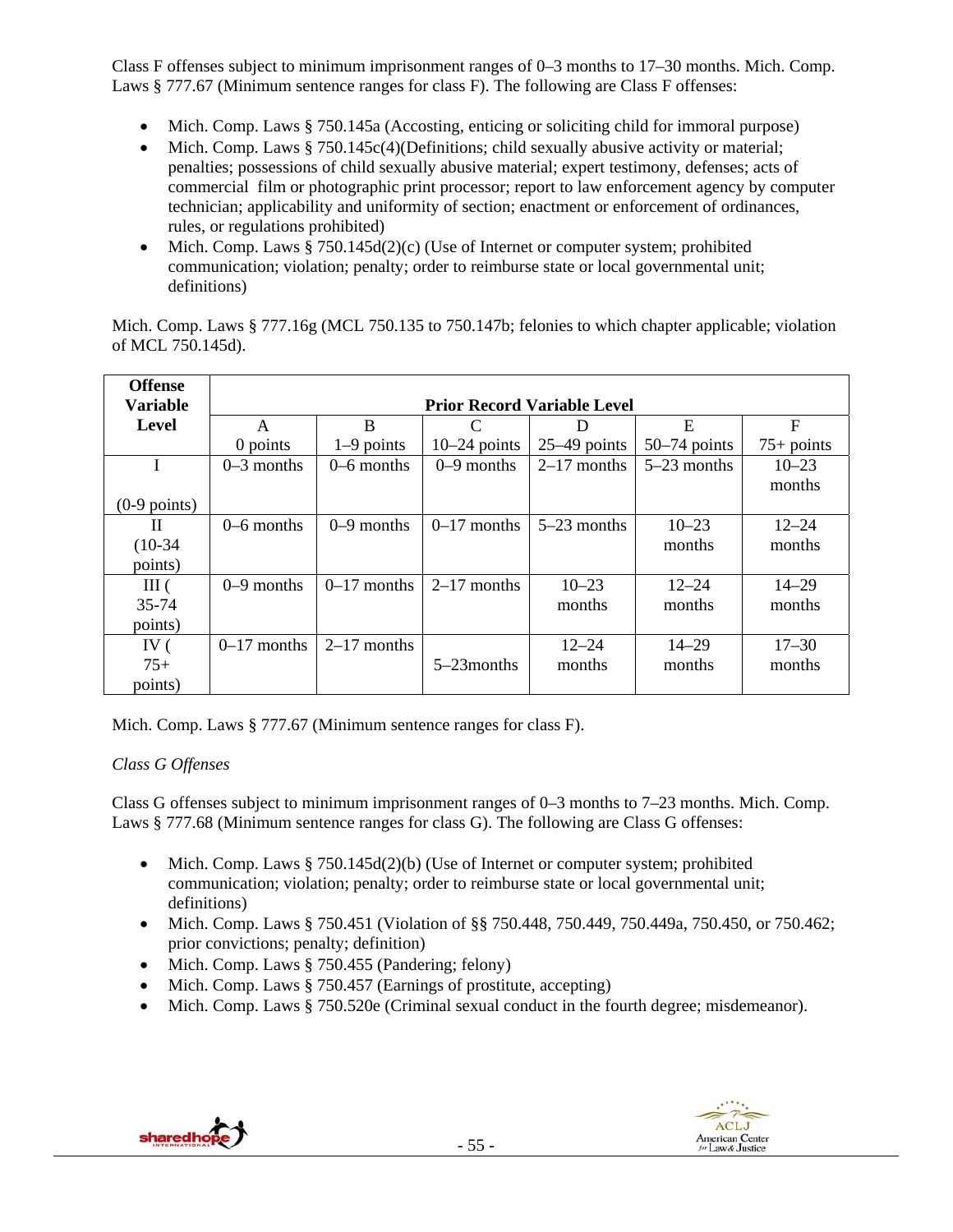Class F offenses subject to minimum imprisonment ranges of 0–3 months to 17–30 months. Mich. Comp. Laws § 777.67 (Minimum sentence ranges for class F). The following are Class F offenses:

- Mich. Comp. Laws § 750.145a (Accosting, enticing or soliciting child for immoral purpose)
- Mich. Comp. Laws § 750.145c(4)(Definitions; child sexually abusive activity or material; penalties; possessions of child sexually abusive material; expert testimony, defenses; acts of commercial film or photographic print processor; report to law enforcement agency by computer technician; applicability and uniformity of section; enactment or enforcement of ordinances, rules, or regulations prohibited)
- Mich. Comp. Laws  $§ 750.145d(2)(c)$  (Use of Internet or computer system; prohibited communication; violation; penalty; order to reimburse state or local governmental unit; definitions)

Mich. Comp. Laws § 777.16g (MCL 750.135 to 750.147b; felonies to which chapter applicable; violation of MCL 750.145d).

| <b>Offense</b><br><b>Variable</b> |               |               |                | <b>Prior Record Variable Level</b> |                |              |
|-----------------------------------|---------------|---------------|----------------|------------------------------------|----------------|--------------|
| Level                             | A             | B             | C              |                                    | E              | F            |
|                                   | 0 points      | $1-9$ points  | $10-24$ points | $25-49$ points                     | $50-74$ points | $75+$ points |
| I                                 | $0-3$ months  | $0-6$ months  | $0-9$ months   | $2-17$ months                      | $5-23$ months  | $10 - 23$    |
|                                   |               |               |                |                                    |                | months       |
| $(0-9$ points)                    |               |               |                |                                    |                |              |
| H                                 | $0-6$ months  | $0-9$ months  | $0-17$ months  | $5-23$ months                      | $10 - 23$      | $12 - 24$    |
| $(10-34)$                         |               |               |                |                                    | months         | months       |
| points)                           |               |               |                |                                    |                |              |
| III(                              | $0-9$ months  | $0-17$ months | $2-17$ months  | $10 - 23$                          | $12 - 24$      | $14 - 29$    |
| 35-74                             |               |               |                | months                             | months         | months       |
| points)                           |               |               |                |                                    |                |              |
| IV $($                            | $0-17$ months | $2-17$ months |                | $12 - 24$                          | $14 - 29$      | $17 - 30$    |
| $75+$                             |               |               | $5-23$ months  | months                             | months         | months       |
| points)                           |               |               |                |                                    |                |              |

Mich. Comp. Laws § 777.67 (Minimum sentence ranges for class F).

## *Class G Offenses*

Class G offenses subject to minimum imprisonment ranges of 0–3 months to 7–23 months. Mich. Comp. Laws § 777.68 (Minimum sentence ranges for class G). The following are Class G offenses:

- Mich. Comp. Laws  $§ 750.145d(2)(b)$  (Use of Internet or computer system; prohibited communication; violation; penalty; order to reimburse state or local governmental unit; definitions)
- Mich. Comp. Laws § 750.451 (Violation of §§ 750.448, 750.449, 750.449a, 750.450, or 750.462; prior convictions; penalty; definition)
- Mich. Comp. Laws  $\S$  750.455 (Pandering; felony)
- Mich. Comp. Laws § 750.457 (Earnings of prostitute, accepting)
- Mich. Comp. Laws § 750.520e (Criminal sexual conduct in the fourth degree; misdemeanor).